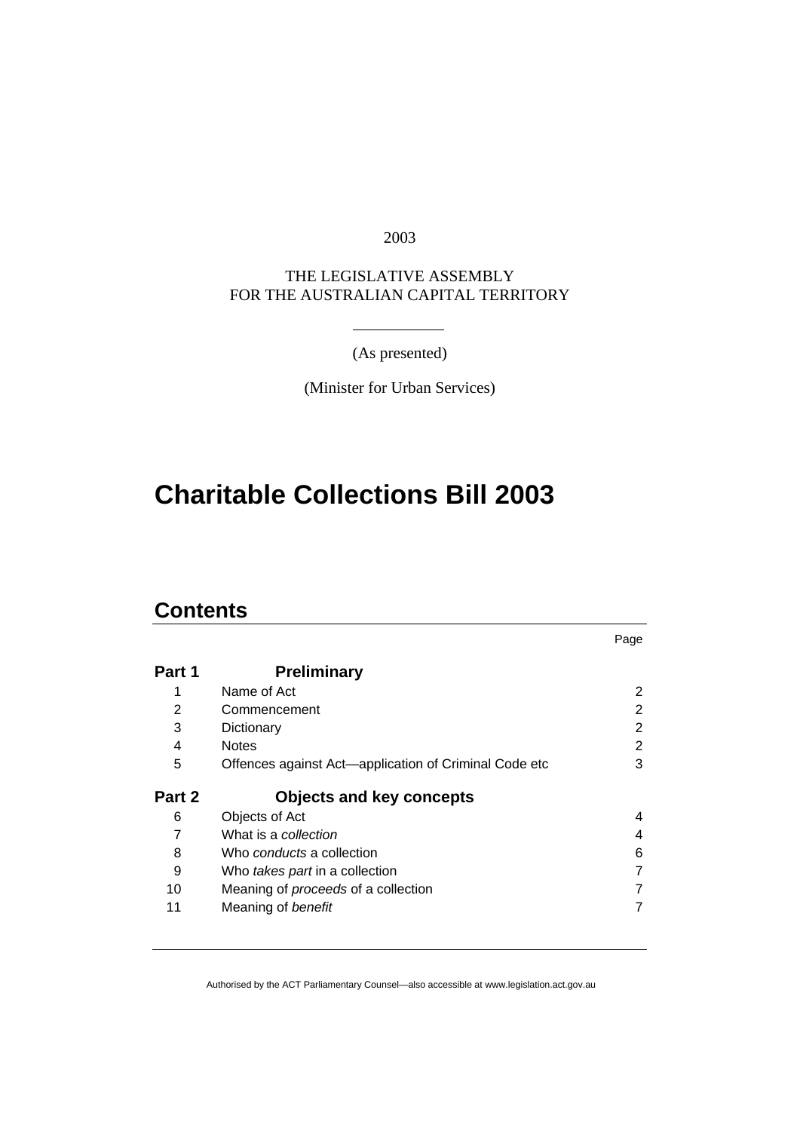2003

THE LEGISLATIVE ASSEMBLY FOR THE AUSTRALIAN CAPITAL TERRITORY

(As presented)

(Minister for Urban Services)

# **Charitable Collections Bill 2003**

## **Contents**

|        |                                                       | Page |
|--------|-------------------------------------------------------|------|
| Part 1 | <b>Preliminary</b>                                    |      |
| 1      | Name of Act                                           | 2    |
| 2      | Commencement                                          | 2    |
| 3      | Dictionary                                            | 2    |
| 4      | <b>Notes</b>                                          | 2    |
| 5      | Offences against Act—application of Criminal Code etc | 3    |
| Part 2 | <b>Objects and key concepts</b>                       |      |
| 6      | Objects of Act                                        | 4    |
| 7      | What is a collection                                  | 4    |
| 8      | Who <i>conducts</i> a collection                      | 6    |
| 9      | Who takes part in a collection                        | 7    |
| 10     | Meaning of <i>proceeds</i> of a collection            | 7    |
| 11     | Meaning of benefit                                    | 7    |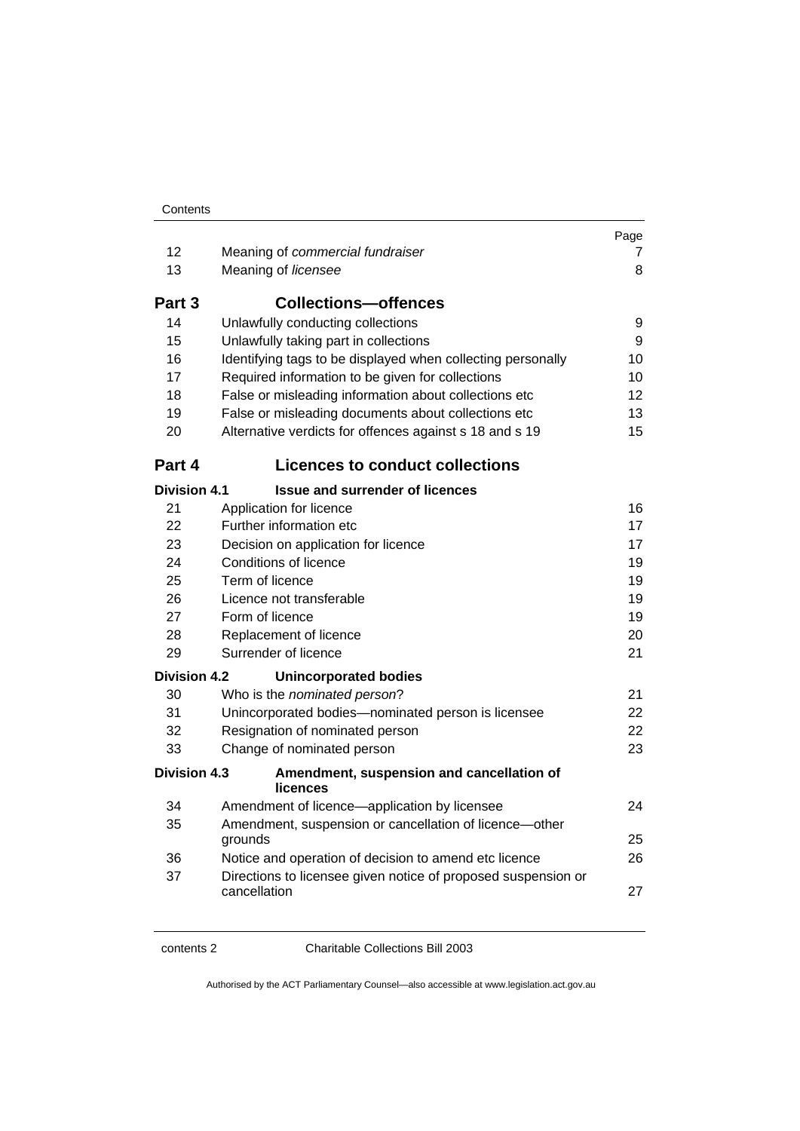| 12                        | Meaning of commercial fundraiser                                                      | raye<br>7 |  |  |
|---------------------------|---------------------------------------------------------------------------------------|-----------|--|--|
| 13                        | Meaning of licensee                                                                   | 8         |  |  |
| Part 3                    | <b>Collections-offences</b>                                                           |           |  |  |
| 14                        | Unlawfully conducting collections                                                     | 9         |  |  |
| 15                        | Unlawfully taking part in collections                                                 | 9         |  |  |
| 16                        | Identifying tags to be displayed when collecting personally                           | 10        |  |  |
| 17                        | Required information to be given for collections                                      | 10        |  |  |
| 18                        | False or misleading information about collections etc                                 | 12        |  |  |
| 19                        | False or misleading documents about collections etc                                   | 13        |  |  |
| 20                        | Alternative verdicts for offences against s 18 and s 19                               | 15        |  |  |
| Part 4                    | <b>Licences to conduct collections</b>                                                |           |  |  |
| <b>Division 4.1</b>       | <b>Issue and surrender of licences</b>                                                |           |  |  |
| 21                        | Application for licence                                                               | 16        |  |  |
| 22                        | Further information etc                                                               | 17        |  |  |
| 23                        | Decision on application for licence                                                   | 17<br>19  |  |  |
| 24                        | Conditions of licence                                                                 |           |  |  |
| 25                        | Term of licence<br>19                                                                 |           |  |  |
| 26                        | Licence not transferable<br>19                                                        |           |  |  |
| 27<br>28                  | Form of licence<br>19                                                                 |           |  |  |
| 29                        | Replacement of licence<br>Surrender of licence                                        | 20        |  |  |
|                           |                                                                                       | 21        |  |  |
| <b>Division 4.2</b><br>30 | <b>Unincorporated bodies</b>                                                          | 21        |  |  |
| 31                        | Who is the nominated person?                                                          | 22        |  |  |
| 32                        | Unincorporated bodies-nominated person is licensee<br>Resignation of nominated person |           |  |  |
| 33                        | Change of nominated person                                                            | 22<br>23  |  |  |
| <b>Division 4.3</b>       | Amendment, suspension and cancellation of<br>licences                                 |           |  |  |
| 34                        | Amendment of licence-application by licensee                                          | 24        |  |  |
| 35                        | Amendment, suspension or cancellation of licence-other                                |           |  |  |
|                           | grounds                                                                               | 25        |  |  |
| 36                        | Notice and operation of decision to amend etc licence                                 | 26        |  |  |
| 37                        | Directions to licensee given notice of proposed suspension or                         |           |  |  |
|                           | cancellation                                                                          | 27        |  |  |

Page

contents 2 Charitable Collections Bill 2003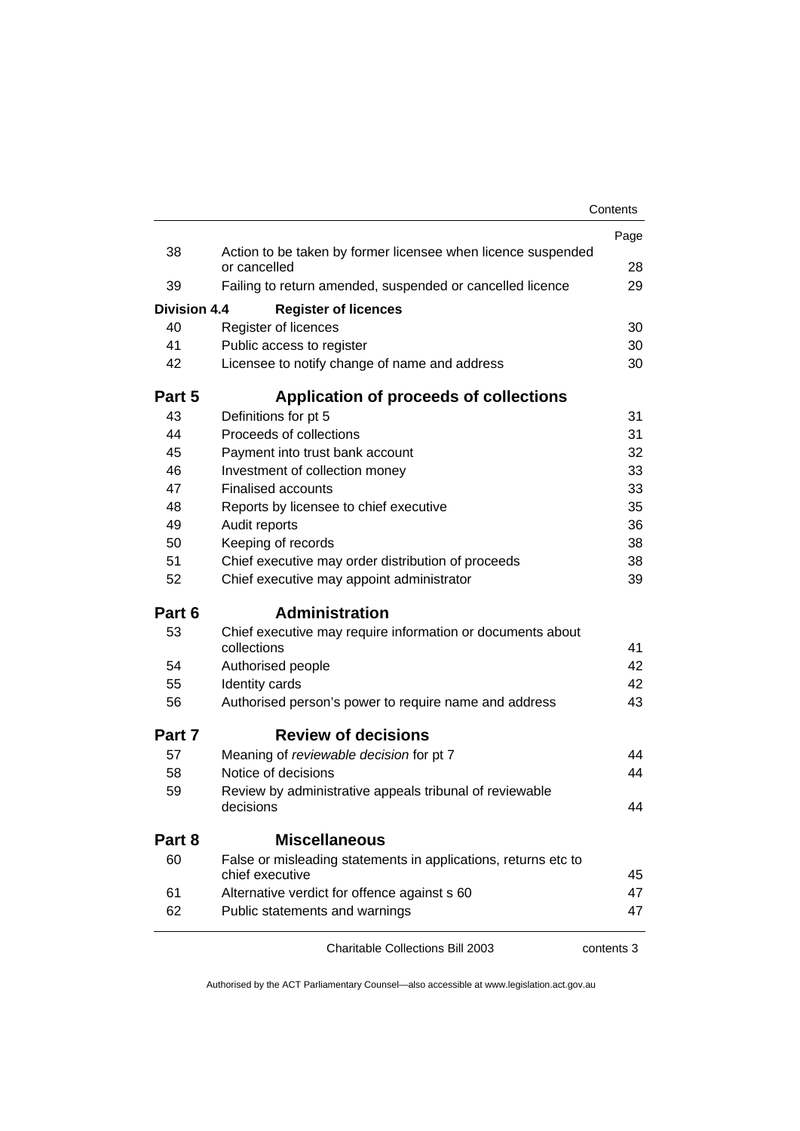|                     |                                                                                   | Contents |
|---------------------|-----------------------------------------------------------------------------------|----------|
|                     |                                                                                   | Page     |
| 38                  | Action to be taken by former licensee when licence suspended<br>or cancelled      | 28       |
| 39                  | Failing to return amended, suspended or cancelled licence                         |          |
| <b>Division 4.4</b> |                                                                                   | 29       |
| 40                  | <b>Register of licences</b><br>Register of licences                               | 30       |
| 41                  | Public access to register                                                         | 30       |
| 42                  | Licensee to notify change of name and address                                     | 30       |
| Part 5              | Application of proceeds of collections                                            |          |
| 43                  | Definitions for pt 5                                                              | 31       |
| 44                  | Proceeds of collections                                                           | 31       |
| 45                  | Payment into trust bank account                                                   | 32       |
| 46                  | Investment of collection money                                                    | 33       |
| 47                  | <b>Finalised accounts</b>                                                         | 33       |
| 48                  | Reports by licensee to chief executive                                            | 35       |
| 49                  | Audit reports                                                                     | 36       |
| 50                  | Keeping of records                                                                | 38       |
| 51                  | Chief executive may order distribution of proceeds                                | 38       |
| 52                  | Chief executive may appoint administrator                                         | 39       |
| Part 6              | <b>Administration</b>                                                             |          |
| 53                  | Chief executive may require information or documents about<br>collections         | 41       |
| 54                  | Authorised people                                                                 | 42       |
| 55                  | Identity cards                                                                    | 42       |
| 56                  | Authorised person's power to require name and address                             | 43       |
| Part 7              | <b>Review of decisions</b>                                                        |          |
| 57                  | Meaning of reviewable decision for pt 7                                           | 44       |
| 58                  | Notice of decisions                                                               | 44       |
| 59                  | Review by administrative appeals tribunal of reviewable<br>decisions              | 44       |
| Part 8              | <b>Miscellaneous</b>                                                              |          |
| 60                  | False or misleading statements in applications, returns etc to<br>chief executive | 45       |
| 61                  | Alternative verdict for offence against s 60                                      | 47       |
| 62                  | Public statements and warnings                                                    | 47       |
|                     |                                                                                   |          |

Charitable Collections Bill 2003 contents 3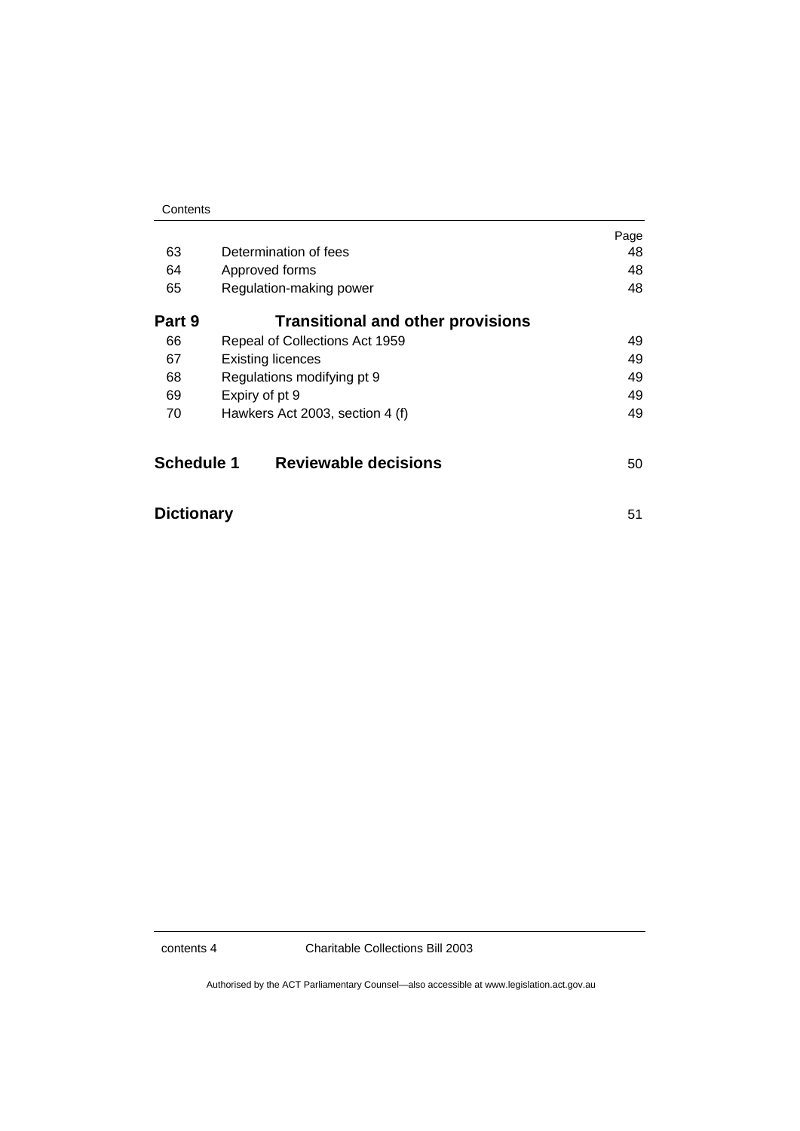|                   |                                                                                             | Page |
|-------------------|---------------------------------------------------------------------------------------------|------|
| 63                | Determination of fees                                                                       | 48   |
| 64                | Approved forms                                                                              | 48   |
| 65                | Regulation-making power                                                                     | 48   |
| Part 9            | <b>Transitional and other provisions</b>                                                    |      |
| 66                | Repeal of Collections Act 1959                                                              | 49   |
| 67                | <b>Existing licences</b>                                                                    | 49   |
| 68                | Regulations modifying pt 9<br>49<br>Expiry of pt 9<br>49<br>Hawkers Act 2003, section 4 (f) |      |
| 69                |                                                                                             |      |
| 70                |                                                                                             | 49   |
| <b>Schedule 1</b> | <b>Reviewable decisions</b>                                                                 | 50   |

| <b>Dictionary</b> |  |
|-------------------|--|
|                   |  |

contents 4 Charitable Collections Bill 2003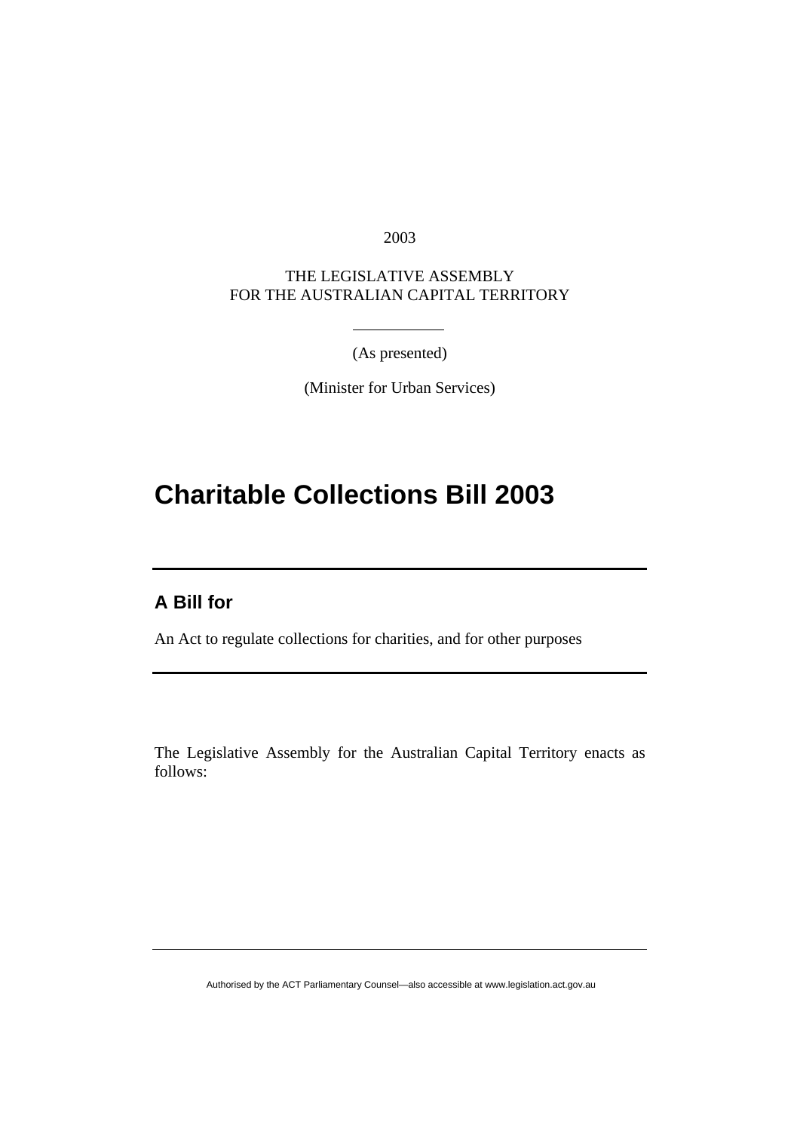2003

THE LEGISLATIVE ASSEMBLY FOR THE AUSTRALIAN CAPITAL TERRITORY

(As presented)

(Minister for Urban Services)

# **Charitable Collections Bill 2003**

## **A Bill for**

An Act to regulate collections for charities, and for other purposes

The Legislative Assembly for the Australian Capital Territory enacts as follows: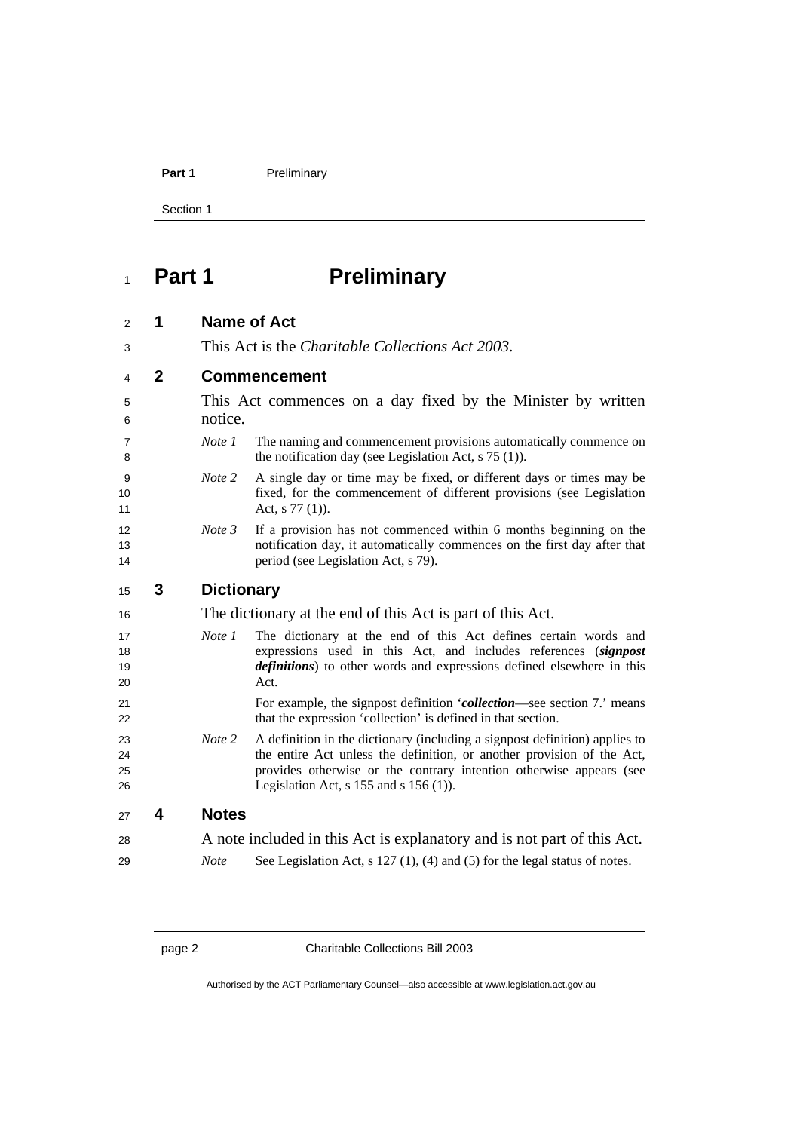Section 1

# **Part 1 Preliminary**

| 2                    | 1            | <b>Name of Act</b>                                         |                                                                                                                                                                                                                                                                            |
|----------------------|--------------|------------------------------------------------------------|----------------------------------------------------------------------------------------------------------------------------------------------------------------------------------------------------------------------------------------------------------------------------|
| 3                    |              | This Act is the Charitable Collections Act 2003.           |                                                                                                                                                                                                                                                                            |
| 4                    | $\mathbf{2}$ | <b>Commencement</b>                                        |                                                                                                                                                                                                                                                                            |
| 5                    |              |                                                            | This Act commences on a day fixed by the Minister by written                                                                                                                                                                                                               |
| 6                    |              | notice.                                                    |                                                                                                                                                                                                                                                                            |
| 7<br>8               |              | Note 1                                                     | The naming and commencement provisions automatically commence on<br>the notification day (see Legislation Act, $s$ 75 (1)).                                                                                                                                                |
| 9<br>10<br>11        |              | Note 2                                                     | A single day or time may be fixed, or different days or times may be<br>fixed, for the commencement of different provisions (see Legislation<br>Act, $s$ 77 (1)).                                                                                                          |
| 12<br>13<br>14       |              | Note 3                                                     | If a provision has not commenced within 6 months beginning on the<br>notification day, it automatically commences on the first day after that<br>period (see Legislation Act, s 79).                                                                                       |
| 15                   | 3            | <b>Dictionary</b>                                          |                                                                                                                                                                                                                                                                            |
| 16                   |              | The dictionary at the end of this Act is part of this Act. |                                                                                                                                                                                                                                                                            |
| 17<br>18<br>19<br>20 |              | Note 1                                                     | The dictionary at the end of this Act defines certain words and<br>expressions used in this Act, and includes references (signpost<br>definitions) to other words and expressions defined elsewhere in this<br>Act.                                                        |
| 21<br>22             |              |                                                            | For example, the signpost definition <i>collection</i> —see section 7. means<br>that the expression 'collection' is defined in that section.                                                                                                                               |
| 23<br>24<br>25<br>26 |              | Note 2                                                     | A definition in the dictionary (including a signpost definition) applies to<br>the entire Act unless the definition, or another provision of the Act,<br>provides otherwise or the contrary intention otherwise appears (see<br>Legislation Act, $s$ 155 and $s$ 156 (1)). |
| 27                   | 4            | <b>Notes</b>                                               |                                                                                                                                                                                                                                                                            |
| 28                   |              |                                                            | A note included in this Act is explanatory and is not part of this Act.                                                                                                                                                                                                    |
| 29                   |              | <b>Note</b>                                                | See Legislation Act, $s$ 127 (1), (4) and (5) for the legal status of notes.                                                                                                                                                                                               |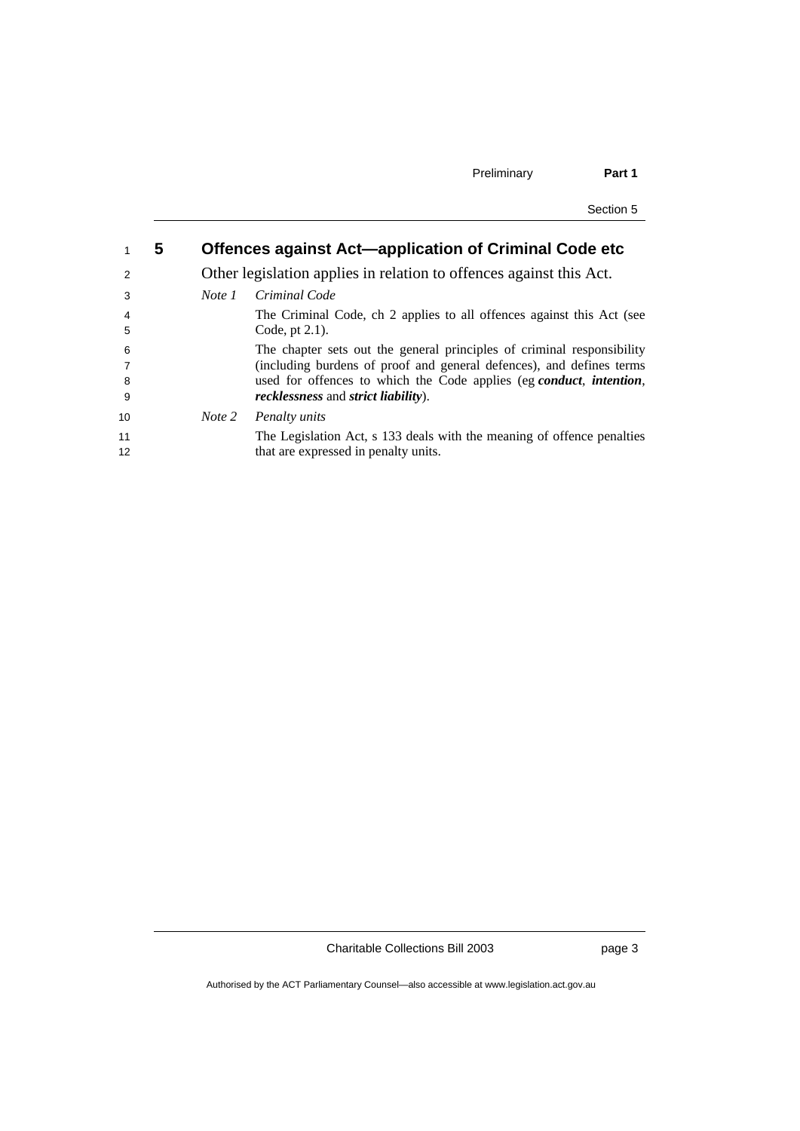| ection 5 |  |
|----------|--|
|          |  |

|    | 5 | Offences against Act-application of Criminal Code etc |                                                                        |
|----|---|-------------------------------------------------------|------------------------------------------------------------------------|
| 2  |   |                                                       | Other legislation applies in relation to offences against this Act.    |
| 3  |   | Note 1                                                | Criminal Code                                                          |
| 4  |   |                                                       | The Criminal Code, ch 2 applies to all offences against this Act (see  |
| 5  |   |                                                       | Code, pt $2.1$ ).                                                      |
| 6  |   |                                                       | The chapter sets out the general principles of criminal responsibility |
|    |   |                                                       | (including burdens of proof and general defences), and defines terms   |
| 8  |   |                                                       | used for offences to which the Code applies (eg conduct, intention,    |
| -9 |   |                                                       | <i>recklessness</i> and <i>strict liability</i> ).                     |
| 10 |   | Note 2                                                | Penalty units                                                          |
| 11 |   |                                                       | The Legislation Act, s 133 deals with the meaning of offence penalties |
| 12 |   |                                                       | that are expressed in penalty units.                                   |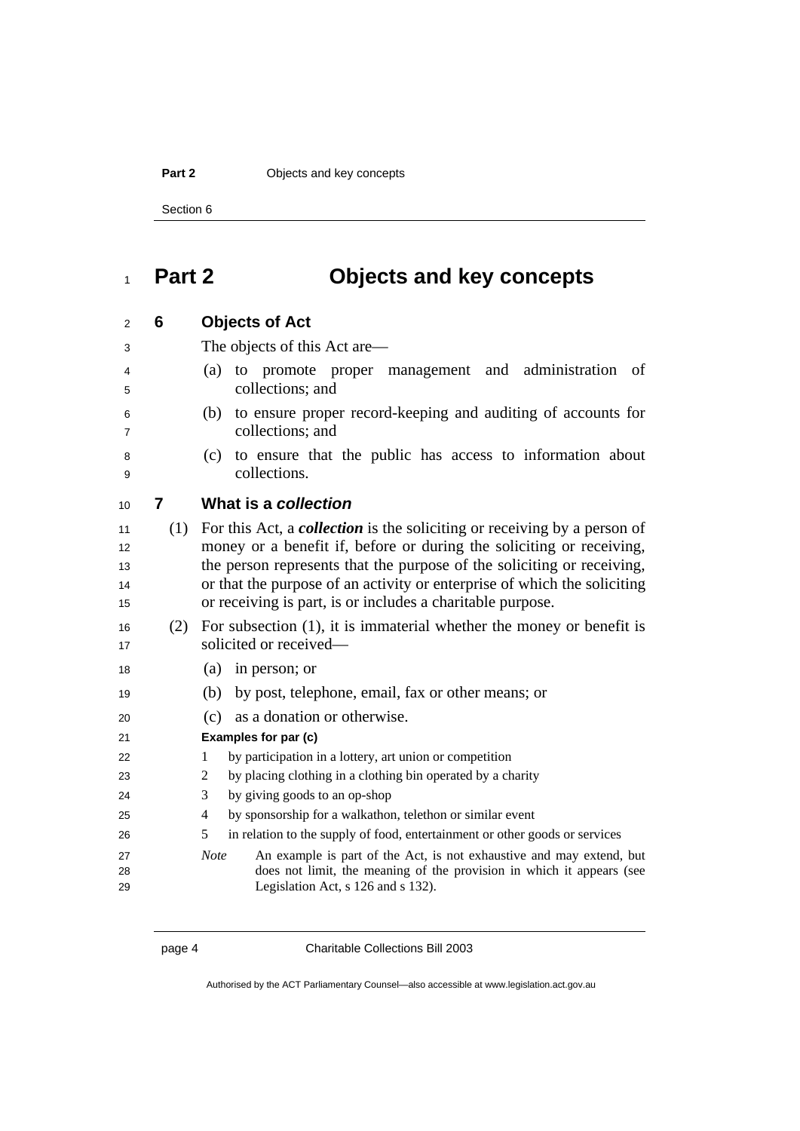#### **Part 2 Objects and key concepts**

Section 6

## **Part 2 Objects and key concepts**

## **6 Objects of Act**

The objects of this Act are—

- (a) to promote proper management and administration of collections; and
- 
- (b) to ensure proper record-keeping and auditing of accounts for collections; and
	- (c) to ensure that the public has access to information about collections.

| 10 |  | What is a collection |
|----|--|----------------------|
|----|--|----------------------|

- (1) For this Act, a *collection* is the soliciting or receiving by a person of money or a benefit if, before or during the soliciting or receiving, 13 the person represents that the purpose of the soliciting or receiving, 14 or that the purpose of an activity or enterprise of which the soliciting 15 or receiving is part, is or includes a charitable purpose.
- (2) For subsection (1), it is immaterial whether the money or benefit is 17 solicited or received-
- (a) in person; or
- (b) by post, telephone, email, fax or other means; or
- (c) as a donation or otherwise.
- **Examples for par (c)**
- 22 1 by participation in a lottery, art union or competition
- 2 by placing clothing in a clothing bin operated by a charity
- 3 by giving goods to an op-shop
- 4 by sponsorship for a walkathon, telethon or similar event
- 5 in relation to the supply of food, entertainment or other goods or services
- *Note* An example is part of the Act, is not exhaustive and may extend, but does not limit, the meaning of the provision in which it appears (see Legislation Act, s 126 and s 132).

page 4 Charitable Collections Bill 2003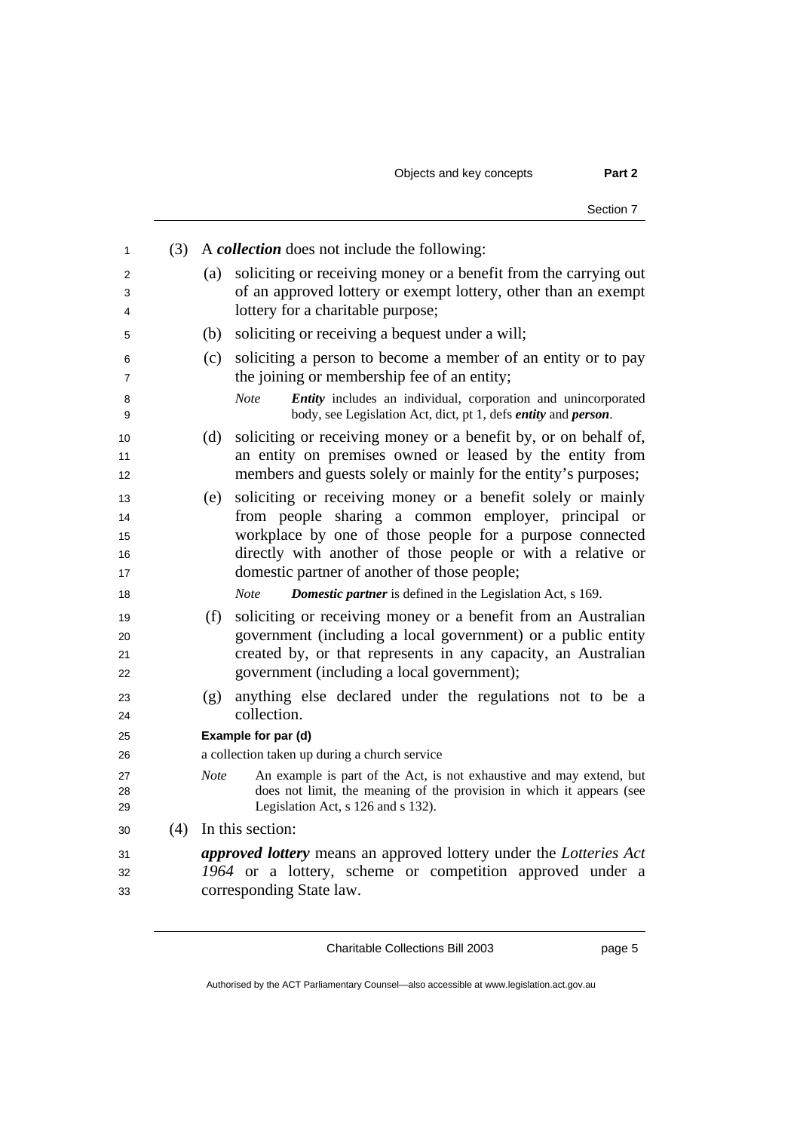Objects and key concepts **Part 2** 

|     | Section 7                                                                                                                                                                                                                                                                                            |
|-----|------------------------------------------------------------------------------------------------------------------------------------------------------------------------------------------------------------------------------------------------------------------------------------------------------|
| (3) | A <i>collection</i> does not include the following:                                                                                                                                                                                                                                                  |
|     | soliciting or receiving money or a benefit from the carrying out<br>(a)<br>of an approved lottery or exempt lottery, other than an exempt<br>lottery for a charitable purpose;                                                                                                                       |
|     | soliciting or receiving a bequest under a will;<br>(b)                                                                                                                                                                                                                                               |
|     | soliciting a person to become a member of an entity or to pay<br>(c)<br>the joining or membership fee of an entity;                                                                                                                                                                                  |
|     | <b>Note</b><br>Entity includes an individual, corporation and unincorporated<br>body, see Legislation Act, dict, pt 1, defs entity and person.                                                                                                                                                       |
|     | soliciting or receiving money or a benefit by, or on behalf of,<br>(d)<br>an entity on premises owned or leased by the entity from<br>members and guests solely or mainly for the entity's purposes;                                                                                                 |
|     | soliciting or receiving money or a benefit solely or mainly<br>(e)<br>from people sharing a common employer, principal or<br>workplace by one of those people for a purpose connected<br>directly with another of those people or with a relative or<br>domestic partner of another of those people; |
|     | <b>Note</b><br><b>Domestic partner</b> is defined in the Legislation Act, s 169.                                                                                                                                                                                                                     |
|     | soliciting or receiving money or a benefit from an Australian<br>(f)<br>government (including a local government) or a public entity<br>created by, or that represents in any capacity, an Australian<br>government (including a local government);                                                  |
|     | anything else declared under the regulations not to be a<br>(g)<br>collection.                                                                                                                                                                                                                       |
|     | Example for par (d)                                                                                                                                                                                                                                                                                  |
|     | a collection taken up during a church service                                                                                                                                                                                                                                                        |
|     | An example is part of the Act, is not exhaustive and may extend, but<br><b>Note</b><br>does not limit, the meaning of the provision in which it appears (see<br>Legislation Act, s 126 and s 132).                                                                                                   |
|     | $(4)$ In this section:                                                                                                                                                                                                                                                                               |
|     | <i>approved lottery</i> means an approved lottery under the <i>Lotteries Act</i><br>1964 or a lottery, scheme or competition approved under a<br>corresponding State law.                                                                                                                            |

Charitable Collections Bill 2003 page 5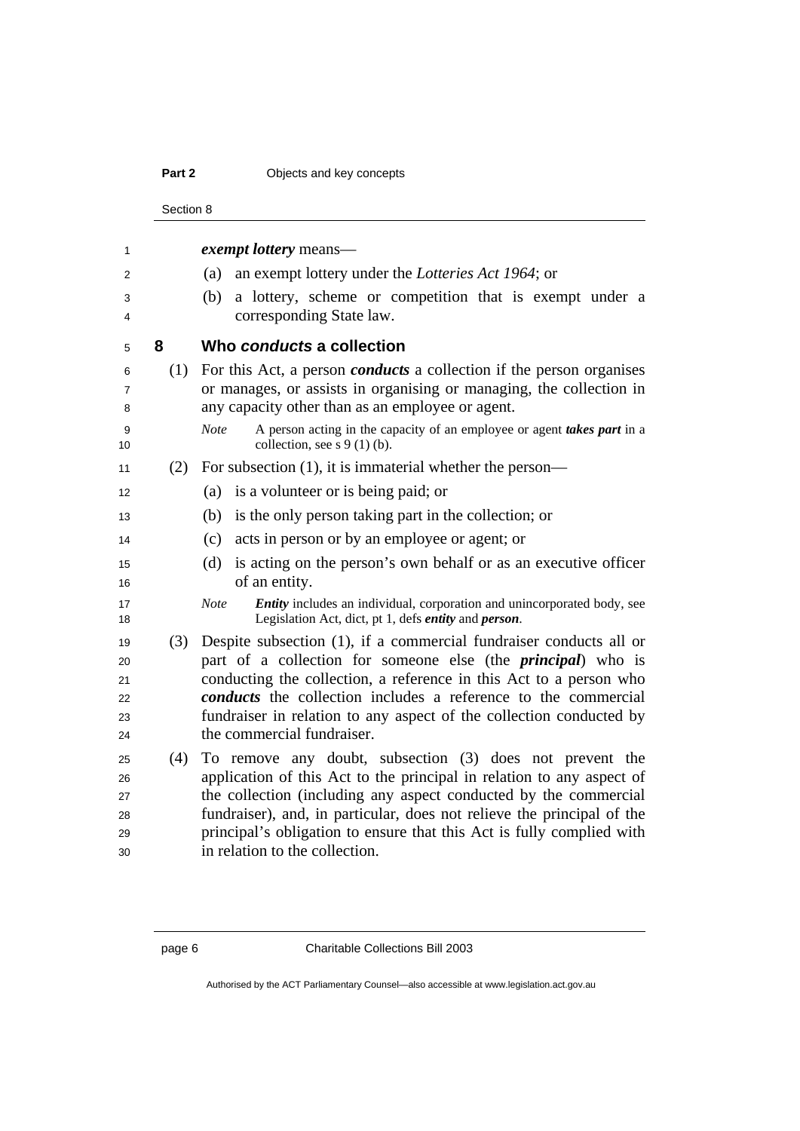#### **Part 2 Objects and key concepts**

Section 8 *exempt lottery* means— (a) an exempt lottery under the *Lotteries Act 1964*; or (b) a lottery, scheme or competition that is exempt under a corresponding State law. **8 Who** *conducts* **a collection**  (1) For this Act, a person *conducts* a collection if the person organises or manages, or assists in organising or managing, the collection in any capacity other than as an employee or agent. *Note* A person acting in the capacity of an employee or agent *takes part* in a 10 collection, see s  $9(1)(b)$ . (2) For subsection (1), it is immaterial whether the person— 12 (a) is a volunteer or is being paid; or (b) is the only person taking part in the collection; or (c) acts in person or by an employee or agent; or (d) is acting on the person's own behalf or as an executive officer 16 of an entity. *Note Entity* includes an individual, corporation and unincorporated body, see Legislation Act, dict, pt 1, defs *entity* and *person*. (3) Despite subsection (1), if a commercial fundraiser conducts all or part of a collection for someone else (the *principal*) who is conducting the collection, a reference in this Act to a person who *conducts* the collection includes a reference to the commercial fundraiser in relation to any aspect of the collection conducted by 24 the commercial fundraiser. (4) To remove any doubt, subsection (3) does not prevent the application of this Act to the principal in relation to any aspect of 27 the collection (including any aspect conducted by the commercial fundraiser), and, in particular, does not relieve the principal of the principal's obligation to ensure that this Act is fully complied with in relation to the collection.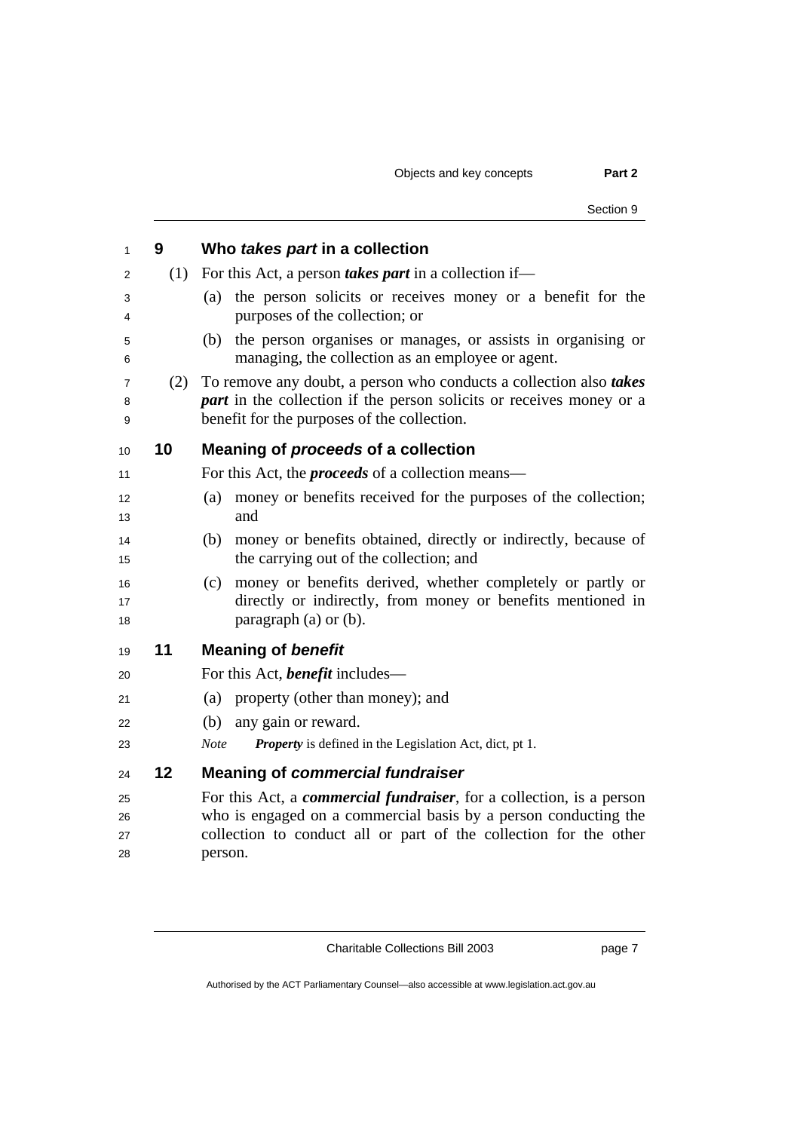Objects and key concepts **Part 2** 

|     | Section 9                                                                                                                                                                                        |
|-----|--------------------------------------------------------------------------------------------------------------------------------------------------------------------------------------------------|
| 9   | Who takes part in a collection                                                                                                                                                                   |
| (1) | For this Act, a person <i>takes part</i> in a collection if—                                                                                                                                     |
|     | the person solicits or receives money or a benefit for the<br>(a)<br>purposes of the collection; or                                                                                              |
|     | the person organises or manages, or assists in organising or<br>(b)<br>managing, the collection as an employee or agent.                                                                         |
| (2) | To remove any doubt, a person who conducts a collection also takes<br><i>part</i> in the collection if the person solicits or receives money or a<br>benefit for the purposes of the collection. |
| 10  | Meaning of proceeds of a collection                                                                                                                                                              |
|     | For this Act, the <i>proceeds</i> of a collection means—                                                                                                                                         |
|     | money or benefits received for the purposes of the collection;<br>(a)<br>and                                                                                                                     |
|     | money or benefits obtained, directly or indirectly, because of<br>(b)<br>the carrying out of the collection; and                                                                                 |
|     | money or benefits derived, whether completely or partly or<br>(c)<br>directly or indirectly, from money or benefits mentioned in<br>paragraph $(a)$ or $(b)$ .                                   |
| 11  | <b>Meaning of benefit</b>                                                                                                                                                                        |
|     | For this Act, <b>benefit</b> includes—                                                                                                                                                           |
|     | property (other than money); and<br>(a)                                                                                                                                                          |
|     | (b)<br>any gain or reward.                                                                                                                                                                       |
|     | <b>Note</b><br><b>Property</b> is defined in the Legislation Act, dict, pt 1.                                                                                                                    |
| 12  | <b>Meaning of commercial fundraiser</b>                                                                                                                                                          |
|     | For this Act, a <i>commercial fundraiser</i> , for a collection, is a person                                                                                                                     |
|     | who is engaged on a commercial basis by a person conducting the                                                                                                                                  |
|     | collection to conduct all or part of the collection for the other<br>person.                                                                                                                     |
|     |                                                                                                                                                                                                  |

Charitable Collections Bill 2003 **page 7**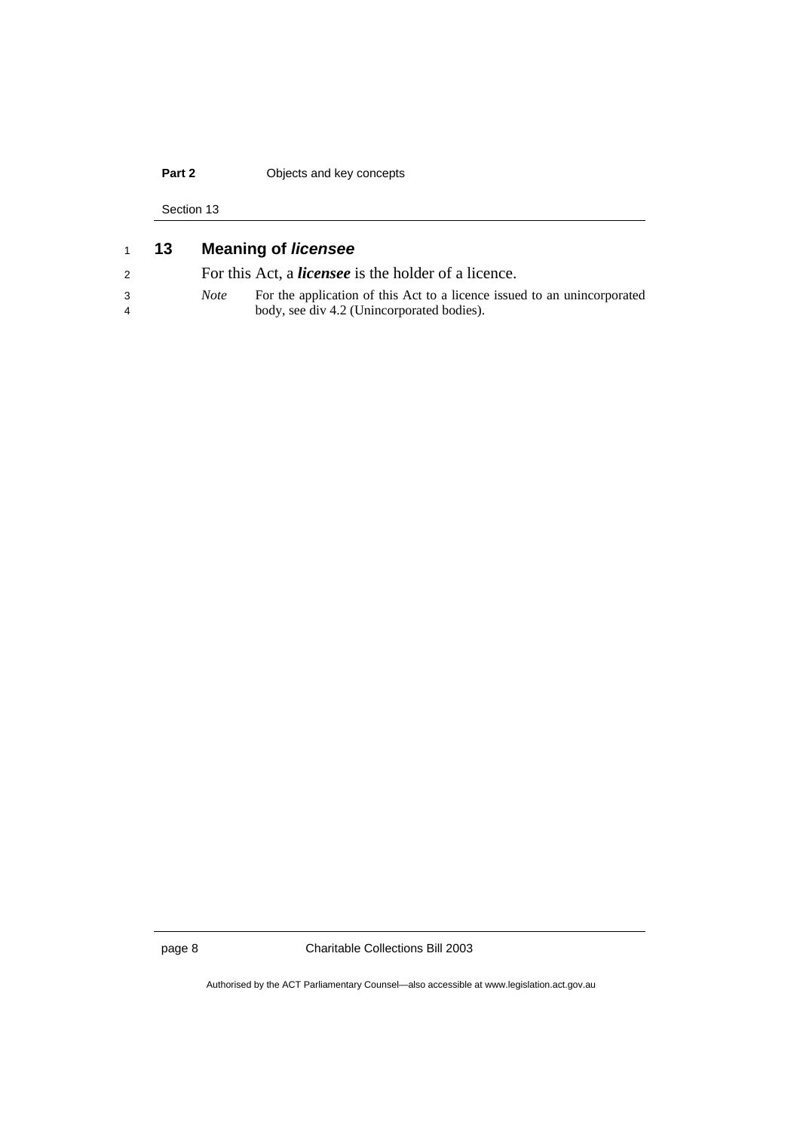## **Part 2 Objects and key concepts**

Section 13

| 1 | 13 |             | <b>Meaning of licensee</b>                                               |
|---|----|-------------|--------------------------------------------------------------------------|
| 2 |    |             | For this Act, a <i>licensee</i> is the holder of a licence.              |
| 3 |    | <i>Note</i> | For the application of this Act to a licence issued to an unincorporated |
| 4 |    |             | body, see div 4.2 (Unincorporated bodies).                               |
|   |    |             |                                                                          |

page 8 Charitable Collections Bill 2003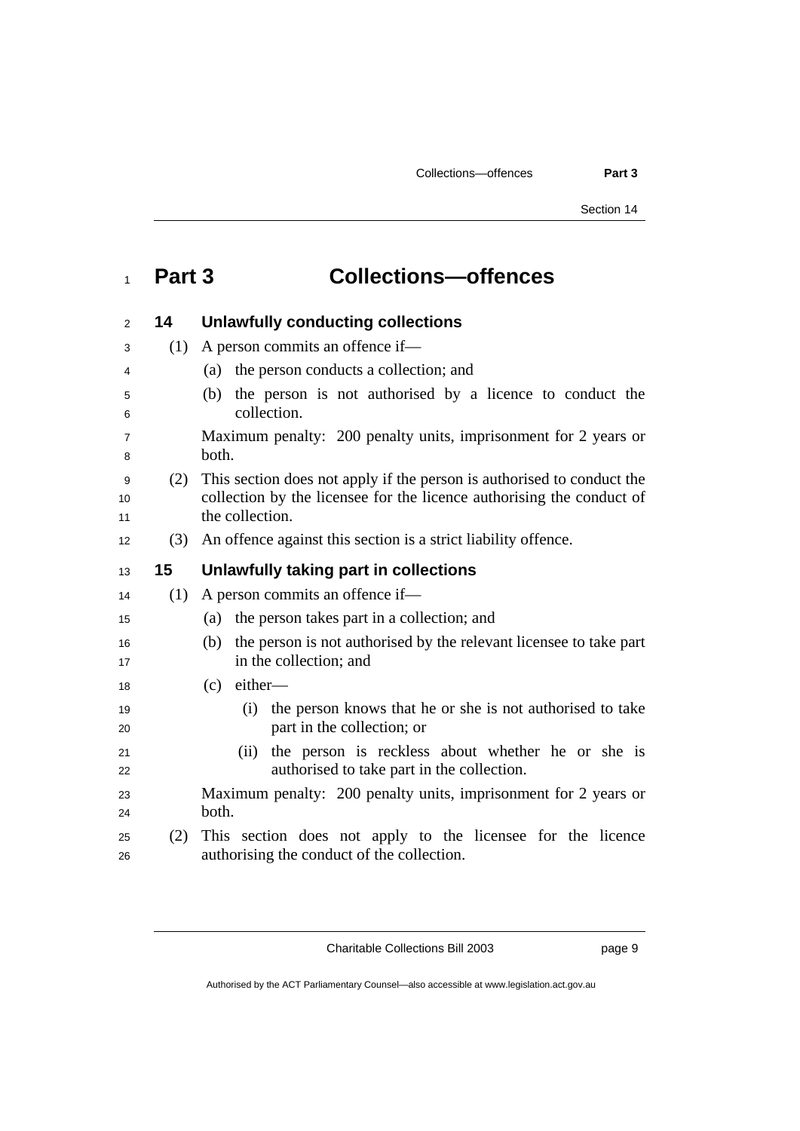## <sup>1</sup>**Part 3 Collections—offences**

| 2             | 14  | <b>Unlawfully conducting collections</b>                                                                                                                           |
|---------------|-----|--------------------------------------------------------------------------------------------------------------------------------------------------------------------|
| 3             | (1) | A person commits an offence if-                                                                                                                                    |
| 4             |     | the person conducts a collection; and<br>(a)                                                                                                                       |
| 5<br>6        |     | the person is not authorised by a licence to conduct the<br>(b)<br>collection.                                                                                     |
| 7<br>8        |     | Maximum penalty: 200 penalty units, imprisonment for 2 years or<br>both.                                                                                           |
| 9<br>10<br>11 | (2) | This section does not apply if the person is authorised to conduct the<br>collection by the licensee for the licence authorising the conduct of<br>the collection. |
| 12            | (3) | An offence against this section is a strict liability offence.                                                                                                     |
| 13            | 15  | Unlawfully taking part in collections                                                                                                                              |
| 14            | (1) | A person commits an offence if—                                                                                                                                    |
| 15            |     | the person takes part in a collection; and<br>(a)                                                                                                                  |
| 16<br>17      |     | the person is not authorised by the relevant licensee to take part<br>(b)<br>in the collection; and                                                                |
| 18            |     | either-<br>(c)                                                                                                                                                     |
| 19<br>20      |     | the person knows that he or she is not authorised to take<br>(i)<br>part in the collection; or                                                                     |
| 21<br>22      |     | the person is reckless about whether he or she is<br>(ii)<br>authorised to take part in the collection.                                                            |
| 23<br>24      |     | Maximum penalty: 200 penalty units, imprisonment for 2 years or<br>both.                                                                                           |
| 25<br>26      | (2) | This section does not apply to the licensee for the licence<br>authorising the conduct of the collection.                                                          |
|               |     |                                                                                                                                                                    |

Charitable Collections Bill 2003 page 9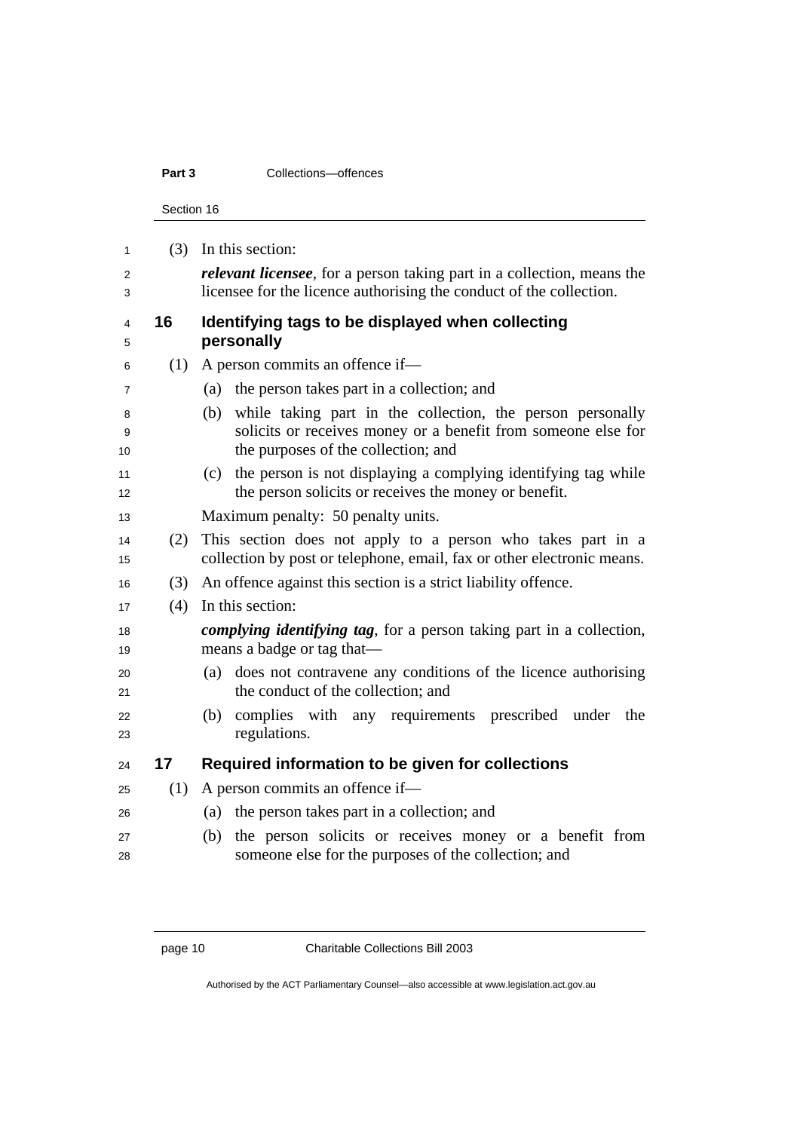### **Part 3 Collections**—offences

Section 16

|     | $(3)$ In this section:                                                                                    |
|-----|-----------------------------------------------------------------------------------------------------------|
|     | <i>relevant licensee</i> , for a person taking part in a collection, means the                            |
|     | licensee for the licence authorising the conduct of the collection.                                       |
| 16  | Identifying tags to be displayed when collecting                                                          |
|     | personally                                                                                                |
|     | A person commits an offence if—                                                                           |
|     | the person takes part in a collection; and<br>(a)                                                         |
|     | while taking part in the collection, the person personally<br>(b)                                         |
|     | solicits or receives money or a benefit from someone else for<br>the purposes of the collection; and      |
|     | the person is not displaying a complying identifying tag while<br>(c)                                     |
|     | the person solicits or receives the money or benefit.                                                     |
|     | Maximum penalty: 50 penalty units.                                                                        |
| (2) | This section does not apply to a person who takes part in a                                               |
|     | collection by post or telephone, email, fax or other electronic means.                                    |
| (3) | An offence against this section is a strict liability offence.                                            |
| (4) | In this section:                                                                                          |
|     | <i>complying identifying tag,</i> for a person taking part in a collection,<br>means a badge or tag that- |
|     | does not contravene any conditions of the licence authorising<br>(a)                                      |
|     | the conduct of the collection; and                                                                        |
|     | complies with any requirements prescribed<br>under<br>the<br>(b)                                          |
|     | regulations.                                                                                              |
| 17  | Required information to be given for collections                                                          |
|     | A person commits an offence if-                                                                           |
|     | (a) the person takes part in a collection; and                                                            |
|     | the person solicits or receives money or a benefit from<br>(b)                                            |
|     | someone else for the purposes of the collection; and                                                      |
|     | (1)<br>(1)                                                                                                |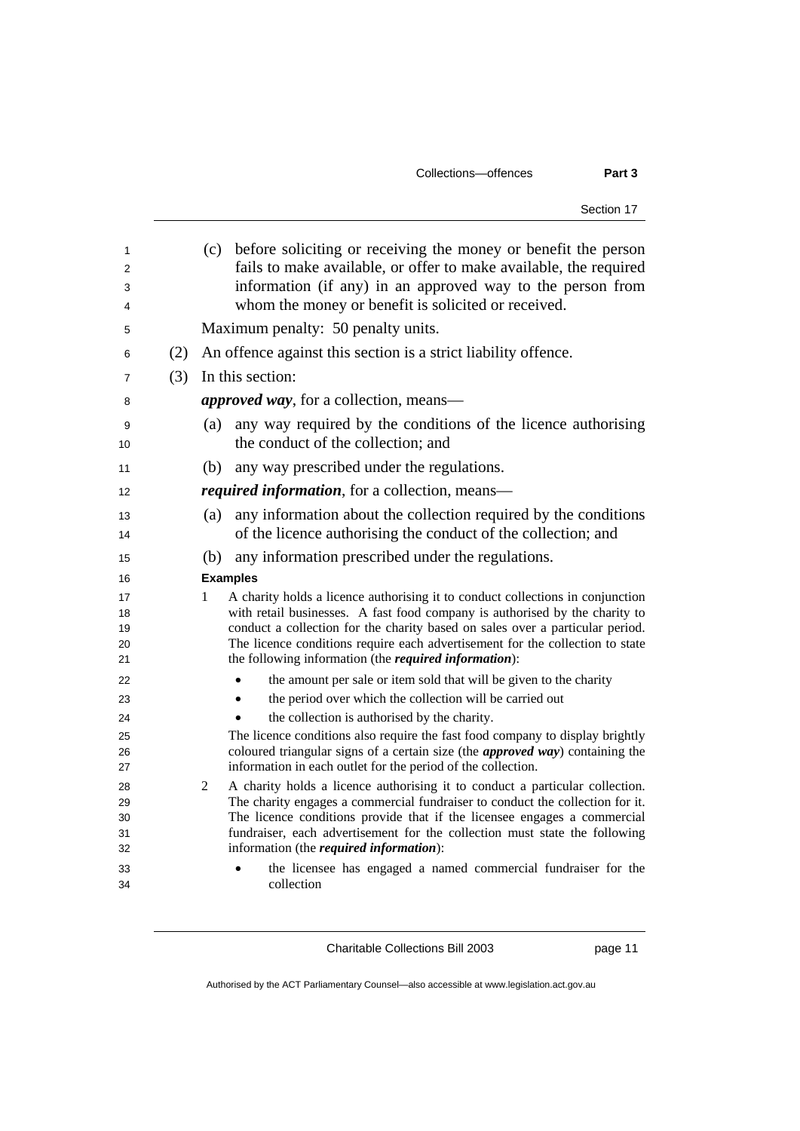#### Collections—offences **Part 3**

Section 17

| (c)<br>whom the money or benefit is solicited or received.<br>Maximum penalty: 50 penalty units.<br>An offence against this section is a strict liability offence.<br>(2)<br>(3)<br>In this section:<br><i>approved way</i> , for a collection, means—<br>any way required by the conditions of the licence authorising<br>(a)<br>the conduct of the collection; and<br>any way prescribed under the regulations.<br>(b)<br><i>required information</i> , for a collection, means—<br>(a)<br>of the licence authorising the conduct of the collection; and<br>any information prescribed under the regulations.<br>(b)<br><b>Examples</b><br>1<br>the following information (the required information):<br>the amount per sale or item sold that will be given to the charity<br>the period over which the collection will be carried out<br>the collection is authorised by the charity.<br>The licence conditions also require the fast food company to display brightly<br>coloured triangular signs of a certain size (the <i>approved way</i> ) containing the<br>information in each outlet for the period of the collection.<br>2<br>information (the <i>required information</i> ):<br>collection |                                                                                                                                                                                                                                                                                                                                 |
|-----------------------------------------------------------------------------------------------------------------------------------------------------------------------------------------------------------------------------------------------------------------------------------------------------------------------------------------------------------------------------------------------------------------------------------------------------------------------------------------------------------------------------------------------------------------------------------------------------------------------------------------------------------------------------------------------------------------------------------------------------------------------------------------------------------------------------------------------------------------------------------------------------------------------------------------------------------------------------------------------------------------------------------------------------------------------------------------------------------------------------------------------------------------------------------------------------------|---------------------------------------------------------------------------------------------------------------------------------------------------------------------------------------------------------------------------------------------------------------------------------------------------------------------------------|
|                                                                                                                                                                                                                                                                                                                                                                                                                                                                                                                                                                                                                                                                                                                                                                                                                                                                                                                                                                                                                                                                                                                                                                                                           | before soliciting or receiving the money or benefit the person<br>fails to make available, or offer to make available, the required<br>information (if any) in an approved way to the person from                                                                                                                               |
|                                                                                                                                                                                                                                                                                                                                                                                                                                                                                                                                                                                                                                                                                                                                                                                                                                                                                                                                                                                                                                                                                                                                                                                                           |                                                                                                                                                                                                                                                                                                                                 |
|                                                                                                                                                                                                                                                                                                                                                                                                                                                                                                                                                                                                                                                                                                                                                                                                                                                                                                                                                                                                                                                                                                                                                                                                           |                                                                                                                                                                                                                                                                                                                                 |
|                                                                                                                                                                                                                                                                                                                                                                                                                                                                                                                                                                                                                                                                                                                                                                                                                                                                                                                                                                                                                                                                                                                                                                                                           |                                                                                                                                                                                                                                                                                                                                 |
|                                                                                                                                                                                                                                                                                                                                                                                                                                                                                                                                                                                                                                                                                                                                                                                                                                                                                                                                                                                                                                                                                                                                                                                                           |                                                                                                                                                                                                                                                                                                                                 |
|                                                                                                                                                                                                                                                                                                                                                                                                                                                                                                                                                                                                                                                                                                                                                                                                                                                                                                                                                                                                                                                                                                                                                                                                           |                                                                                                                                                                                                                                                                                                                                 |
|                                                                                                                                                                                                                                                                                                                                                                                                                                                                                                                                                                                                                                                                                                                                                                                                                                                                                                                                                                                                                                                                                                                                                                                                           |                                                                                                                                                                                                                                                                                                                                 |
|                                                                                                                                                                                                                                                                                                                                                                                                                                                                                                                                                                                                                                                                                                                                                                                                                                                                                                                                                                                                                                                                                                                                                                                                           |                                                                                                                                                                                                                                                                                                                                 |
|                                                                                                                                                                                                                                                                                                                                                                                                                                                                                                                                                                                                                                                                                                                                                                                                                                                                                                                                                                                                                                                                                                                                                                                                           |                                                                                                                                                                                                                                                                                                                                 |
|                                                                                                                                                                                                                                                                                                                                                                                                                                                                                                                                                                                                                                                                                                                                                                                                                                                                                                                                                                                                                                                                                                                                                                                                           | any information about the collection required by the conditions                                                                                                                                                                                                                                                                 |
|                                                                                                                                                                                                                                                                                                                                                                                                                                                                                                                                                                                                                                                                                                                                                                                                                                                                                                                                                                                                                                                                                                                                                                                                           |                                                                                                                                                                                                                                                                                                                                 |
|                                                                                                                                                                                                                                                                                                                                                                                                                                                                                                                                                                                                                                                                                                                                                                                                                                                                                                                                                                                                                                                                                                                                                                                                           |                                                                                                                                                                                                                                                                                                                                 |
|                                                                                                                                                                                                                                                                                                                                                                                                                                                                                                                                                                                                                                                                                                                                                                                                                                                                                                                                                                                                                                                                                                                                                                                                           | A charity holds a licence authorising it to conduct collections in conjunction<br>with retail businesses. A fast food company is authorised by the charity to<br>conduct a collection for the charity based on sales over a particular period.<br>The licence conditions require each advertisement for the collection to state |
|                                                                                                                                                                                                                                                                                                                                                                                                                                                                                                                                                                                                                                                                                                                                                                                                                                                                                                                                                                                                                                                                                                                                                                                                           |                                                                                                                                                                                                                                                                                                                                 |
|                                                                                                                                                                                                                                                                                                                                                                                                                                                                                                                                                                                                                                                                                                                                                                                                                                                                                                                                                                                                                                                                                                                                                                                                           |                                                                                                                                                                                                                                                                                                                                 |
|                                                                                                                                                                                                                                                                                                                                                                                                                                                                                                                                                                                                                                                                                                                                                                                                                                                                                                                                                                                                                                                                                                                                                                                                           |                                                                                                                                                                                                                                                                                                                                 |
|                                                                                                                                                                                                                                                                                                                                                                                                                                                                                                                                                                                                                                                                                                                                                                                                                                                                                                                                                                                                                                                                                                                                                                                                           |                                                                                                                                                                                                                                                                                                                                 |
|                                                                                                                                                                                                                                                                                                                                                                                                                                                                                                                                                                                                                                                                                                                                                                                                                                                                                                                                                                                                                                                                                                                                                                                                           |                                                                                                                                                                                                                                                                                                                                 |
|                                                                                                                                                                                                                                                                                                                                                                                                                                                                                                                                                                                                                                                                                                                                                                                                                                                                                                                                                                                                                                                                                                                                                                                                           | A charity holds a licence authorising it to conduct a particular collection.<br>The charity engages a commercial fundraiser to conduct the collection for it.<br>The licence conditions provide that if the licensee engages a commercial<br>fundraiser, each advertisement for the collection must state the following         |
|                                                                                                                                                                                                                                                                                                                                                                                                                                                                                                                                                                                                                                                                                                                                                                                                                                                                                                                                                                                                                                                                                                                                                                                                           | the licensee has engaged a named commercial fundraiser for the                                                                                                                                                                                                                                                                  |

Charitable Collections Bill 2003 page 11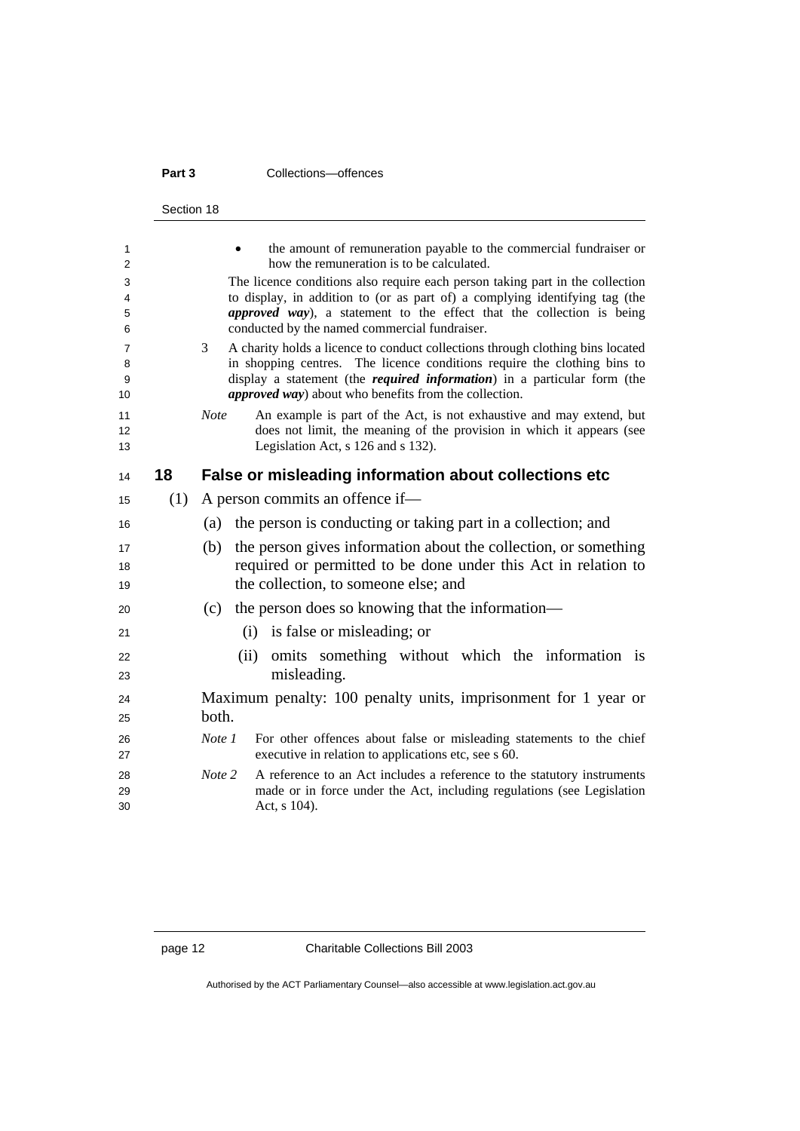#### **Part 3 Collections**—offences

|                   | Section 18 |                                                                                                                                                                                                                                                                                                                      |
|-------------------|------------|----------------------------------------------------------------------------------------------------------------------------------------------------------------------------------------------------------------------------------------------------------------------------------------------------------------------|
| 1<br>2            |            | the amount of remuneration payable to the commercial fundraiser or<br>how the remuneration is to be calculated.                                                                                                                                                                                                      |
| 3<br>4<br>5<br>6  |            | The licence conditions also require each person taking part in the collection<br>to display, in addition to (or as part of) a complying identifying tag (the<br>approved way), a statement to the effect that the collection is being<br>conducted by the named commercial fundraiser.                               |
| 7<br>8<br>9<br>10 |            | A charity holds a licence to conduct collections through clothing bins located<br>3<br>in shopping centres. The licence conditions require the clothing bins to<br>display a statement (the <i>required information</i> ) in a particular form (the<br><i>approved way</i> ) about who benefits from the collection. |
| 11<br>12<br>13    |            | <b>Note</b><br>An example is part of the Act, is not exhaustive and may extend, but<br>does not limit, the meaning of the provision in which it appears (see<br>Legislation Act, s 126 and s 132).                                                                                                                   |
| 14                | 18         | False or misleading information about collections etc                                                                                                                                                                                                                                                                |
| 15                | (1)        | A person commits an offence if—                                                                                                                                                                                                                                                                                      |
| 16                |            | the person is conducting or taking part in a collection; and<br>(a)                                                                                                                                                                                                                                                  |
| 17<br>18<br>19    |            | (b)<br>the person gives information about the collection, or something<br>required or permitted to be done under this Act in relation to<br>the collection, to someone else; and                                                                                                                                     |
| 20                |            | the person does so knowing that the information—<br>(c)                                                                                                                                                                                                                                                              |
| 21                |            | (i) is false or misleading; or                                                                                                                                                                                                                                                                                       |
| 22<br>23          |            | omits something without which the information is<br>(ii)<br>misleading.                                                                                                                                                                                                                                              |
| 24<br>25          |            | Maximum penalty: 100 penalty units, imprisonment for 1 year or<br>both.                                                                                                                                                                                                                                              |
| 26<br>27          |            | Note 1<br>For other offences about false or misleading statements to the chief<br>executive in relation to applications etc, see s 60.                                                                                                                                                                               |
| 28<br>29<br>30    |            | Note 2<br>A reference to an Act includes a reference to the statutory instruments<br>made or in force under the Act, including regulations (see Legislation<br>Act, s 104).                                                                                                                                          |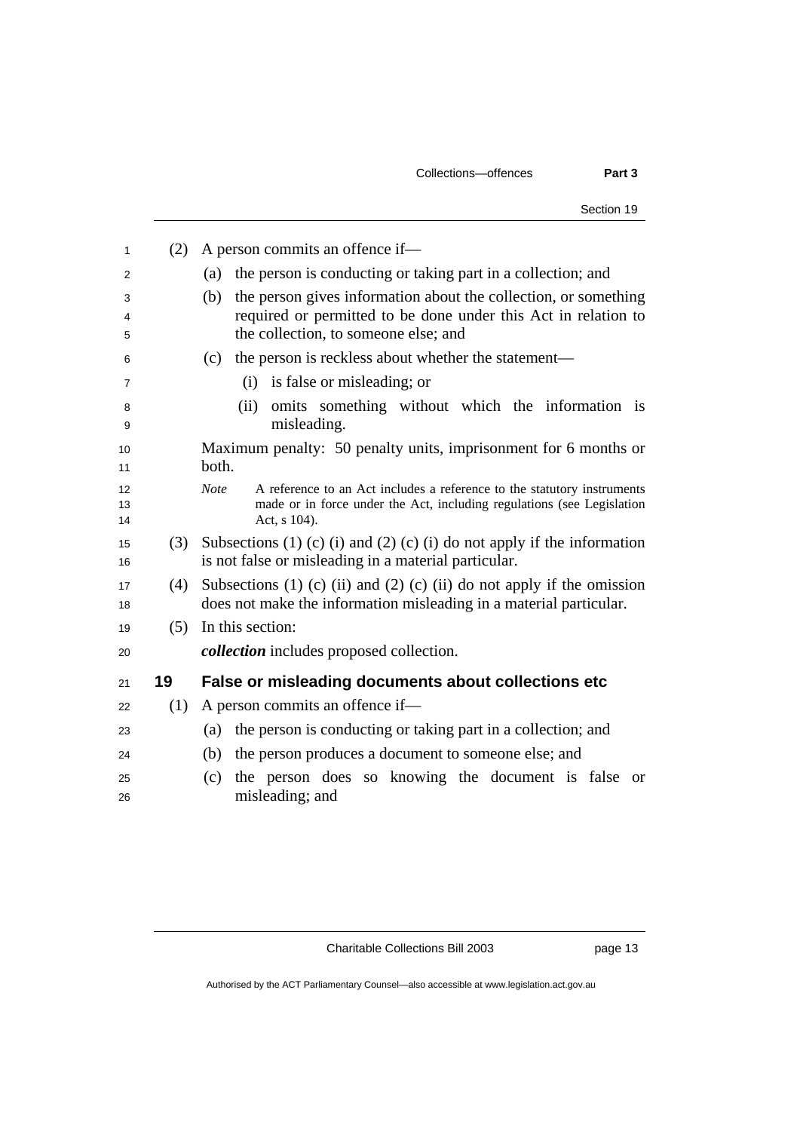| Section 19                                                                                                                                                                       |
|----------------------------------------------------------------------------------------------------------------------------------------------------------------------------------|
| A person commits an offence if—<br>(2)                                                                                                                                           |
| the person is conducting or taking part in a collection; and<br>(a)                                                                                                              |
| the person gives information about the collection, or something<br>(b)<br>required or permitted to be done under this Act in relation to<br>the collection, to someone else; and |
| the person is reckless about whether the statement—<br>(c)                                                                                                                       |
| (i) is false or misleading; or                                                                                                                                                   |
| omits something without which the information is<br>(ii)<br>misleading.                                                                                                          |
| Maximum penalty: 50 penalty units, imprisonment for 6 months or<br>both.                                                                                                         |
| <b>Note</b><br>A reference to an Act includes a reference to the statutory instruments<br>made or in force under the Act, including regulations (see Legislation<br>Act, s 104). |
| Subsections (1) (c) (i) and (2) (c) (i) do not apply if the information<br>(3)<br>is not false or misleading in a material particular.                                           |
| Subsections (1) (c) (ii) and (2) (c) (ii) do not apply if the omission<br>(4)<br>does not make the information misleading in a material particular.                              |
| In this section:<br>(5)                                                                                                                                                          |
| <i>collection</i> includes proposed collection.                                                                                                                                  |
| False or misleading documents about collections etc                                                                                                                              |
| A person commits an offence if—<br>(1)                                                                                                                                           |
| the person is conducting or taking part in a collection; and<br>(a)                                                                                                              |
| the person produces a document to someone else; and<br>(b)                                                                                                                       |
| the person does so knowing the document is false or<br>(c)<br>misleading; and                                                                                                    |
|                                                                                                                                                                                  |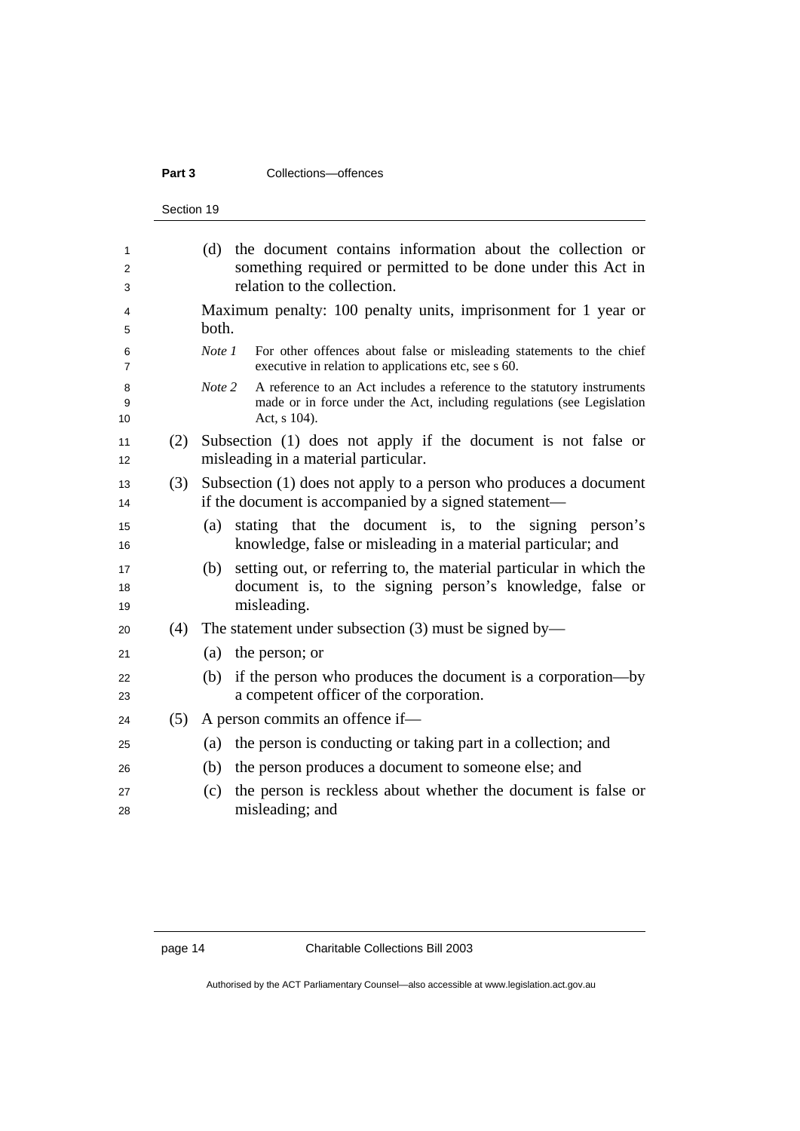### **Part 3 Collections**—offences

Section 19

|     | the document contains information about the collection or<br>(d)<br>something required or permitted to be done under this Act in<br>relation to the collection.             |
|-----|-----------------------------------------------------------------------------------------------------------------------------------------------------------------------------|
|     | Maximum penalty: 100 penalty units, imprisonment for 1 year or<br>both.                                                                                                     |
|     | Note 1<br>For other offences about false or misleading statements to the chief<br>executive in relation to applications etc, see s 60.                                      |
|     | Note 2<br>A reference to an Act includes a reference to the statutory instruments<br>made or in force under the Act, including regulations (see Legislation<br>Act, s 104). |
| (2) | Subsection (1) does not apply if the document is not false or<br>misleading in a material particular.                                                                       |
| (3) | Subsection (1) does not apply to a person who produces a document<br>if the document is accompanied by a signed statement—                                                  |
|     | stating that the document is, to the signing person's<br>(a)<br>knowledge, false or misleading in a material particular; and                                                |
|     | setting out, or referring to, the material particular in which the<br>(b)<br>document is, to the signing person's knowledge, false or<br>misleading.                        |
| (4) | The statement under subsection $(3)$ must be signed by—                                                                                                                     |
|     | the person; or<br>(a)                                                                                                                                                       |
|     | if the person who produces the document is a corporation-by<br>(b)<br>a competent officer of the corporation.                                                               |
| (5) | A person commits an offence if-                                                                                                                                             |
|     | the person is conducting or taking part in a collection; and<br>(a)                                                                                                         |
|     | the person produces a document to someone else; and<br>(b)                                                                                                                  |
|     | the person is reckless about whether the document is false or<br>(c)<br>misleading; and                                                                                     |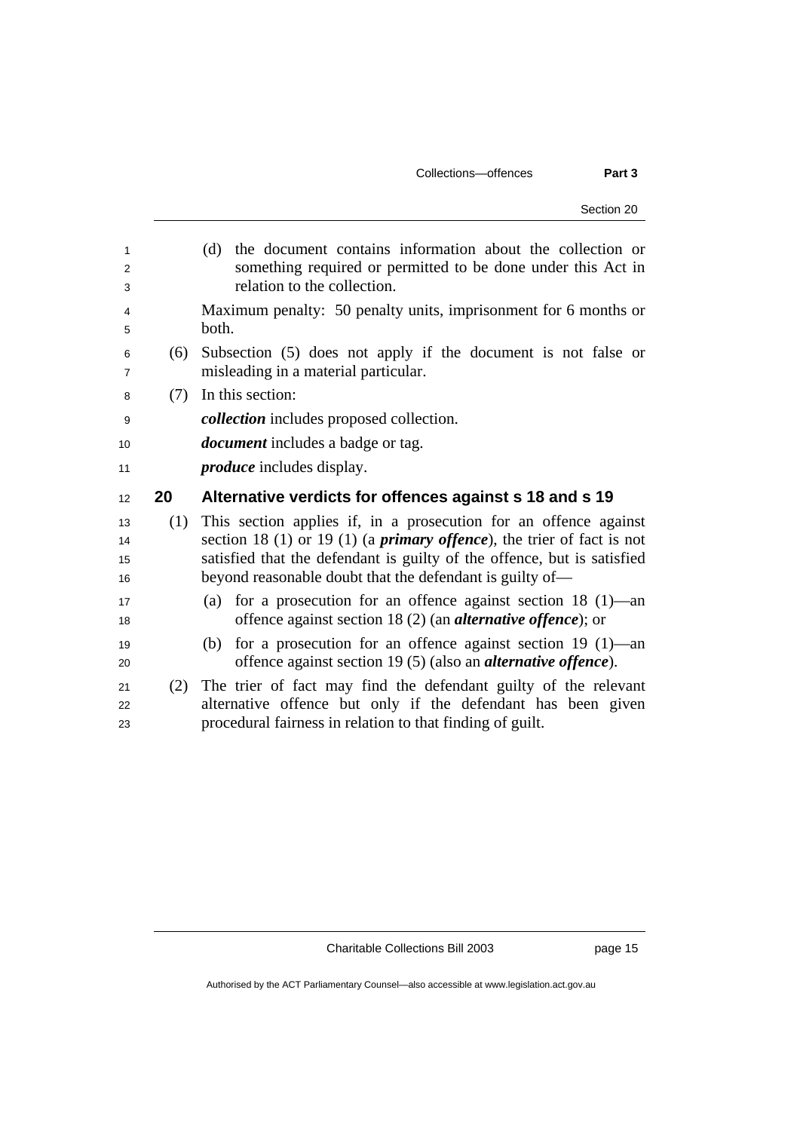### Collections—offences **Part 3**

| 1  |     | (d) the document contains information about the collection or                  |
|----|-----|--------------------------------------------------------------------------------|
| 2  |     | something required or permitted to be done under this Act in                   |
| 3  |     | relation to the collection.                                                    |
| 4  |     | Maximum penalty: 50 penalty units, imprisonment for 6 months or                |
| 5  |     | both.                                                                          |
| 6  | (6) | Subsection (5) does not apply if the document is not false or                  |
| 7  |     | misleading in a material particular.                                           |
| 8  | (7) | In this section:                                                               |
| 9  |     | <i>collection</i> includes proposed collection.                                |
| 10 |     | <i>document</i> includes a badge or tag.                                       |
| 11 |     | <i>produce</i> includes display.                                               |
|    |     |                                                                                |
| 12 | 20  | Alternative verdicts for offences against s 18 and s 19                        |
| 13 | (1) | This section applies if, in a prosecution for an offence against               |
| 14 |     | section 18 (1) or 19 (1) (a <i>primary offence</i> ), the trier of fact is not |
| 15 |     | satisfied that the defendant is guilty of the offence, but is satisfied        |
| 16 |     | beyond reasonable doubt that the defendant is guilty of—                       |
| 17 |     | for a prosecution for an offence against section $18(1)$ —an<br>(a)            |
| 18 |     | offence against section 18 $(2)$ (an <i>alternative offence</i> ); or          |
| 19 |     | for a prosecution for an offence against section 19 $(1)$ —an<br>(b)           |
| 20 |     | offence against section 19 (5) (also an <i>alternative offence</i> ).          |
| 21 | (2) | The trier of fact may find the defendant guilty of the relevant                |
| 22 |     | alternative offence but only if the defendant has been given                   |

Charitable Collections Bill 2003 page 15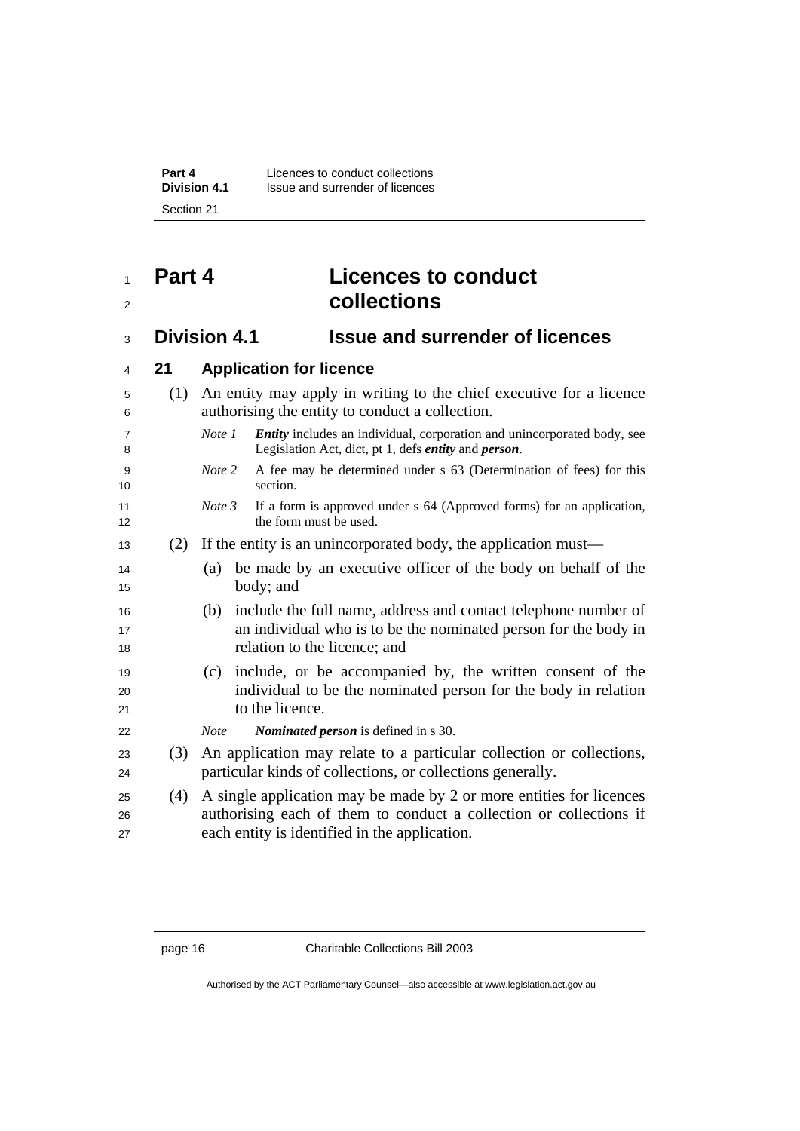## **Part 4 Licences to conduct collections**

## **Division 4.1 Issue and surrender of licences**

### **21 Application for licence**

|  | (1) An entity may apply in writing to the chief executive for a licence |
|--|-------------------------------------------------------------------------|
|  | authorising the entity to conduct a collection.                         |

- *Note 1 Entity* includes an individual, corporation and unincorporated body, see Legislation Act, dict, pt 1, defs *entity* and *person*.
- *Note 2* A fee may be determined under s 63 (Determination of fees) for this section.
- *Note 3* If a form is approved under s 64 (Approved forms) for an application, 12 the form must be used.
- (2) If the entity is an unincorporated body, the application must—
- (a) be made by an executive officer of the body on behalf of the 15 body; and
- (b) include the full name, address and contact telephone number of 17 an individual who is to be the nominated person for the body in 18 relation to the licence; and
- (c) include, or be accompanied by, the written consent of the individual to be the nominated person for the body in relation 21 to the licence.
- *Note Nominated person* is defined in s 30.
- (3) An application may relate to a particular collection or collections, particular kinds of collections, or collections generally.
- (4) A single application may be made by 2 or more entities for licences authorising each of them to conduct a collection or collections if each entity is identified in the application.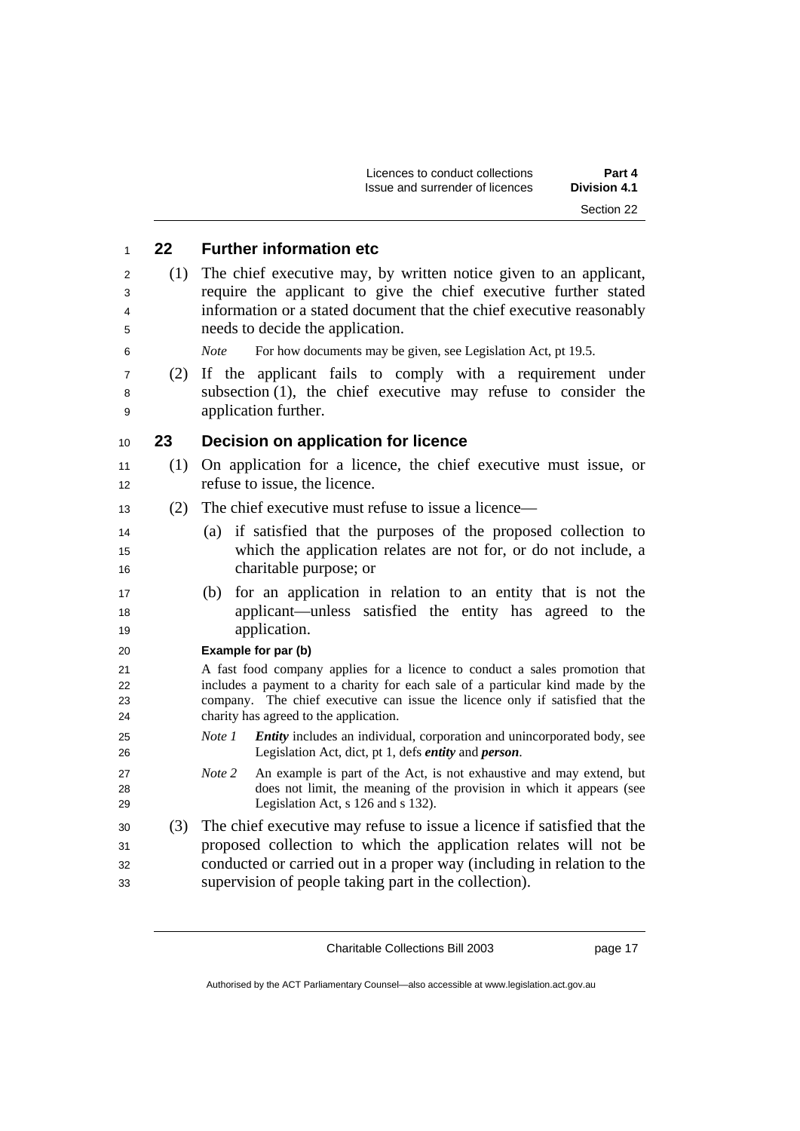|     | Licences to conduct collections<br>Part 4<br>Issue and surrender of licences<br><b>Division 4.1</b>                                                                                                                                                                                      |
|-----|------------------------------------------------------------------------------------------------------------------------------------------------------------------------------------------------------------------------------------------------------------------------------------------|
|     | Section 22                                                                                                                                                                                                                                                                               |
| 22  | <b>Further information etc</b>                                                                                                                                                                                                                                                           |
| (1) | The chief executive may, by written notice given to an applicant,<br>require the applicant to give the chief executive further stated<br>information or a stated document that the chief executive reasonably                                                                            |
|     | needs to decide the application.<br>For how documents may be given, see Legislation Act, pt 19.5.<br><i>Note</i>                                                                                                                                                                         |
| (2) | If the applicant fails to comply with a requirement under<br>subsection $(1)$ , the chief executive may refuse to consider the<br>application further.                                                                                                                                   |
| 23  | Decision on application for licence                                                                                                                                                                                                                                                      |
| (1) | On application for a licence, the chief executive must issue, or<br>refuse to issue, the licence.                                                                                                                                                                                        |
| (2) | The chief executive must refuse to issue a licence—                                                                                                                                                                                                                                      |
|     | (a) if satisfied that the purposes of the proposed collection to<br>which the application relates are not for, or do not include, a<br>charitable purpose; or                                                                                                                            |
|     | for an application in relation to an entity that is not the<br>(b)<br>applicant—unless satisfied the entity has agreed to the<br>application.                                                                                                                                            |
|     | Example for par (b)                                                                                                                                                                                                                                                                      |
|     | A fast food company applies for a licence to conduct a sales promotion that<br>includes a payment to a charity for each sale of a particular kind made by the<br>company. The chief executive can issue the licence only if satisfied that the<br>charity has agreed to the application. |
|     | <i>Entity</i> includes an individual, corporation and unincorporated body, see<br>Note 1<br>Legislation Act, dict, pt 1, defs <i>entity</i> and <i>person</i> .                                                                                                                          |
|     | Note 2<br>An example is part of the Act, is not exhaustive and may extend, but<br>does not limit, the meaning of the provision in which it appears (see<br>Legislation Act, s 126 and s 132).                                                                                            |
| (3) | The chief executive may refuse to issue a licence if satisfied that the<br>proposed collection to which the application relates will not be<br>conducted or carried out in a proper way (including in relation to the<br>supervision of people taking part in the collection).           |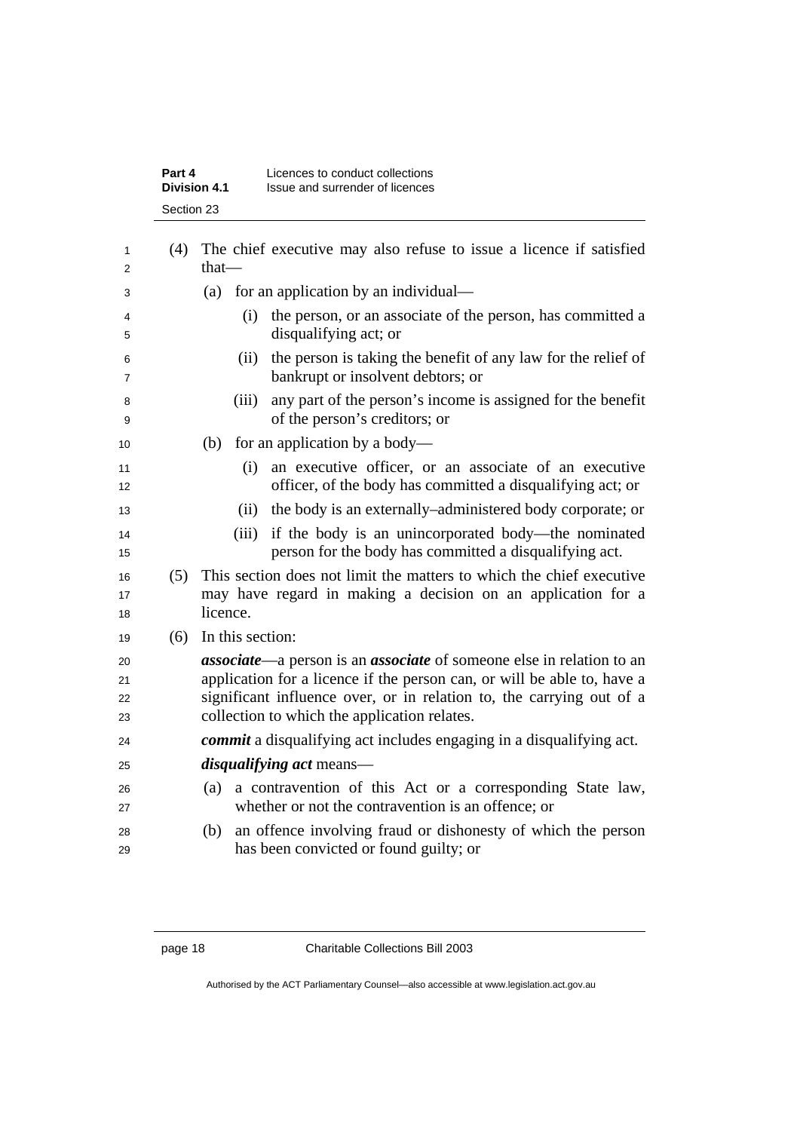|                      | <b>Division 4.1</b> |                  |       | Issue and surrender of licences                                                                                                                                                                                                                                                        |
|----------------------|---------------------|------------------|-------|----------------------------------------------------------------------------------------------------------------------------------------------------------------------------------------------------------------------------------------------------------------------------------------|
|                      | Section 23          |                  |       |                                                                                                                                                                                                                                                                                        |
| 1<br>2               | (4)                 | $that$ —         |       | The chief executive may also refuse to issue a licence if satisfied                                                                                                                                                                                                                    |
| 3                    |                     |                  |       | (a) for an application by an individual—                                                                                                                                                                                                                                               |
| 4<br>5               |                     |                  | (i)   | the person, or an associate of the person, has committed a<br>disqualifying act; or                                                                                                                                                                                                    |
| 6<br>7               |                     |                  | (ii)  | the person is taking the benefit of any law for the relief of<br>bankrupt or insolvent debtors; or                                                                                                                                                                                     |
| 8<br>9               |                     |                  | (iii) | any part of the person's income is assigned for the benefit<br>of the person's creditors; or                                                                                                                                                                                           |
| 10                   |                     | (b)              |       | for an application by a body—                                                                                                                                                                                                                                                          |
| 11<br>12             |                     |                  | (i)   | an executive officer, or an associate of an executive<br>officer, of the body has committed a disqualifying act; or                                                                                                                                                                    |
| 13                   |                     |                  | (ii)  | the body is an externally–administered body corporate; or                                                                                                                                                                                                                              |
| 14<br>15             |                     |                  | (iii) | if the body is an unincorporated body—the nominated<br>person for the body has committed a disqualifying act.                                                                                                                                                                          |
| 16<br>17<br>18       | (5)                 | licence.         |       | This section does not limit the matters to which the chief executive<br>may have regard in making a decision on an application for a                                                                                                                                                   |
| 19                   | (6)                 | In this section: |       |                                                                                                                                                                                                                                                                                        |
| 20<br>21<br>22<br>23 |                     |                  |       | <b>associate</b> —a person is an <b>associate</b> of someone else in relation to an<br>application for a licence if the person can, or will be able to, have a<br>significant influence over, or in relation to, the carrying out of a<br>collection to which the application relates. |
| 24                   |                     |                  |       | commit a disqualifying act includes engaging in a disqualifying act.                                                                                                                                                                                                                   |
| 25                   |                     |                  |       | <i>disqualifying act</i> means—                                                                                                                                                                                                                                                        |
| 26<br>27             |                     | (a)              |       | a contravention of this Act or a corresponding State law,<br>whether or not the contravention is an offence; or                                                                                                                                                                        |
| 28<br>29             |                     | (b)              |       | an offence involving fraud or dishonesty of which the person<br>has been convicted or found guilty; or                                                                                                                                                                                 |
|                      |                     |                  |       |                                                                                                                                                                                                                                                                                        |

**Part 4 Licences to conduct collections**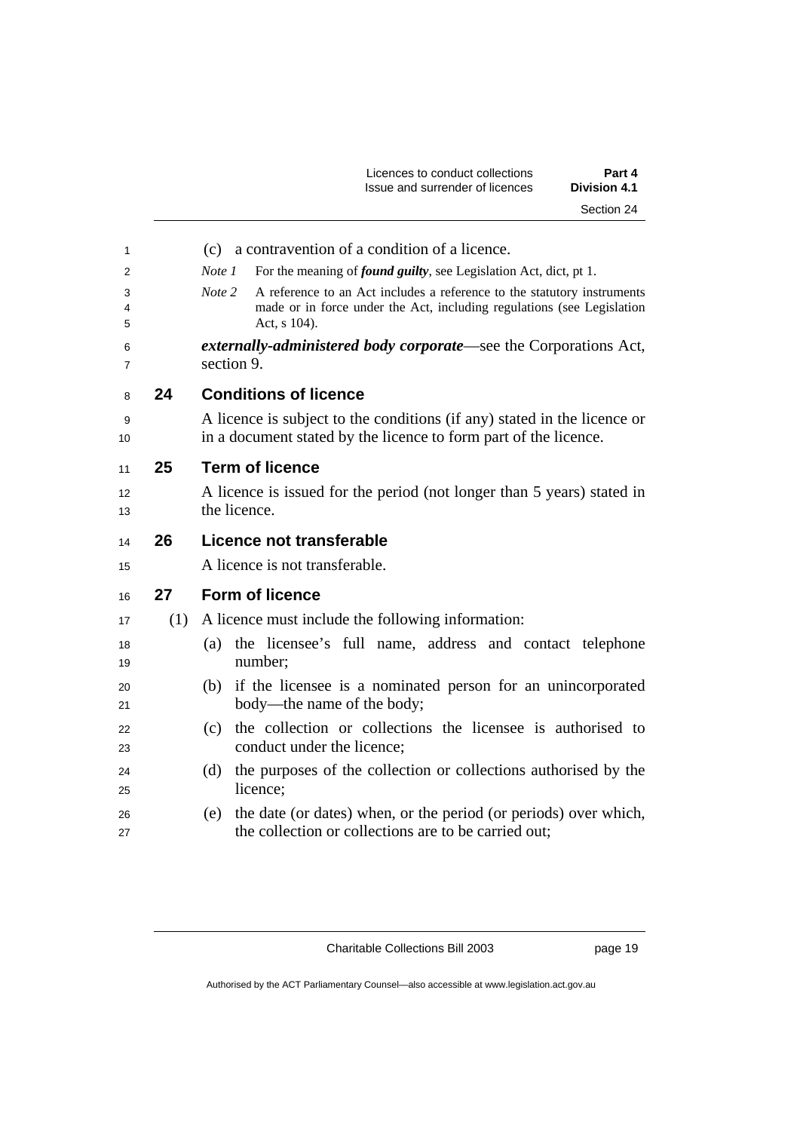| Licences to conduct collections | Part 4              |
|---------------------------------|---------------------|
| Issue and surrender of licences | <b>Division 4.1</b> |
|                                 | Section 24          |

| 1                   |     | (c) a contravention of a condition of a licence.                                                                                                                            |
|---------------------|-----|-----------------------------------------------------------------------------------------------------------------------------------------------------------------------------|
| 2                   |     | For the meaning of <i>found guilty</i> , see Legislation Act, dict, pt 1.<br>Note 1                                                                                         |
| 3<br>4<br>5         |     | Note 2<br>A reference to an Act includes a reference to the statutory instruments<br>made or in force under the Act, including regulations (see Legislation<br>Act, s 104). |
| 6<br>$\overline{7}$ |     | externally-administered body corporate—see the Corporations Act,<br>section 9.                                                                                              |
| 8                   | 24  | <b>Conditions of licence</b>                                                                                                                                                |
| 9<br>10             |     | A licence is subject to the conditions (if any) stated in the licence or<br>in a document stated by the licence to form part of the licence.                                |
| 11                  | 25  | <b>Term of licence</b>                                                                                                                                                      |
| 12                  |     | A licence is issued for the period (not longer than 5 years) stated in                                                                                                      |
| 13                  |     | the licence.                                                                                                                                                                |
| 14                  | 26  | Licence not transferable                                                                                                                                                    |
| 15                  |     | A licence is not transferable.                                                                                                                                              |
| 16                  | 27  | <b>Form of licence</b>                                                                                                                                                      |
| 17                  | (1) | A licence must include the following information:                                                                                                                           |
| 18<br>19            |     | (a) the licensee's full name, address and contact telephone<br>number;                                                                                                      |
| 20<br>21            |     | if the licensee is a nominated person for an unincorporated<br>(b)<br>body—the name of the body;                                                                            |
| 22<br>23            |     | the collection or collections the licensee is authorised to<br>(c)<br>conduct under the licence;                                                                            |
| 24<br>25            |     | the purposes of the collection or collections authorised by the<br>(d)<br>licence;                                                                                          |
| 26<br>27            |     | the date (or dates) when, or the period (or periods) over which,<br>(e)<br>the collection or collections are to be carried out;                                             |
|                     |     |                                                                                                                                                                             |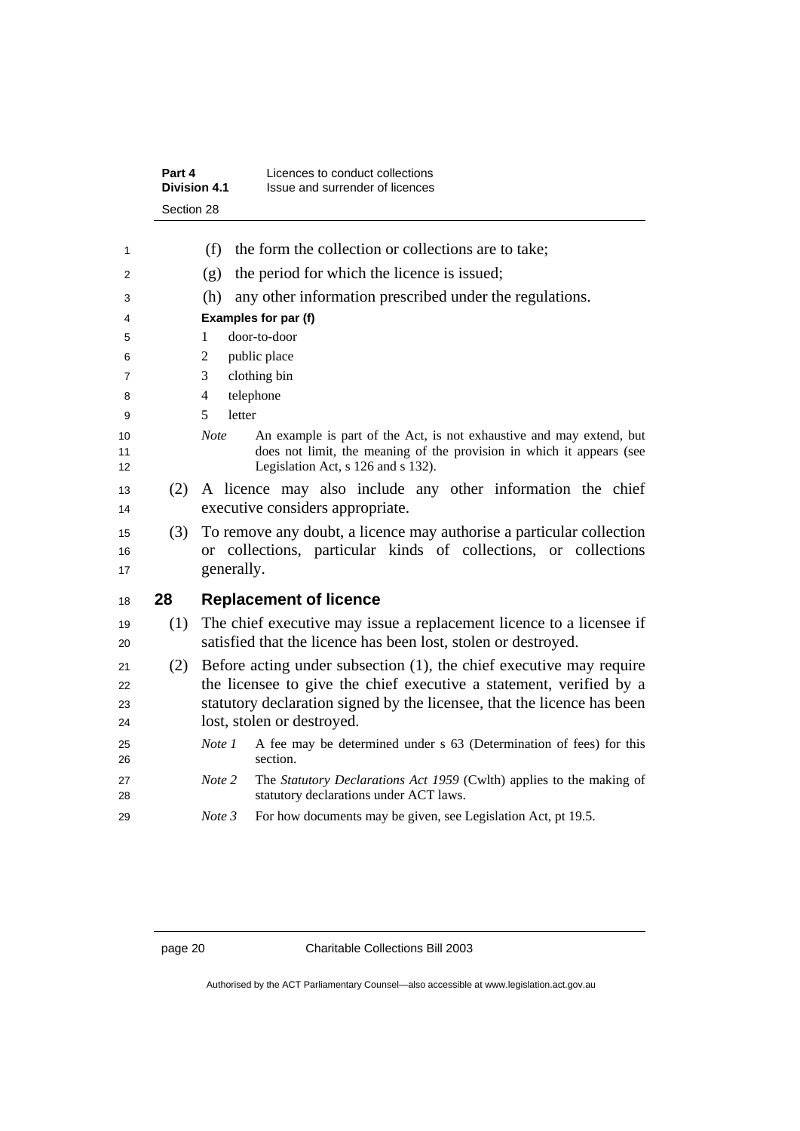|                | Part 4     | Licences to conduct collections<br><b>Division 4.1</b><br>Issue and surrender of licences                                                                                                          |
|----------------|------------|----------------------------------------------------------------------------------------------------------------------------------------------------------------------------------------------------|
|                | Section 28 |                                                                                                                                                                                                    |
| 1              |            | the form the collection or collections are to take;<br>(f)                                                                                                                                         |
| 2              |            | the period for which the licence is issued;<br>(g)                                                                                                                                                 |
| 3              |            | any other information prescribed under the regulations.<br>(h)                                                                                                                                     |
| 4              |            | Examples for par (f)                                                                                                                                                                               |
| 5              |            | door-to-door<br>1                                                                                                                                                                                  |
| 6              |            | public place<br>2                                                                                                                                                                                  |
| 7              |            | clothing bin<br>3                                                                                                                                                                                  |
| 8              |            | telephone<br>4                                                                                                                                                                                     |
| 9              |            | letter<br>5                                                                                                                                                                                        |
| 10<br>11<br>12 |            | <b>Note</b><br>An example is part of the Act, is not exhaustive and may extend, but<br>does not limit, the meaning of the provision in which it appears (see<br>Legislation Act, s 126 and s 132). |
| 13<br>14       | (2)        | A licence may also include any other information the chief<br>executive considers appropriate.                                                                                                     |
| 15<br>16<br>17 | (3)        | To remove any doubt, a licence may authorise a particular collection<br>or collections, particular kinds of collections, or collections<br>generally.                                              |
| 18             | 28         | <b>Replacement of licence</b>                                                                                                                                                                      |
| 19<br>20       | (1)        | The chief executive may issue a replacement licence to a licensee if<br>satisfied that the licence has been lost, stolen or destroyed.                                                             |
| 21             | (2)        | Before acting under subsection $(1)$ , the chief executive may require                                                                                                                             |
| 22             |            | the licensee to give the chief executive a statement, verified by a                                                                                                                                |
| 23             |            | statutory declaration signed by the licensee, that the licence has been                                                                                                                            |
| 24             |            | lost, stolen or destroyed.                                                                                                                                                                         |
| 25<br>26       |            | Note 1<br>A fee may be determined under s 63 (Determination of fees) for this<br>section.                                                                                                          |
| 27<br>28       |            | The Statutory Declarations Act 1959 (Cwlth) applies to the making of<br>Note 2<br>statutory declarations under ACT laws.                                                                           |
| 29             |            | Note 3<br>For how documents may be given, see Legislation Act, pt 19.5.                                                                                                                            |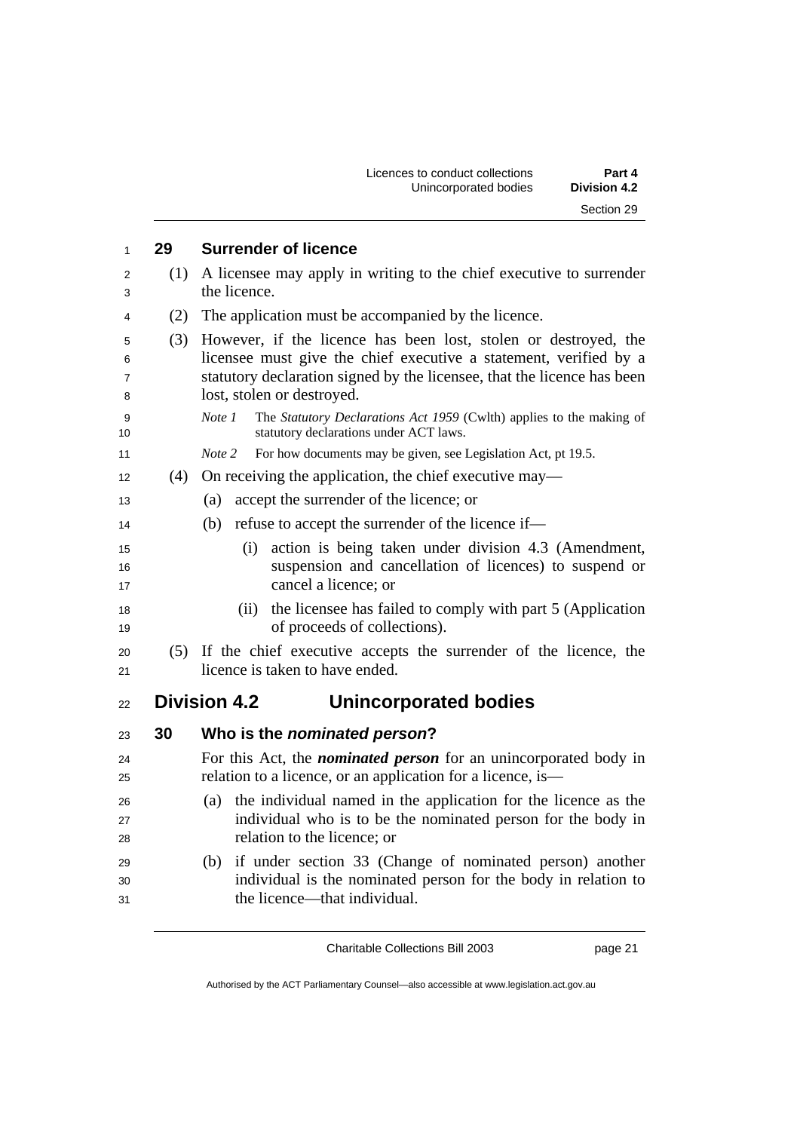|     | <b>Division 4.2</b><br>Unincorporated bodies                                                                                                                                                                                                  |
|-----|-----------------------------------------------------------------------------------------------------------------------------------------------------------------------------------------------------------------------------------------------|
|     | Section 29                                                                                                                                                                                                                                    |
| 29  | <b>Surrender of licence</b>                                                                                                                                                                                                                   |
| (1) | A licensee may apply in writing to the chief executive to surrender<br>the licence.                                                                                                                                                           |
| (2) | The application must be accompanied by the licence.                                                                                                                                                                                           |
| (3) | However, if the licence has been lost, stolen or destroyed, the<br>licensee must give the chief executive a statement, verified by a<br>statutory declaration signed by the licensee, that the licence has been<br>lost, stolen or destroyed. |
|     | The Statutory Declarations Act 1959 (Cwlth) applies to the making of<br>Note 1<br>statutory declarations under ACT laws.                                                                                                                      |
|     | For how documents may be given, see Legislation Act, pt 19.5.<br>Note 2                                                                                                                                                                       |
| (4) | On receiving the application, the chief executive may—                                                                                                                                                                                        |
|     | accept the surrender of the licence; or<br>(a)                                                                                                                                                                                                |
|     | refuse to accept the surrender of the licence if—<br>(b)                                                                                                                                                                                      |
|     | action is being taken under division 4.3 (Amendment,<br>(i)<br>suspension and cancellation of licences) to suspend or<br>cancel a licence; or                                                                                                 |
|     | the licensee has failed to comply with part 5 (Application<br>(ii)<br>of proceeds of collections).                                                                                                                                            |
|     | (5) If the chief executive accepts the surrender of the licence, the<br>licence is taken to have ended.                                                                                                                                       |
|     | <b>Division 4.2</b><br>Unincorporated bodies                                                                                                                                                                                                  |
| 30  | Who is the <i>nominated</i> person?                                                                                                                                                                                                           |
|     | For this Act, the <i>nominated person</i> for an unincorporated body in<br>relation to a licence, or an application for a licence, is—                                                                                                        |
|     | the individual named in the application for the licence as the<br>(a)<br>individual who is to be the nominated person for the body in<br>relation to the licence; or                                                                          |
|     | if under section 33 (Change of nominated person) another<br>(b)<br>individual is the nominated person for the body in relation to<br>the licence—that individual.                                                                             |
|     |                                                                                                                                                                                                                                               |

Licences to conduct collections **Part 4** 

Charitable Collections Bill 2003 page 21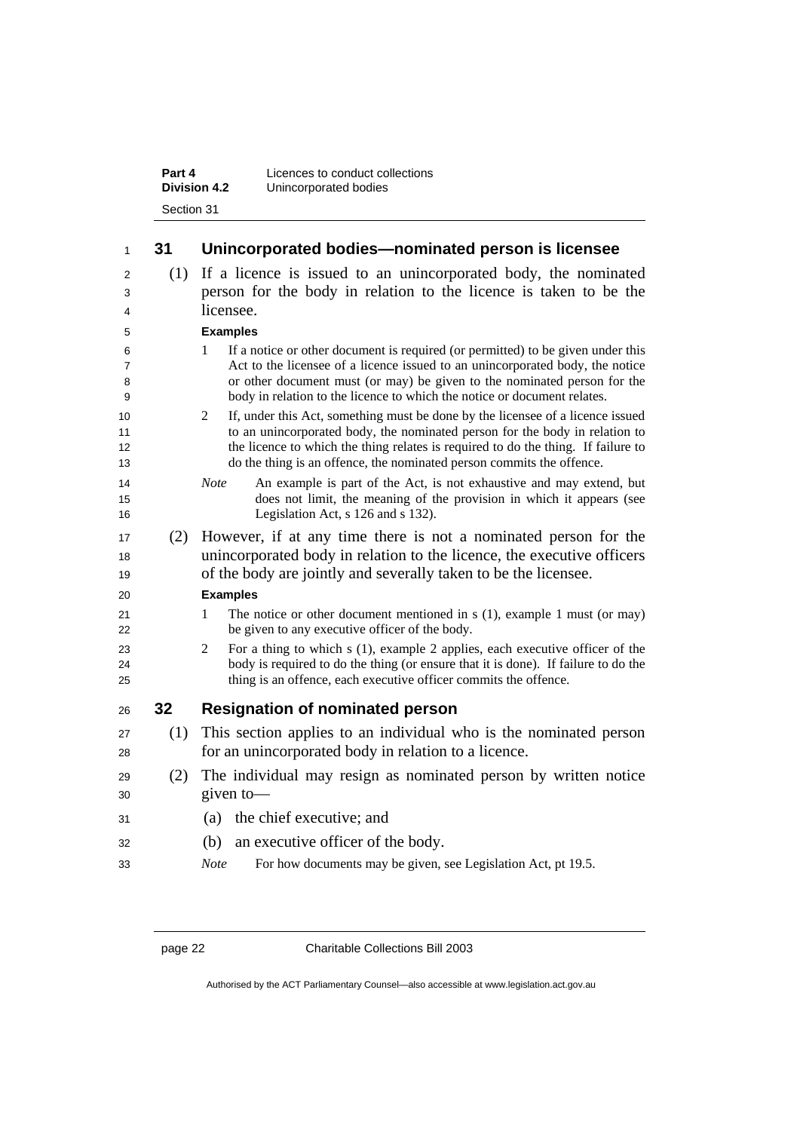| Part 4              | Licences to conduct collections |
|---------------------|---------------------------------|
| <b>Division 4.2</b> | Unincorporated bodies           |
| Section 31          |                                 |

| 1                             | 31  | Unincorporated bodies-nominated person is licensee                                                                                                                                                                                                                                                                               |
|-------------------------------|-----|----------------------------------------------------------------------------------------------------------------------------------------------------------------------------------------------------------------------------------------------------------------------------------------------------------------------------------|
| 2<br>3<br>4                   | (1) | If a licence is issued to an unincorporated body, the nominated<br>person for the body in relation to the licence is taken to be the<br>licensee.                                                                                                                                                                                |
| 5                             |     | <b>Examples</b>                                                                                                                                                                                                                                                                                                                  |
| 6<br>$\overline{7}$<br>8<br>9 |     | If a notice or other document is required (or permitted) to be given under this<br>1<br>Act to the licensee of a licence issued to an unincorporated body, the notice<br>or other document must (or may) be given to the nominated person for the<br>body in relation to the licence to which the notice or document relates.    |
| 10<br>11<br>12<br>13          |     | 2<br>If, under this Act, something must be done by the licensee of a licence issued<br>to an unincorporated body, the nominated person for the body in relation to<br>the licence to which the thing relates is required to do the thing. If failure to<br>do the thing is an offence, the nominated person commits the offence. |
| 14<br>15<br>16                |     | An example is part of the Act, is not exhaustive and may extend, but<br><b>Note</b><br>does not limit, the meaning of the provision in which it appears (see<br>Legislation Act, s 126 and s 132).                                                                                                                               |
| 17<br>18<br>19                | (2) | However, if at any time there is not a nominated person for the<br>unincorporated body in relation to the licence, the executive officers<br>of the body are jointly and severally taken to be the licensee.                                                                                                                     |
| 20                            |     | <b>Examples</b>                                                                                                                                                                                                                                                                                                                  |
| 21<br>22                      |     | The notice or other document mentioned in $s(1)$ , example 1 must (or may)<br>1<br>be given to any executive officer of the body.                                                                                                                                                                                                |
| 23<br>24<br>25                |     | $\overline{2}$<br>For a thing to which s (1), example 2 applies, each executive officer of the<br>body is required to do the thing (or ensure that it is done). If failure to do the<br>thing is an offence, each executive officer commits the offence.                                                                         |
| 26                            | 32  | <b>Resignation of nominated person</b>                                                                                                                                                                                                                                                                                           |
| 27<br>28                      | (1) | This section applies to an individual who is the nominated person<br>for an unincorporated body in relation to a licence.                                                                                                                                                                                                        |
| 29<br>30                      | (2) | The individual may resign as nominated person by written notice<br>given to-                                                                                                                                                                                                                                                     |
| 31                            |     | the chief executive; and<br>(a)                                                                                                                                                                                                                                                                                                  |
| 32                            |     | (b)<br>an executive officer of the body.                                                                                                                                                                                                                                                                                         |
| 33                            |     | For how documents may be given, see Legislation Act, pt 19.5.<br><b>Note</b>                                                                                                                                                                                                                                                     |

page 22 Charitable Collections Bill 2003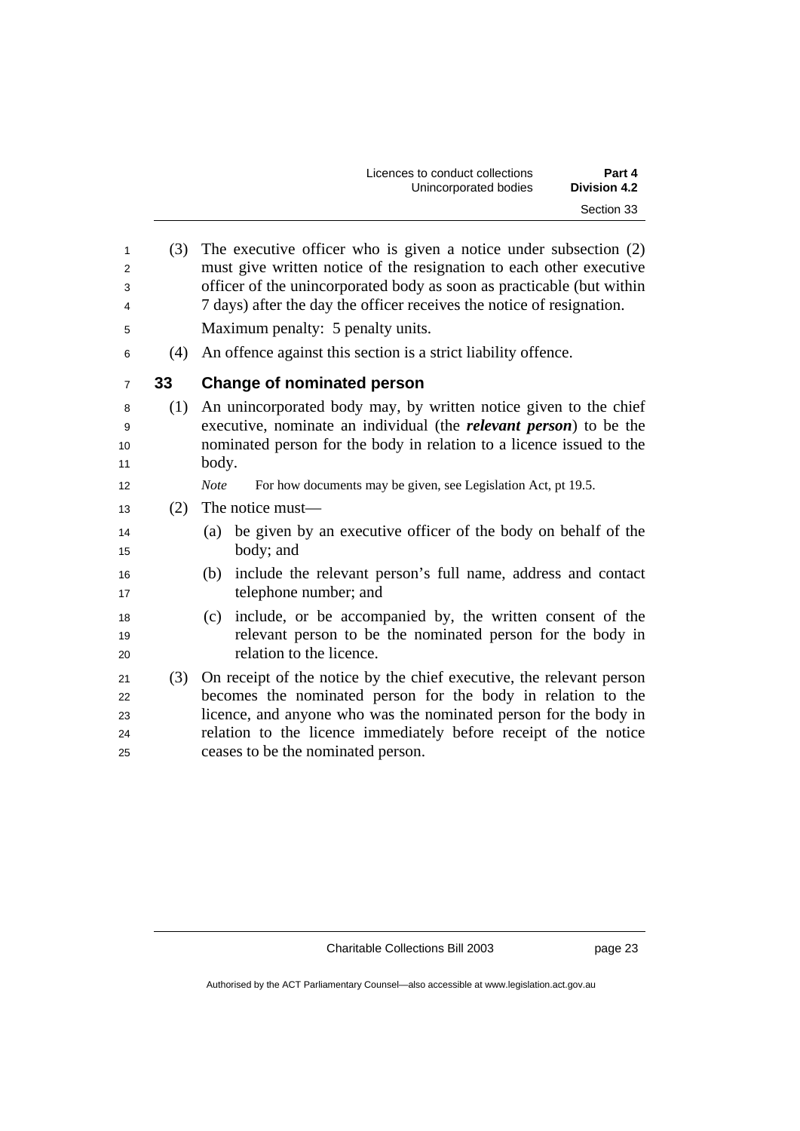| Part 4              | Licences to conduct collections |  |  |
|---------------------|---------------------------------|--|--|
| <b>Division 4.2</b> | Unincorporated bodies           |  |  |
| Section 33          |                                 |  |  |

| $\mathbf{1}$   | (3) | The executive officer who is given a notice under subsection (2)             |
|----------------|-----|------------------------------------------------------------------------------|
| 2              |     | must give written notice of the resignation to each other executive          |
| 3              |     | officer of the unincorporated body as soon as practicable (but within        |
| 4              |     | 7 days) after the day the officer receives the notice of resignation.        |
|                |     |                                                                              |
| 5              |     | Maximum penalty: 5 penalty units.                                            |
| 6              |     | (4) An offence against this section is a strict liability offence.           |
| $\overline{7}$ | 33  | <b>Change of nominated person</b>                                            |
| 8              | (1) | An unincorporated body may, by written notice given to the chief             |
| 9              |     | executive, nominate an individual (the <i>relevant person</i> ) to be the    |
| 10             |     | nominated person for the body in relation to a licence issued to the         |
| 11             |     | body.                                                                        |
| 12             |     | <b>Note</b><br>For how documents may be given, see Legislation Act, pt 19.5. |
| 13             | (2) | The notice must—                                                             |
| 14             |     | be given by an executive officer of the body on behalf of the<br>(a)         |
| 15             |     | body; and                                                                    |
| 16             |     | include the relevant person's full name, address and contact<br>(b)          |
| 17             |     | telephone number; and                                                        |
| 18             |     | include, or be accompanied by, the written consent of the<br>(c)             |
| 19             |     | relevant person to be the nominated person for the body in                   |
| 20             |     | relation to the licence.                                                     |
| 21             | (3) | On receipt of the notice by the chief executive, the relevant person         |
| 22             |     | becomes the nominated person for the body in relation to the                 |
| 23             |     | licence, and anyone who was the nominated person for the body in             |
| 24             |     | relation to the licence immediately before receipt of the notice             |
| 25             |     | ceases to be the nominated person.                                           |
|                |     |                                                                              |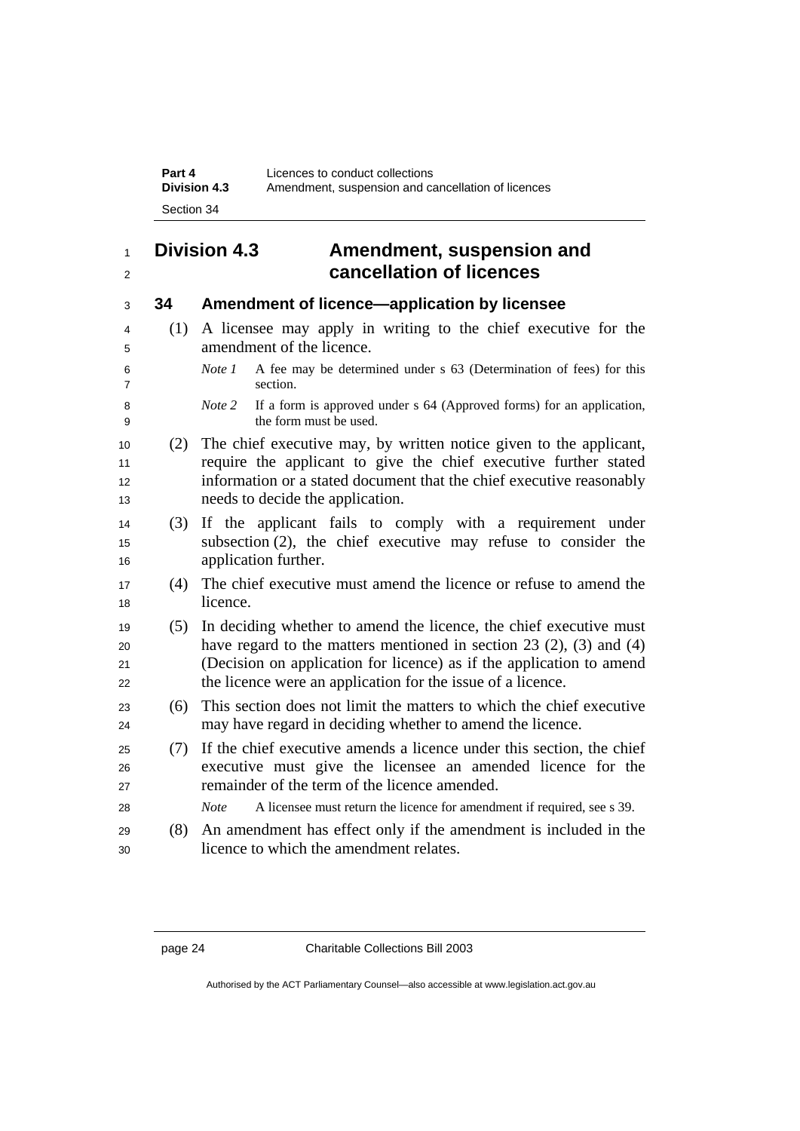| Part 4              | Licences to conduct collections                    |
|---------------------|----------------------------------------------------|
| <b>Division 4.3</b> | Amendment, suspension and cancellation of licences |
| Section 34          |                                                    |

## **Division 4.3 Amendment, suspension and cancellation of licences**

## **34 Amendment of licence—application by licensee**

- (1) A licensee may apply in writing to the chief executive for the amendment of the licence.
- *Note 1* A fee may be determined under s 63 (Determination of fees) for this section.
- *Note 2* If a form is approved under s 64 (Approved forms) for an application, the form must be used.
- (2) The chief executive may, by written notice given to the applicant, 11 require the applicant to give the chief executive further stated 12 information or a stated document that the chief executive reasonably 13 hereds to decide the application.
- (3) If the applicant fails to comply with a requirement under subsection (2), the chief executive may refuse to consider the 16 application further.
- (4) The chief executive must amend the licence or refuse to amend the 18 licence.
- (5) In deciding whether to amend the licence, the chief executive must 20 have regard to the matters mentioned in section (2), (3) and (4) (Decision on application for licence) as if the application to amend 22 the licence were an application for the issue of a licence.
- (6) This section does not limit the matters to which the chief executive may have regard in deciding whether to amend the licence.
- (7) If the chief executive amends a licence under this section, the chief executive must give the licensee an amended licence for the remainder of the term of the licence amended.
- *Note* A licensee must return the licence for amendment if required, see s 39.
- (8) An amendment has effect only if the amendment is included in the licence to which the amendment relates.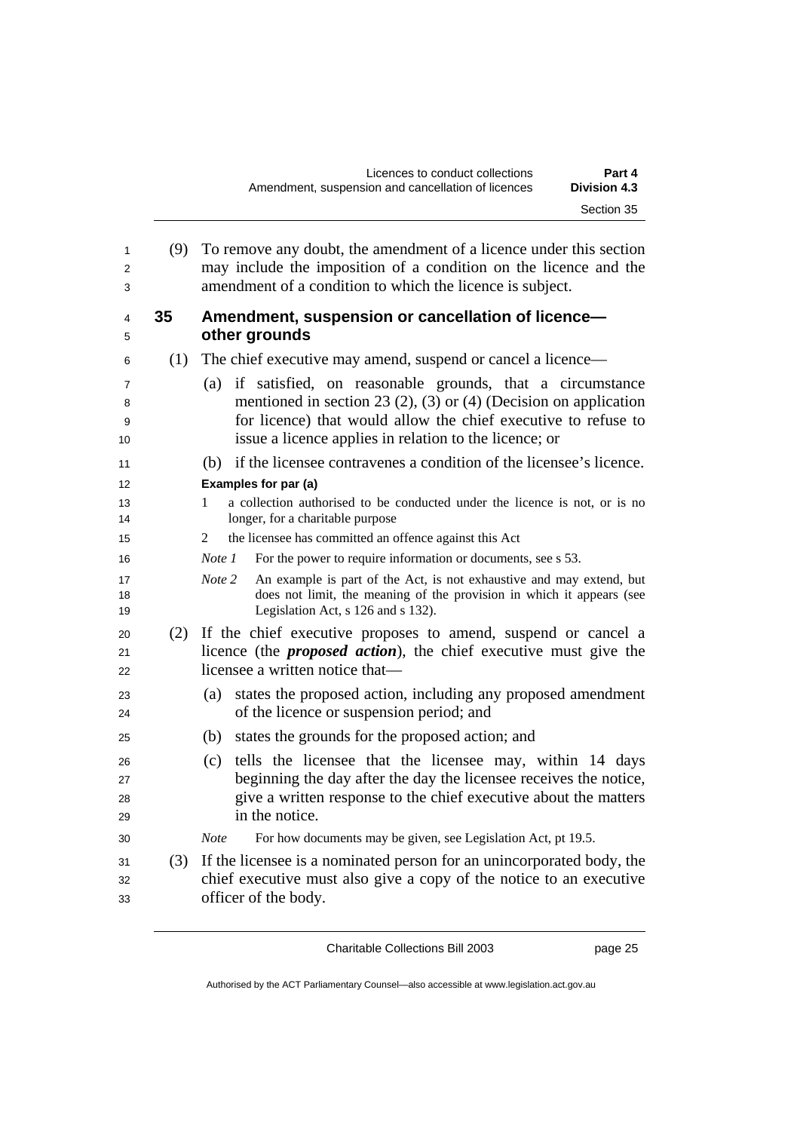| (9) | To remove any doubt, the amendment of a licence under this section<br>may include the imposition of a condition on the licence and the<br>amendment of a condition to which the licence is subject. |
|-----|-----------------------------------------------------------------------------------------------------------------------------------------------------------------------------------------------------|
| 35  | Amendment, suspension or cancellation of licence-<br>other grounds                                                                                                                                  |
|     | The chief executive may amend, suspend or cancel a licence—                                                                                                                                         |
|     | if satisfied, on reasonable grounds, that a circumstance<br>(a)                                                                                                                                     |
|     | mentioned in section 23 (2), (3) or (4) (Decision on application                                                                                                                                    |
|     | for licence) that would allow the chief executive to refuse to<br>issue a licence applies in relation to the licence; or                                                                            |
|     | if the licensee contravenes a condition of the licensee's licence.<br>(b)                                                                                                                           |
|     | Examples for par (a)                                                                                                                                                                                |
|     | a collection authorised to be conducted under the licence is not, or is no<br>1<br>longer, for a charitable purpose                                                                                 |
|     | the licensee has committed an offence against this Act<br>2                                                                                                                                         |
|     | For the power to require information or documents, see s 53.<br>Note 1                                                                                                                              |
|     | Note 2<br>An example is part of the Act, is not exhaustive and may extend, but<br>does not limit, the meaning of the provision in which it appears (see<br>Legislation Act, s 126 and s 132).       |
|     | (2) If the chief executive proposes to amend, suspend or cancel a<br>licence (the <i>proposed action</i> ), the chief executive must give the<br>licensee a written notice that-                    |
|     | states the proposed action, including any proposed amendment<br>(a)<br>of the licence or suspension period; and                                                                                     |
|     | states the grounds for the proposed action; and<br>(b)                                                                                                                                              |
|     | tells the licensee that the licensee may, within 14 days<br>(c)                                                                                                                                     |
|     | beginning the day after the day the licensee receives the notice,                                                                                                                                   |
|     | give a written response to the chief executive about the matters                                                                                                                                    |
|     | in the notice.                                                                                                                                                                                      |
|     | For how documents may be given, see Legislation Act, pt 19.5.<br><b>Note</b>                                                                                                                        |
| (3) | If the licensee is a nominated person for an unincorporated body, the<br>chief executive must also give a copy of the notice to an executive<br>officer of the body.                                |
|     | (1)                                                                                                                                                                                                 |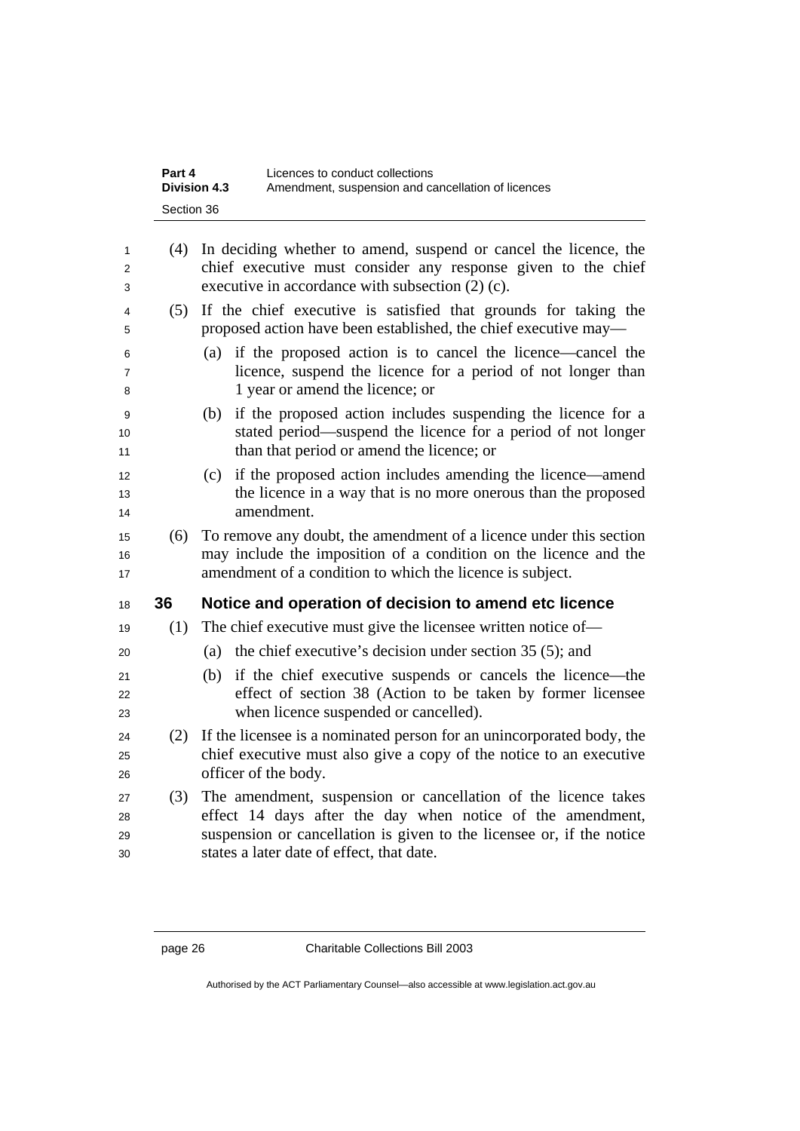| Part 4<br><b>Division 4.3</b> | Licences to conduct collections<br>Amendment, suspension and cancellation of licences |
|-------------------------------|---------------------------------------------------------------------------------------|
| Section 36                    |                                                                                       |
|                               |                                                                                       |

| $\mathbf{1}$<br>2<br>3   | (4) | In deciding whether to amend, suspend or cancel the licence, the<br>chief executive must consider any response given to the chief<br>executive in accordance with subsection $(2)$ (c). |
|--------------------------|-----|-----------------------------------------------------------------------------------------------------------------------------------------------------------------------------------------|
| 4<br>5                   | (5) | If the chief executive is satisfied that grounds for taking the<br>proposed action have been established, the chief executive may—                                                      |
| 6<br>$\overline{7}$<br>8 |     | (a) if the proposed action is to cancel the licence—cancel the<br>licence, suspend the licence for a period of not longer than<br>1 year or amend the licence; or                       |
| 9<br>10<br>11            |     | if the proposed action includes suspending the licence for a<br>(b)<br>stated period—suspend the licence for a period of not longer<br>than that period or amend the licence; or        |
| 12<br>13<br>14           |     | if the proposed action includes amending the licence—amend<br>(c)<br>the licence in a way that is no more onerous than the proposed<br>amendment.                                       |
| 15<br>16                 | (6) | To remove any doubt, the amendment of a licence under this section<br>may include the imposition of a condition on the licence and the                                                  |
| 17                       |     | amendment of a condition to which the licence is subject.                                                                                                                               |
| 18                       | 36  | Notice and operation of decision to amend etc licence                                                                                                                                   |
| 19                       | (1) | The chief executive must give the licensee written notice of—                                                                                                                           |
| 20                       |     | the chief executive's decision under section 35 (5); and<br>(a)                                                                                                                         |
| 21<br>22<br>23           |     | if the chief executive suspends or cancels the licence—the<br>(b)<br>effect of section 38 (Action to be taken by former licensee<br>when licence suspended or cancelled).               |
| 24<br>25<br>26           | (2) | If the licensee is a nominated person for an unincorporated body, the<br>chief executive must also give a copy of the notice to an executive<br>officer of the body.                    |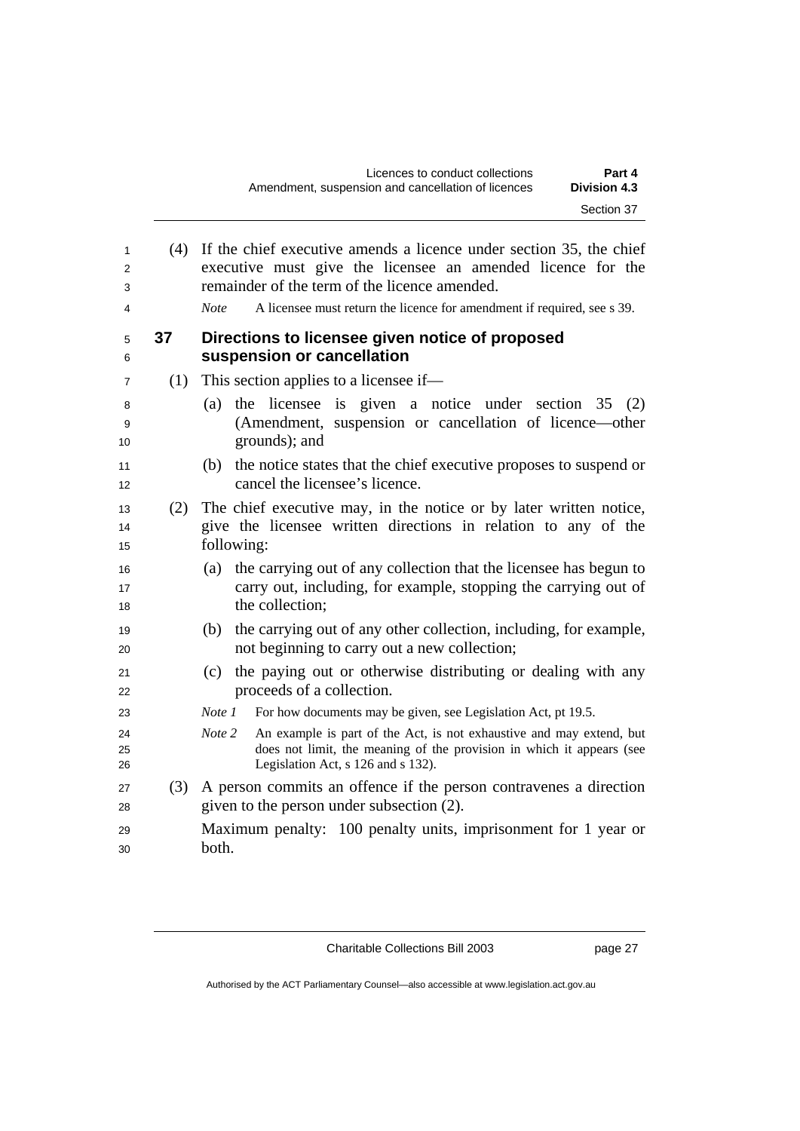| 1<br>2<br>3<br>4 |     | (4) If the chief executive amends a licence under section 35, the chief<br>executive must give the licensee an amended licence for the<br>remainder of the term of the licence amended.<br>A licensee must return the licence for amendment if required, see s 39.<br>Note. |
|------------------|-----|-----------------------------------------------------------------------------------------------------------------------------------------------------------------------------------------------------------------------------------------------------------------------------|
| 5<br>6           | 37  | Directions to licensee given notice of proposed<br>suspension or cancellation                                                                                                                                                                                               |
| 7                | (1) | This section applies to a licensee if—                                                                                                                                                                                                                                      |
| 8<br>9<br>10     |     | the licensee is given a notice under section 35<br>(a)<br>(2)<br>(Amendment, suspension or cancellation of licence—other<br>grounds); and                                                                                                                                   |
| 11<br>12         |     | the notice states that the chief executive proposes to suspend or<br>(b)<br>cancel the licensee's licence.                                                                                                                                                                  |
| 13<br>14<br>15   | (2) | The chief executive may, in the notice or by later written notice,<br>give the licensee written directions in relation to any of the<br>following:                                                                                                                          |
| 16<br>17<br>18   |     | (a) the carrying out of any collection that the licensee has begun to<br>carry out, including, for example, stopping the carrying out of<br>the collection;                                                                                                                 |
| 19<br>20         |     | the carrying out of any other collection, including, for example,<br>(b)<br>not beginning to carry out a new collection;                                                                                                                                                    |
| 21<br>22         |     | the paying out or otherwise distributing or dealing with any<br>(c)<br>proceeds of a collection.                                                                                                                                                                            |
| 23               |     | Note 1<br>For how documents may be given, see Legislation Act, pt 19.5.                                                                                                                                                                                                     |
| 24<br>25<br>26   |     | An example is part of the Act, is not exhaustive and may extend, but<br>Note 2<br>does not limit, the meaning of the provision in which it appears (see<br>Legislation Act, s 126 and s 132).                                                                               |
| 27<br>28         |     | (3) A person commits an offence if the person contravenes a direction<br>given to the person under subsection (2).                                                                                                                                                          |
| 29<br>30         |     | Maximum penalty: 100 penalty units, imprisonment for 1 year or<br>both.                                                                                                                                                                                                     |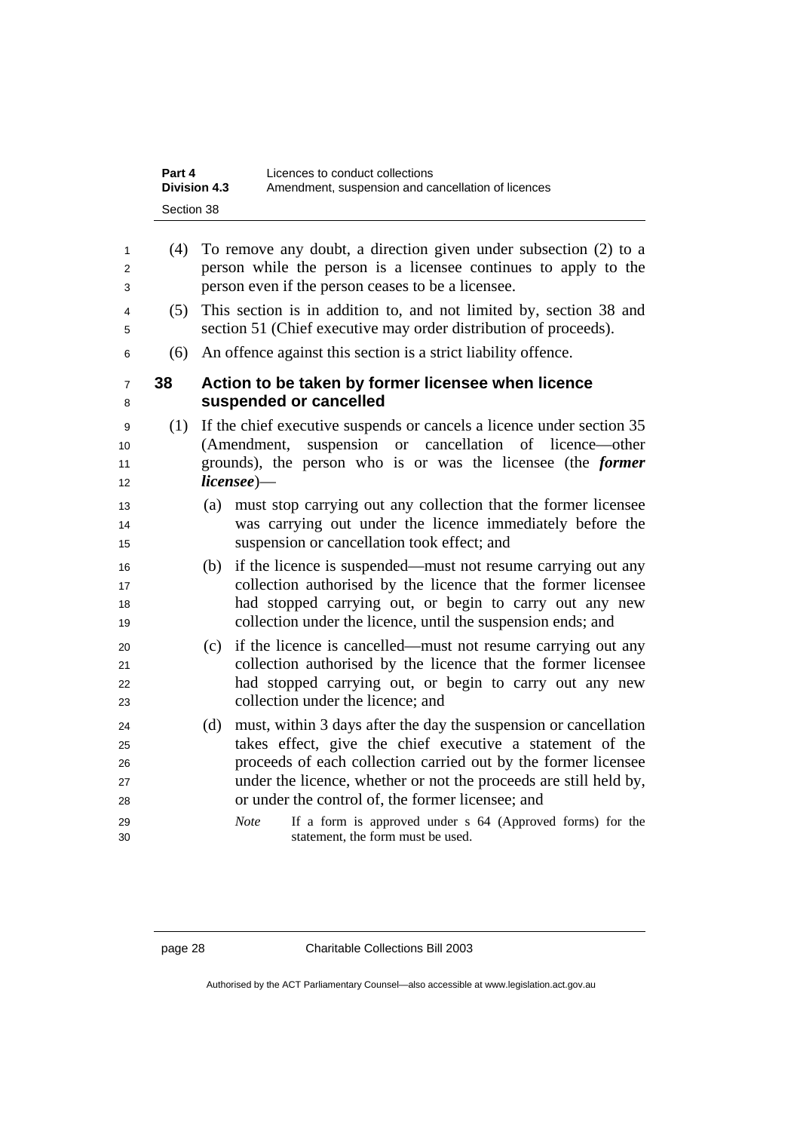| Part 4              | Licences to conduct collections                    |
|---------------------|----------------------------------------------------|
| <b>Division 4.3</b> | Amendment, suspension and cancellation of licences |
| Section 38          |                                                    |

| $\mathbf{1}$<br>2<br>3                 | (4) | To remove any doubt, a direction given under subsection (2) to a<br>person while the person is a licensee continues to apply to the<br>person even if the person ceases to be a licensee.                                                                                                                                                                                                                                                         |
|----------------------------------------|-----|---------------------------------------------------------------------------------------------------------------------------------------------------------------------------------------------------------------------------------------------------------------------------------------------------------------------------------------------------------------------------------------------------------------------------------------------------|
| 4<br>5                                 | (5) | This section is in addition to, and not limited by, section 38 and<br>section 51 (Chief executive may order distribution of proceeds).                                                                                                                                                                                                                                                                                                            |
| 6                                      | (6) | An offence against this section is a strict liability offence.                                                                                                                                                                                                                                                                                                                                                                                    |
| $\overline{7}$<br>8                    | 38  | Action to be taken by former licensee when licence<br>suspended or cancelled                                                                                                                                                                                                                                                                                                                                                                      |
| 9<br>10<br>11<br>12                    | (1) | If the chief executive suspends or cancels a licence under section 35<br>(Amendment, suspension or cancellation of licence—other<br>grounds), the person who is or was the licensee (the <i>former</i><br>$license$ )—                                                                                                                                                                                                                            |
| 13<br>14<br>15                         |     | must stop carrying out any collection that the former licensee<br>(a)<br>was carrying out under the licence immediately before the<br>suspension or cancellation took effect; and                                                                                                                                                                                                                                                                 |
| 16<br>17<br>18<br>19                   |     | if the licence is suspended—must not resume carrying out any<br>(b)<br>collection authorised by the licence that the former licensee<br>had stopped carrying out, or begin to carry out any new<br>collection under the licence, until the suspension ends; and                                                                                                                                                                                   |
| 20<br>21<br>22<br>23                   |     | if the licence is cancelled—must not resume carrying out any<br>(c)<br>collection authorised by the licence that the former licensee<br>had stopped carrying out, or begin to carry out any new<br>collection under the licence; and                                                                                                                                                                                                              |
| 24<br>25<br>26<br>27<br>28<br>29<br>30 |     | must, within 3 days after the day the suspension or cancellation<br>(d)<br>takes effect, give the chief executive a statement of the<br>proceeds of each collection carried out by the former licensee<br>under the licence, whether or not the proceeds are still held by,<br>or under the control of, the former licensee; and<br>If a form is approved under s 64 (Approved forms) for the<br><b>Note</b><br>statement, the form must be used. |
|                                        |     |                                                                                                                                                                                                                                                                                                                                                                                                                                                   |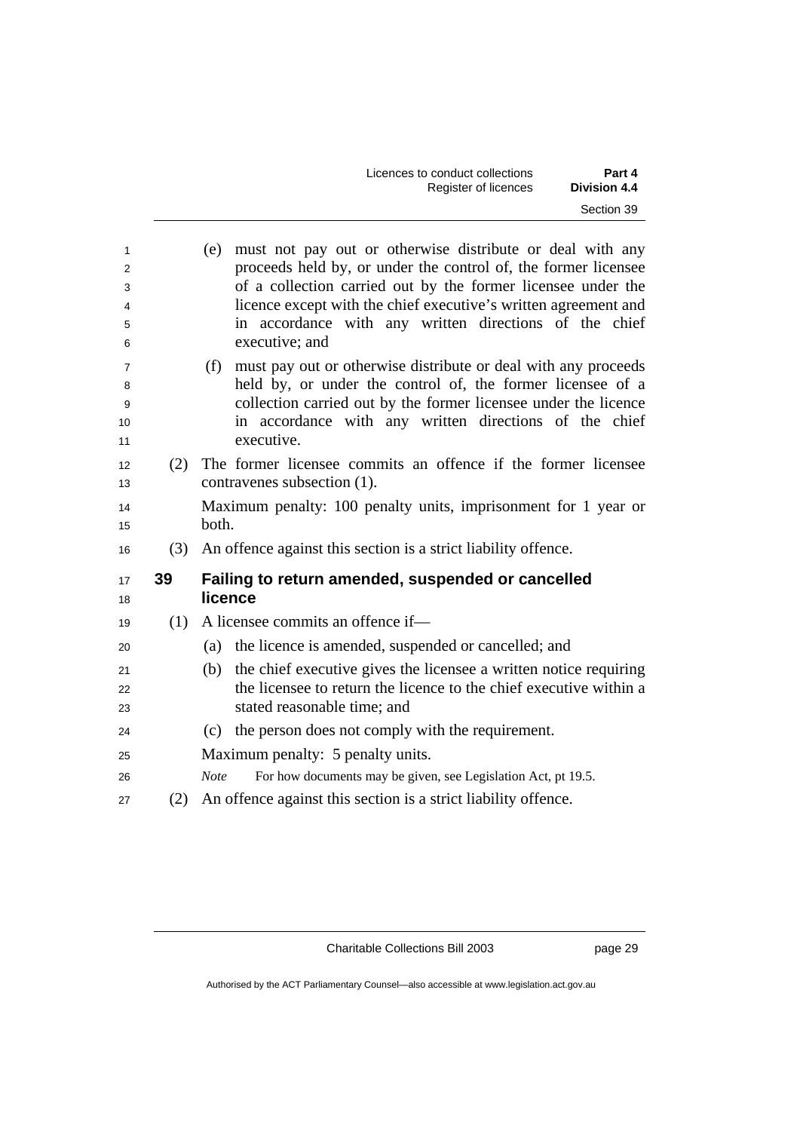| Licences to conduct collections | Part 4              |
|---------------------------------|---------------------|
| Register of licences            | <b>Division 4.4</b> |
|                                 | Section 39          |

| 1<br>2<br>3<br>4<br>5<br>6 |     | must not pay out or otherwise distribute or deal with any<br>(e)<br>proceeds held by, or under the control of, the former licensee<br>of a collection carried out by the former licensee under the<br>licence except with the chief executive's written agreement and<br>in accordance with any written directions of the chief<br>executive; and |
|----------------------------|-----|---------------------------------------------------------------------------------------------------------------------------------------------------------------------------------------------------------------------------------------------------------------------------------------------------------------------------------------------------|
| 7<br>8<br>9<br>10<br>11    |     | must pay out or otherwise distribute or deal with any proceeds<br>(f)<br>held by, or under the control of, the former licensee of a<br>collection carried out by the former licensee under the licence<br>in accordance with any written directions of the chief<br>executive.                                                                    |
| 12<br>13                   | (2) | The former licensee commits an offence if the former licensee<br>contravenes subsection (1).                                                                                                                                                                                                                                                      |
| 14<br>15                   |     | Maximum penalty: 100 penalty units, imprisonment for 1 year or<br>both.                                                                                                                                                                                                                                                                           |
| 16                         | (3) | An offence against this section is a strict liability offence.                                                                                                                                                                                                                                                                                    |
| 17<br>18                   | 39  | Failing to return amended, suspended or cancelled<br>licence                                                                                                                                                                                                                                                                                      |
| 19                         | (1) | A licensee commits an offence if-                                                                                                                                                                                                                                                                                                                 |
| 20                         |     | the licence is amended, suspended or cancelled; and<br>(a)                                                                                                                                                                                                                                                                                        |
| 21<br>22<br>23             |     | the chief executive gives the licensee a written notice requiring<br>(b)<br>the licensee to return the licence to the chief executive within a<br>stated reasonable time; and                                                                                                                                                                     |
| 24                         |     | the person does not comply with the requirement.<br>(c)                                                                                                                                                                                                                                                                                           |
| 25                         |     | Maximum penalty: 5 penalty units.                                                                                                                                                                                                                                                                                                                 |
|                            |     |                                                                                                                                                                                                                                                                                                                                                   |
| 26                         |     | <b>Note</b><br>For how documents may be given, see Legislation Act, pt 19.5.                                                                                                                                                                                                                                                                      |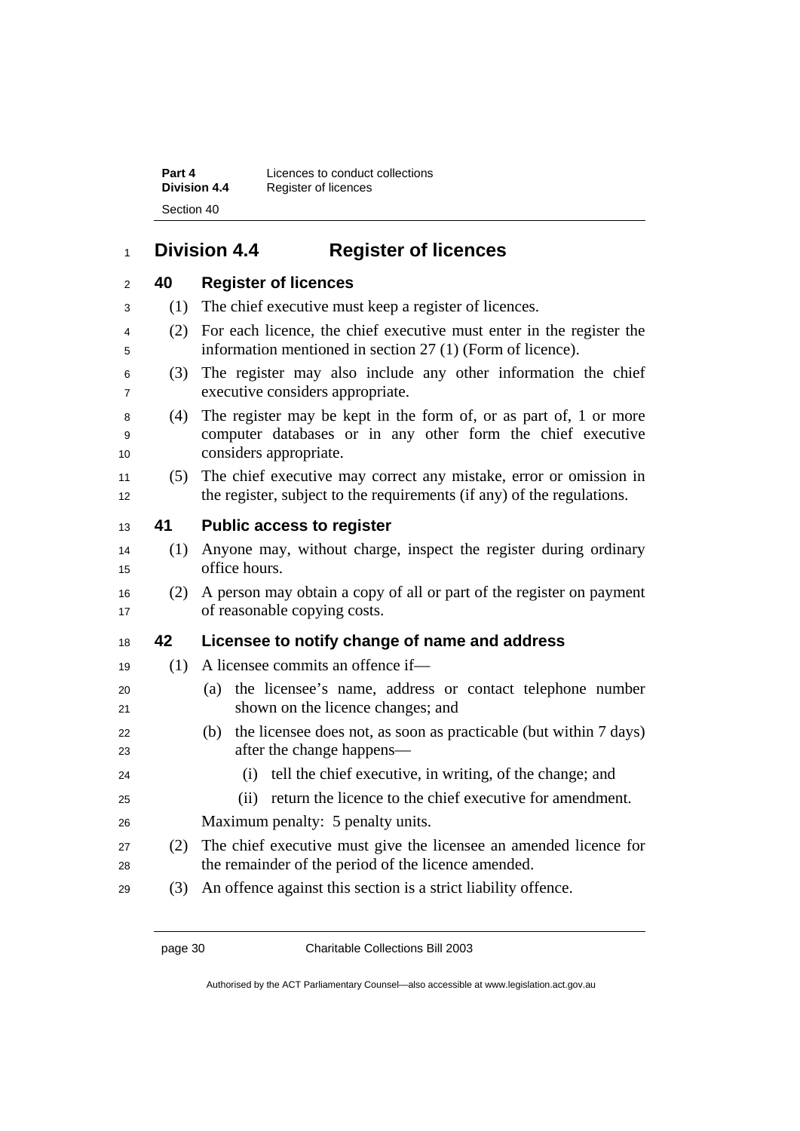**Part 4 Licences to conduct collections Division 4.4** Register of licences Section 40

## <sup>1</sup>**Division 4.4 Register of licences**

|  | 40 | <b>Register of licences</b> |  |
|--|----|-----------------------------|--|
|--|----|-----------------------------|--|

<sup>3</sup>(1) The chief executive must keep a register of licences.

- <sup>4</sup>(2) For each licence, the chief executive must enter in the register the <sup>5</sup>information mentioned in section 27 (1) (Form of licence).
- <sup>6</sup>(3) The register may also include any other information the chief <sup>7</sup>executive considers appropriate.
- <sup>8</sup>(4) The register may be kept in the form of, or as part of, 1 or more <sup>9</sup>computer databases or in any other form the chief executive 10 considers appropriate.
- <sup>11</sup>(5) The chief executive may correct any mistake, error or omission in 12 the register, subject to the requirements (if any) of the regulations.

### <sup>13</sup>**41 Public access to register**

- <sup>14</sup>(1) Anyone may, without charge, inspect the register during ordinary 15 office hours.
- <sup>16</sup>(2) A person may obtain a copy of all or part of the register on payment 17 of reasonable copying costs.

### <sup>18</sup>**42 Licensee to notify change of name and address**

- 19 (1) A licensee commits an offence if—
- <sup>20</sup>(a) the licensee's name, address or contact telephone number 21 shown on the licence changes; and
- <sup>22</sup>(b) the licensee does not, as soon as practicable (but within 7 days) 23 after the change happens—
- <sup>24</sup>(i) tell the chief executive, in writing, of the change; and
- <sup>25</sup>(ii) return the licence to the chief executive for amendment.
- 26 Maximum penalty: 5 penalty units.
- <sup>27</sup>(2) The chief executive must give the licensee an amended licence for 28 the remainder of the period of the licence amended.
- 29 (3) An offence against this section is a strict liability offence.

Authorised by the ACT Parliamentary Counsel—also accessible at www.legislation.act.gov.au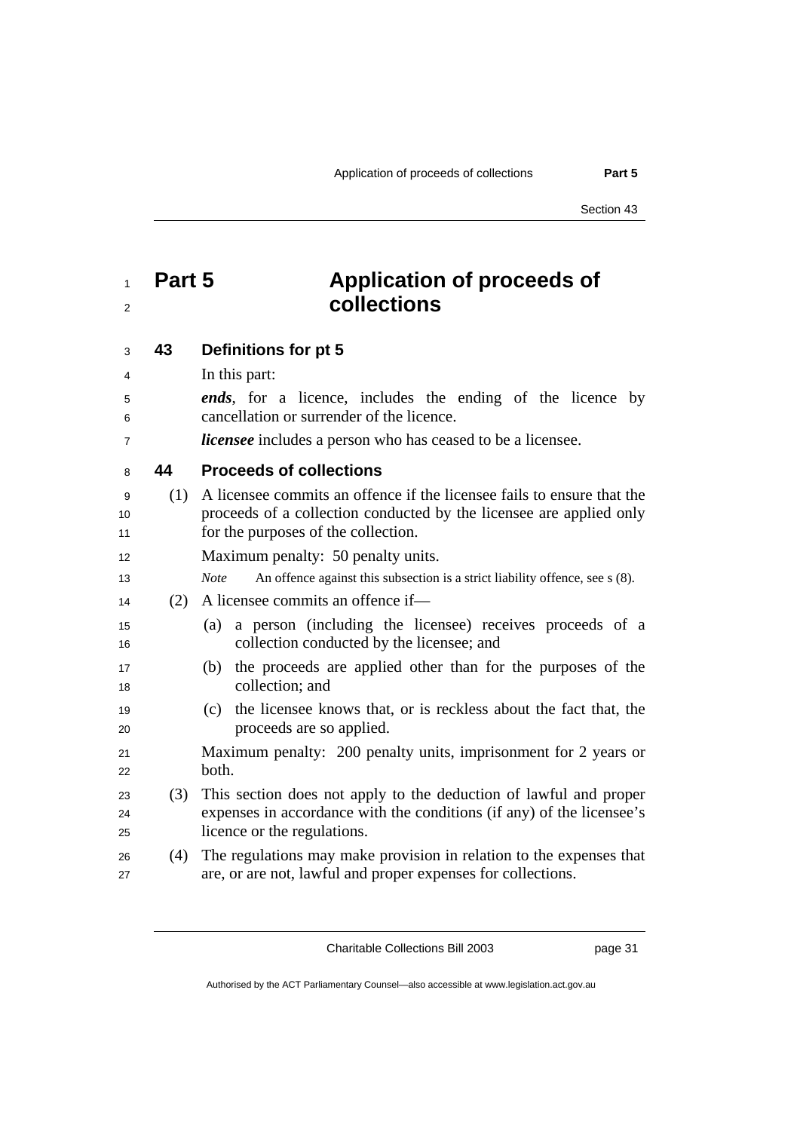## <sup>1</sup>**Part 5 Application of proceeds of**  <sup>2</sup>**collections**

<sup>3</sup>**43 Definitions for pt 5** 

| 4              |     | In this part:                                                                                                |
|----------------|-----|--------------------------------------------------------------------------------------------------------------|
| 5              |     | <i>ends</i> , for a licence, includes the ending of the licence by                                           |
| 6              |     | cancellation or surrender of the licence.                                                                    |
| $\overline{7}$ |     | <i>licensee</i> includes a person who has ceased to be a licensee.                                           |
| 8              | 44  | <b>Proceeds of collections</b>                                                                               |
| 9              | (1) | A licensee commits an offence if the licensee fails to ensure that the                                       |
| 10             |     | proceeds of a collection conducted by the licensee are applied only                                          |
| 11             |     | for the purposes of the collection.                                                                          |
| 12             |     | Maximum penalty: 50 penalty units.                                                                           |
| 13             |     | An offence against this subsection is a strict liability offence, see s (8).<br><b>Note</b>                  |
| 14             | (2) | A licensee commits an offence if—                                                                            |
| 15<br>16       |     | a person (including the licensee) receives proceeds of a<br>(a)<br>collection conducted by the licensee; and |
| 17<br>18       |     | the proceeds are applied other than for the purposes of the<br>(b)<br>collection; and                        |
| 19<br>20       |     | the licensee knows that, or is reckless about the fact that, the<br>(c)<br>proceeds are so applied.          |
| 21<br>22       |     | Maximum penalty: 200 penalty units, imprisonment for 2 years or<br>both.                                     |
| 23             | (3) | This section does not apply to the deduction of lawful and proper                                            |
| 24             |     | expenses in accordance with the conditions (if any) of the licensee's                                        |
| 25             |     | licence or the regulations.                                                                                  |
| 26             | (4) | The regulations may make provision in relation to the expenses that                                          |
| 27             |     | are, or are not, lawful and proper expenses for collections.                                                 |

Charitable Collections Bill 2003 page 31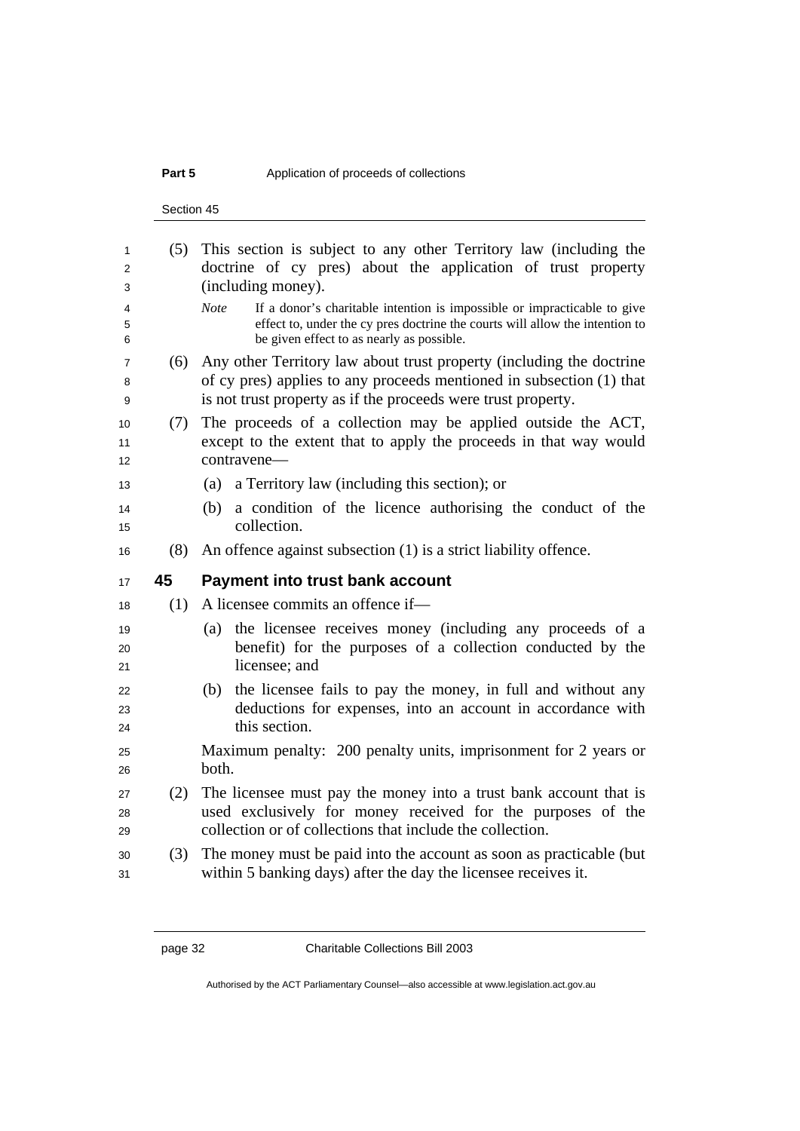### **Part 5** Application of proceeds of collections

Section 45

|  | pplication or proceeds or concetions |  |  |
|--|--------------------------------------|--|--|
|  |                                      |  |  |
|  |                                      |  |  |

| 1        | (5) | This section is subject to any other Territory law (including the                                                        |
|----------|-----|--------------------------------------------------------------------------------------------------------------------------|
| 2        |     | doctrine of cy pres) about the application of trust property                                                             |
| 3        |     | (including money).                                                                                                       |
| 4        |     | If a donor's charitable intention is impossible or impracticable to give<br><b>Note</b>                                  |
| 5        |     | effect to, under the cy pres doctrine the courts will allow the intention to                                             |
| 6        |     | be given effect to as nearly as possible.                                                                                |
| 7        | (6) | Any other Territory law about trust property (including the doctrine                                                     |
| 8        |     | of cy pres) applies to any proceeds mentioned in subsection (1) that                                                     |
| 9        |     | is not trust property as if the proceeds were trust property.                                                            |
| 10       | (7) | The proceeds of a collection may be applied outside the ACT,                                                             |
| 11       |     | except to the extent that to apply the proceeds in that way would                                                        |
| 12       |     | contravene—                                                                                                              |
| 13       |     | a Territory law (including this section); or<br>(a)                                                                      |
| 14       |     | a condition of the licence authorising the conduct of the<br>(b)                                                         |
| 15       |     | collection.                                                                                                              |
| 16       | (8) | An offence against subsection (1) is a strict liability offence.                                                         |
|          |     |                                                                                                                          |
| 17       | 45  | <b>Payment into trust bank account</b>                                                                                   |
| 18       | (1) | A licensee commits an offence if-                                                                                        |
| 19       |     | the licensee receives money (including any proceeds of a<br>(a)                                                          |
| 20       |     | benefit) for the purposes of a collection conducted by the                                                               |
| 21       |     | licensee; and                                                                                                            |
| 22       |     | (b)                                                                                                                      |
| 23       |     | the licensee fails to pay the money, in full and without any                                                             |
| 24       |     | deductions for expenses, into an account in accordance with<br>this section.                                             |
| 25       |     |                                                                                                                          |
| 26       |     | Maximum penalty: 200 penalty units, imprisonment for 2 years or<br>both.                                                 |
|          |     |                                                                                                                          |
| 27<br>28 | (2) | The licensee must pay the money into a trust bank account that is                                                        |
| 29       |     | used exclusively for money received for the purposes of the<br>collection or of collections that include the collection. |
| 30       | (3) | The money must be paid into the account as soon as practicable (but                                                      |
| 31       |     | within 5 banking days) after the day the licensee receives it.                                                           |

Authorised by the ACT Parliamentary Counsel—also accessible at www.legislation.act.gov.au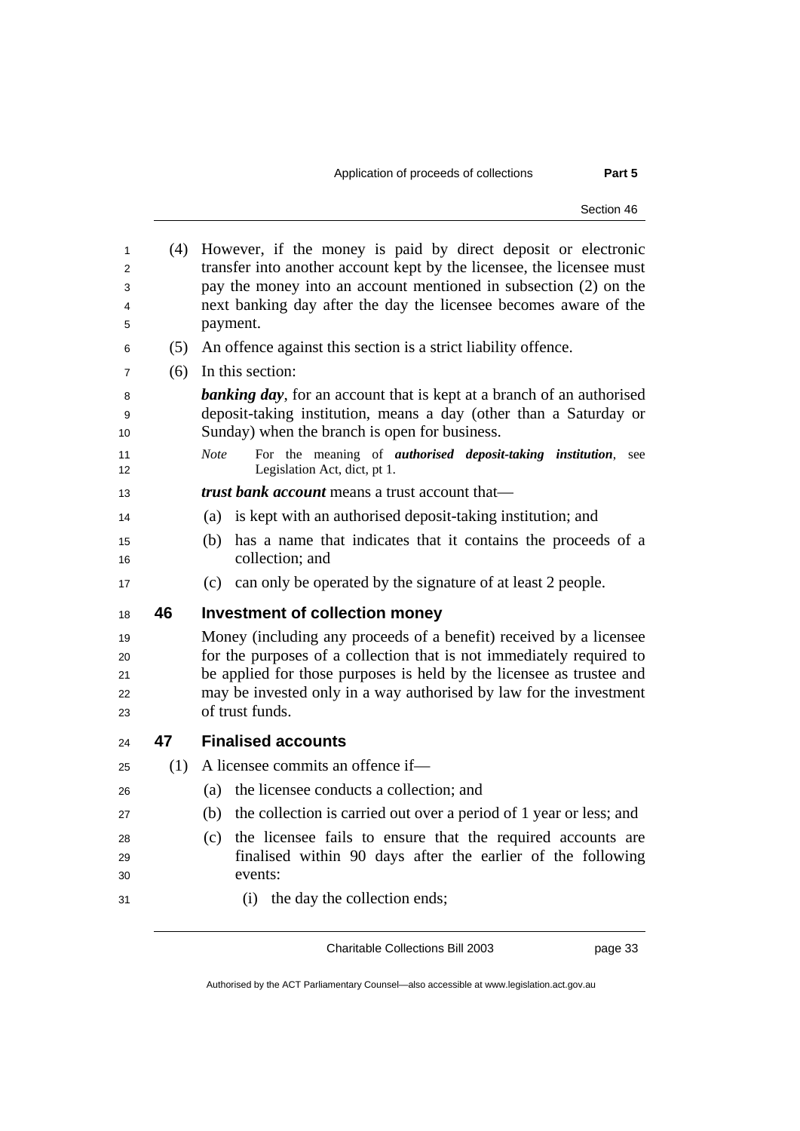Section 46

(4) However, if the money is paid by direct deposit or electronic transfer into another account kept by the licensee, the licensee must pay the money into an account mentioned in subsection (2) on the next banking day after the day the licensee becomes aware of the 5 payment. (5) An offence against this section is a strict liability offence. (6) In this section: *banking day*, for an account that is kept at a branch of an authorised deposit-taking institution, means a day (other than a Saturday or 10 Sunday) when the branch is open for business. *Note* For the meaning of *authorised deposit-taking institution*, see Legislation Act, dict, pt 1. *trust bank account* means a trust account that— (a) is kept with an authorised deposit-taking institution; and (b) has a name that indicates that it contains the proceeds of a 16 collection: and (c) can only be operated by the signature of at least 2 people. **46 Investment of collection money**  Money (including any proceeds of a benefit) received by a licensee for the purposes of a collection that is not immediately required to 21 be applied for those purposes is held by the licensee as trustee and may be invested only in a way authorised by law for the investment 23 of trust funds. **47 Finalised accounts**  (1) A licensee commits an offence if— (a) the licensee conducts a collection; and (b) the collection is carried out over a period of 1 year or less; and (c) the licensee fails to ensure that the required accounts are finalised within 90 days after the earlier of the following events: (i) the day the collection ends;

Charitable Collections Bill 2003 page 33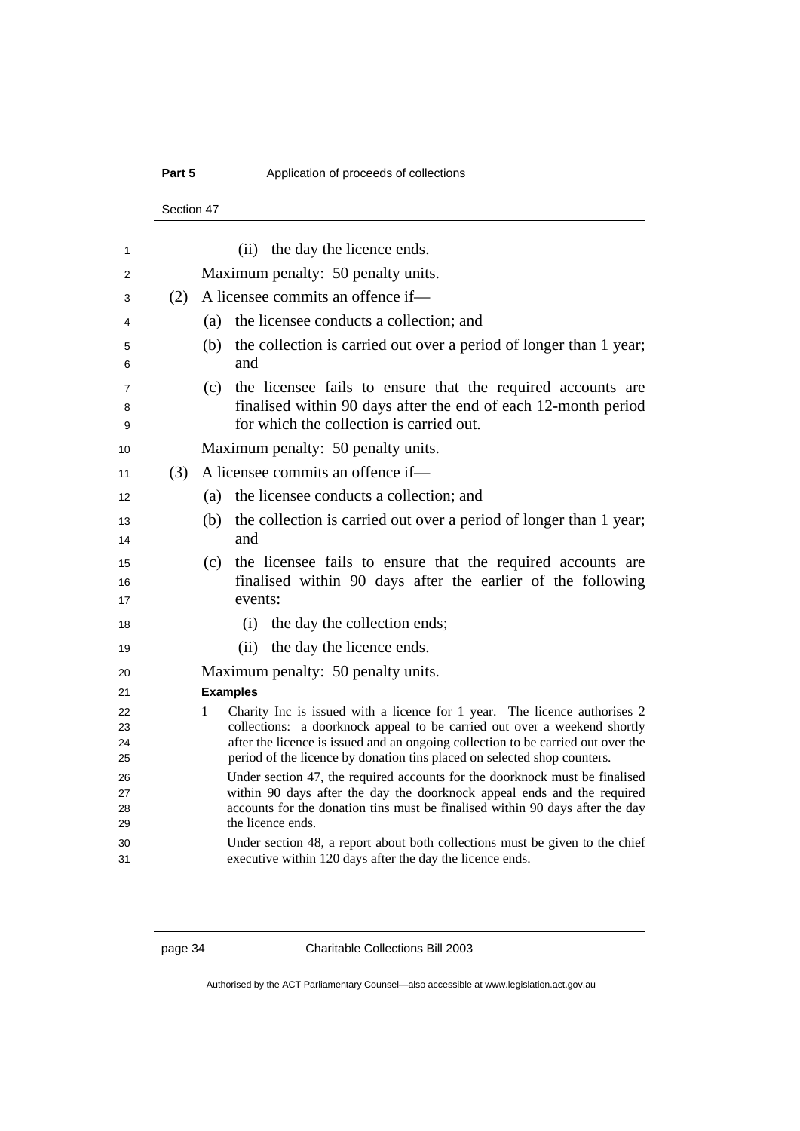## **Part 5** 2012 **Application of proceeds of collections**

#### Section 47

| 1                    |     | (ii) the day the licence ends.                                                                                                                                                                                                                               |
|----------------------|-----|--------------------------------------------------------------------------------------------------------------------------------------------------------------------------------------------------------------------------------------------------------------|
| 2                    |     | Maximum penalty: 50 penalty units.                                                                                                                                                                                                                           |
|                      | (2) | A licensee commits an offence if—                                                                                                                                                                                                                            |
| 3                    |     |                                                                                                                                                                                                                                                              |
| 4                    |     | the licensee conducts a collection; and<br>(a)                                                                                                                                                                                                               |
| 5<br>6               |     | the collection is carried out over a period of longer than 1 year;<br>(b)<br>and                                                                                                                                                                             |
| 7<br>8<br>9          |     | (c) the licensee fails to ensure that the required accounts are<br>finalised within 90 days after the end of each 12-month period<br>for which the collection is carried out.                                                                                |
| 10                   |     | Maximum penalty: 50 penalty units.                                                                                                                                                                                                                           |
| 11                   | (3) | A licensee commits an offence if-                                                                                                                                                                                                                            |
| 12                   |     | the licensee conducts a collection; and<br>(a)                                                                                                                                                                                                               |
| 13<br>14             |     | (b)<br>the collection is carried out over a period of longer than 1 year;<br>and                                                                                                                                                                             |
| 15<br>16<br>17       |     | the licensee fails to ensure that the required accounts are<br>(c)<br>finalised within 90 days after the earlier of the following<br>events:                                                                                                                 |
| 18                   |     | (i) the day the collection ends;                                                                                                                                                                                                                             |
| 19                   |     | (ii) the day the licence ends.                                                                                                                                                                                                                               |
| 20                   |     | Maximum penalty: 50 penalty units.                                                                                                                                                                                                                           |
| 21                   |     | <b>Examples</b>                                                                                                                                                                                                                                              |
| 22                   |     | Charity Inc is issued with a licence for 1 year. The licence authorises 2<br>1                                                                                                                                                                               |
| 23                   |     | collections: a doorknock appeal to be carried out over a weekend shortly<br>after the licence is issued and an ongoing collection to be carried out over the                                                                                                 |
| 24<br>25             |     | period of the licence by donation tins placed on selected shop counters.                                                                                                                                                                                     |
| 26<br>27<br>28<br>29 |     | Under section 47, the required accounts for the doorknock must be finalised<br>within 90 days after the day the doorknock appeal ends and the required<br>accounts for the donation tins must be finalised within 90 days after the day<br>the licence ends. |
| 30<br>31             |     | Under section 48, a report about both collections must be given to the chief<br>executive within 120 days after the day the licence ends.                                                                                                                    |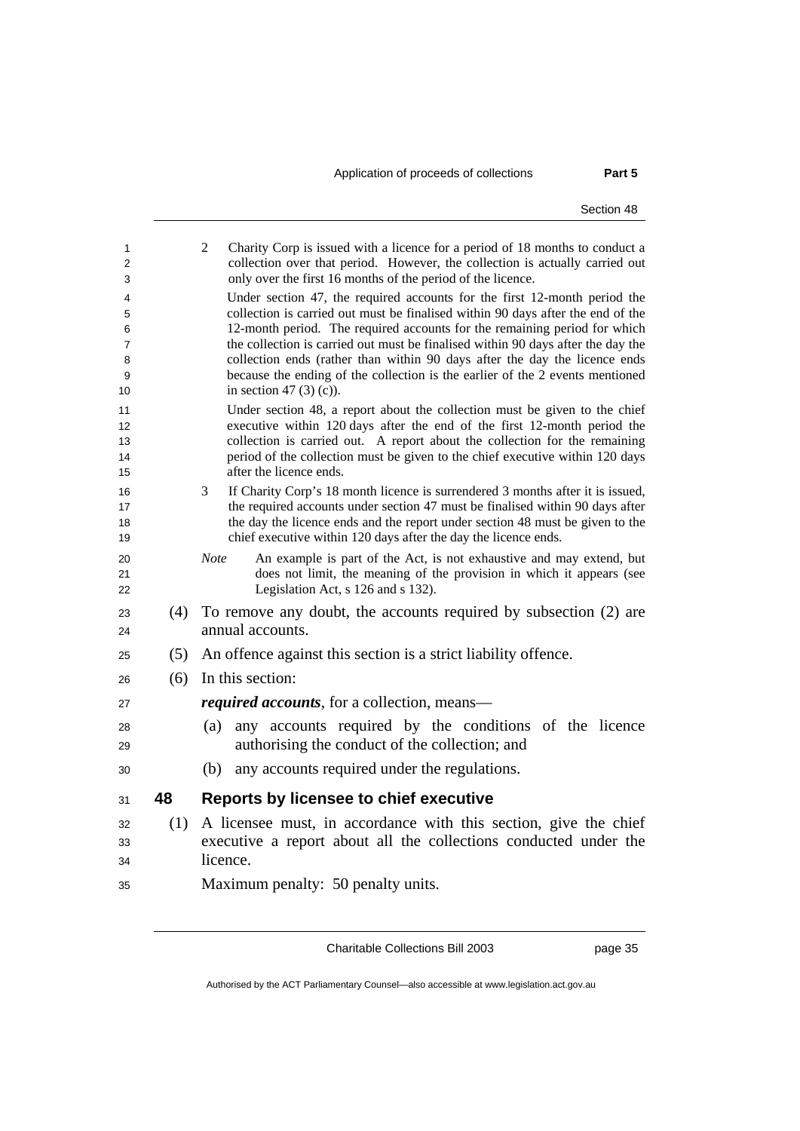| 1<br>2         |     | 2<br>Charity Corp is issued with a licence for a period of 18 months to conduct a<br>collection over that period. However, the collection is actually carried out                                  |
|----------------|-----|----------------------------------------------------------------------------------------------------------------------------------------------------------------------------------------------------|
| 3              |     | only over the first 16 months of the period of the licence.                                                                                                                                        |
| 4<br>5         |     | Under section 47, the required accounts for the first 12-month period the<br>collection is carried out must be finalised within 90 days after the end of the                                       |
| 6              |     | 12-month period. The required accounts for the remaining period for which                                                                                                                          |
| 7<br>8         |     | the collection is carried out must be finalised within 90 days after the day the<br>collection ends (rather than within 90 days after the day the licence ends                                     |
| 9<br>10        |     | because the ending of the collection is the earlier of the 2 events mentioned<br>in section 47 $(3)(c)$ ).                                                                                         |
| 11<br>12       |     | Under section 48, a report about the collection must be given to the chief<br>executive within 120 days after the end of the first 12-month period the                                             |
| 13<br>14       |     | collection is carried out. A report about the collection for the remaining<br>period of the collection must be given to the chief executive within 120 days                                        |
| 15             |     | after the licence ends.                                                                                                                                                                            |
| 16<br>17       |     | 3<br>If Charity Corp's 18 month licence is surrendered 3 months after it is issued,<br>the required accounts under section 47 must be finalised within 90 days after                               |
| 18<br>19       |     | the day the licence ends and the report under section 48 must be given to the<br>chief executive within 120 days after the day the licence ends.                                                   |
| 20<br>21<br>22 |     | An example is part of the Act, is not exhaustive and may extend, but<br><b>Note</b><br>does not limit, the meaning of the provision in which it appears (see<br>Legislation Act, s 126 and s 132). |
| 23<br>24       | (4) | To remove any doubt, the accounts required by subsection (2) are<br>annual accounts.                                                                                                               |
| 25             | (5) | An offence against this section is a strict liability offence.                                                                                                                                     |
| 26             | (6) | In this section:                                                                                                                                                                                   |
| 27             |     | <i>required accounts</i> , for a collection, means—                                                                                                                                                |
| 28             |     | any accounts required by the conditions of the licence<br>(a)                                                                                                                                      |
| 29             |     | authorising the conduct of the collection; and                                                                                                                                                     |
| 30             |     | any accounts required under the regulations.<br>(b)                                                                                                                                                |
| 31             | 48  | <b>Reports by licensee to chief executive</b>                                                                                                                                                      |
| 32             | (1) | A licensee must, in accordance with this section, give the chief                                                                                                                                   |
| 33             |     | executive a report about all the collections conducted under the                                                                                                                                   |
| 34             |     | licence.                                                                                                                                                                                           |
| 35             |     | Maximum penalty: 50 penalty units.                                                                                                                                                                 |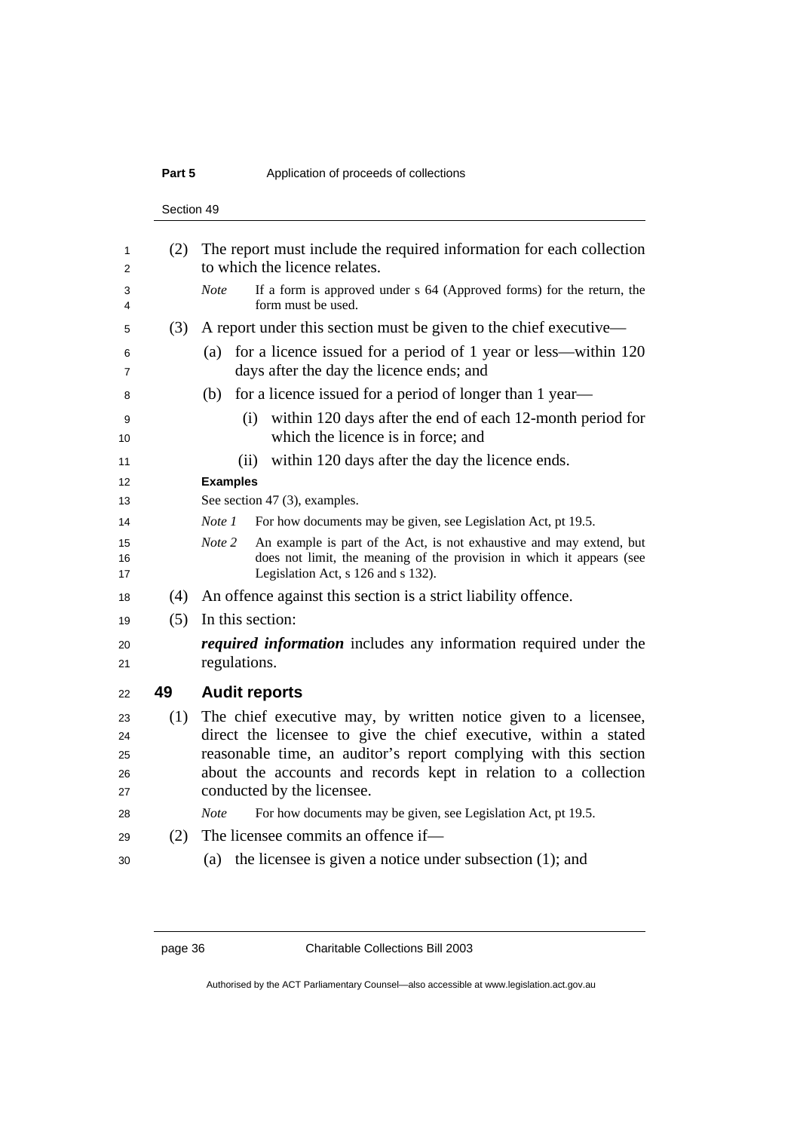## **Part 5** 2012 **Application of proceeds of collections**

Section 49

| 1              | (2) | The report must include the required information for each collection<br>to which the licence relates.                                                                                         |
|----------------|-----|-----------------------------------------------------------------------------------------------------------------------------------------------------------------------------------------------|
| 2              |     |                                                                                                                                                                                               |
| 3<br>4         |     | If a form is approved under s 64 (Approved forms) for the return, the<br><b>Note</b><br>form must be used.                                                                                    |
| 5              | (3) | A report under this section must be given to the chief executive—                                                                                                                             |
| 6<br>7         |     | for a licence issued for a period of 1 year or less—within 120<br>(a)<br>days after the day the licence ends; and                                                                             |
| 8              |     | for a licence issued for a period of longer than 1 year—<br>(b)                                                                                                                               |
| 9<br>10        |     | within 120 days after the end of each 12-month period for<br>(i)<br>which the licence is in force; and                                                                                        |
| 11             |     | within 120 days after the day the licence ends.<br>(ii)                                                                                                                                       |
| 12             |     | <b>Examples</b>                                                                                                                                                                               |
| 13             |     | See section 47 (3), examples.                                                                                                                                                                 |
| 14             |     | For how documents may be given, see Legislation Act, pt 19.5.<br>Note 1                                                                                                                       |
| 15<br>16<br>17 |     | Note 2<br>An example is part of the Act, is not exhaustive and may extend, but<br>does not limit, the meaning of the provision in which it appears (see<br>Legislation Act, s 126 and s 132). |
| 18             | (4) | An offence against this section is a strict liability offence.                                                                                                                                |
| 19             | (5) | In this section:                                                                                                                                                                              |
| 20<br>21       |     | <i>required information</i> includes any information required under the<br>regulations.                                                                                                       |
| 22             | 49  | <b>Audit reports</b>                                                                                                                                                                          |
| 23             | (1) | The chief executive may, by written notice given to a licensee,                                                                                                                               |
| 24             |     | direct the licensee to give the chief executive, within a stated                                                                                                                              |
| 25             |     | reasonable time, an auditor's report complying with this section                                                                                                                              |
| 26             |     | about the accounts and records kept in relation to a collection                                                                                                                               |
| 27             |     | conducted by the licensee.                                                                                                                                                                    |
| 28             |     | For how documents may be given, see Legislation Act, pt 19.5.<br><b>Note</b>                                                                                                                  |
| 29             | (2) | The licensee commits an offence if—                                                                                                                                                           |
| 30             |     | the licensee is given a notice under subsection $(1)$ ; and<br>(a)                                                                                                                            |
|                |     |                                                                                                                                                                                               |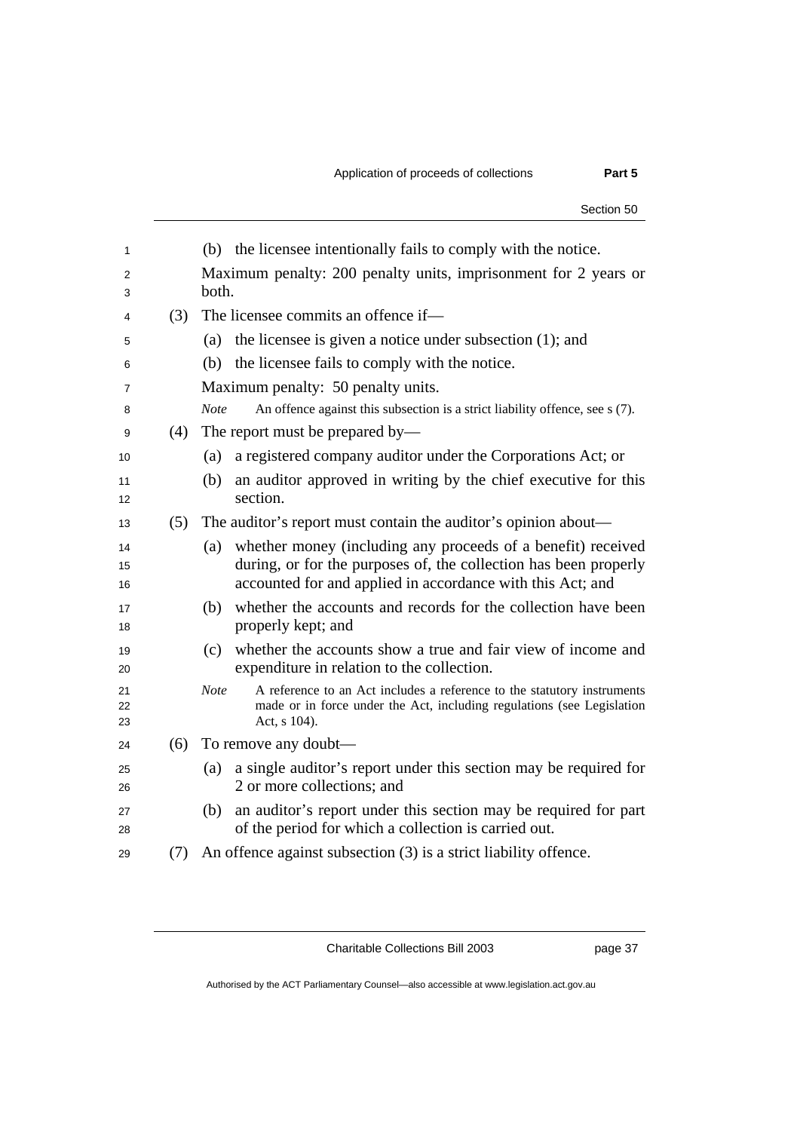|     |                                                                                                                                                                                                       | Section 50 |
|-----|-------------------------------------------------------------------------------------------------------------------------------------------------------------------------------------------------------|------------|
|     | the licensee intentionally fails to comply with the notice.<br>(b)                                                                                                                                    |            |
|     | Maximum penalty: 200 penalty units, imprisonment for 2 years or<br>both.                                                                                                                              |            |
| (3) | The licensee commits an offence if-                                                                                                                                                                   |            |
|     | the licensee is given a notice under subsection $(1)$ ; and<br>(a)                                                                                                                                    |            |
|     | the licensee fails to comply with the notice.<br>(b)                                                                                                                                                  |            |
|     | Maximum penalty: 50 penalty units.                                                                                                                                                                    |            |
|     | An offence against this subsection is a strict liability offence, see s (7).<br><b>Note</b>                                                                                                           |            |
| (4) | The report must be prepared by—                                                                                                                                                                       |            |
|     | a registered company auditor under the Corporations Act; or<br>(a)                                                                                                                                    |            |
|     | an auditor approved in writing by the chief executive for this<br>(b)<br>section.                                                                                                                     |            |
| (5) | The auditor's report must contain the auditor's opinion about—                                                                                                                                        |            |
|     | whether money (including any proceeds of a benefit) received<br>(a)<br>during, or for the purposes of, the collection has been properly<br>accounted for and applied in accordance with this Act; and |            |
|     | whether the accounts and records for the collection have been<br>(b)<br>properly kept; and                                                                                                            |            |
|     | whether the accounts show a true and fair view of income and<br>(c)<br>expenditure in relation to the collection.                                                                                     |            |
|     | <b>Note</b><br>A reference to an Act includes a reference to the statutory instruments<br>made or in force under the Act, including regulations (see Legislation<br>Act, s 104).                      |            |
| (6) | To remove any doubt—                                                                                                                                                                                  |            |
|     | a single auditor's report under this section may be required for<br>(a)<br>2 or more collections; and                                                                                                 |            |
|     | an auditor's report under this section may be required for part<br>(b)<br>of the period for which a collection is carried out.                                                                        |            |
| (7) | An offence against subsection (3) is a strict liability offence.                                                                                                                                      |            |
|     |                                                                                                                                                                                                       |            |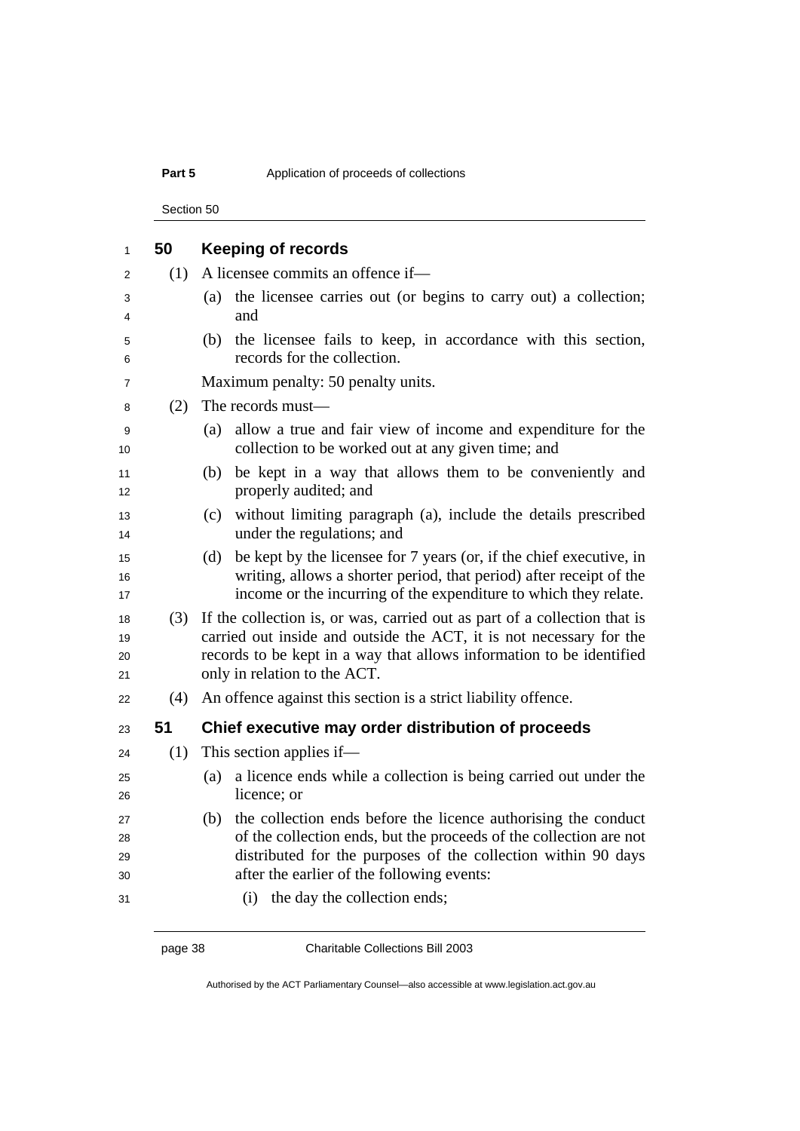## **Part 5** 2012 **Application of proceeds of collections**

Section 50

| 1                    | 50  | <b>Keeping of records</b>                                                                                                                                                                                                                                  |
|----------------------|-----|------------------------------------------------------------------------------------------------------------------------------------------------------------------------------------------------------------------------------------------------------------|
| 2                    | (1) | A licensee commits an offence if—                                                                                                                                                                                                                          |
| 3<br>4               |     | the licensee carries out (or begins to carry out) a collection;<br>(a)<br>and                                                                                                                                                                              |
| 5<br>6               |     | the licensee fails to keep, in accordance with this section,<br>(b)<br>records for the collection.                                                                                                                                                         |
| 7                    |     | Maximum penalty: 50 penalty units.                                                                                                                                                                                                                         |
| 8                    | (2) | The records must-                                                                                                                                                                                                                                          |
| 9<br>10              |     | allow a true and fair view of income and expenditure for the<br>(a)<br>collection to be worked out at any given time; and                                                                                                                                  |
| 11<br>12             |     | be kept in a way that allows them to be conveniently and<br>(b)<br>properly audited; and                                                                                                                                                                   |
| 13<br>14             |     | without limiting paragraph (a), include the details prescribed<br>(c)<br>under the regulations; and                                                                                                                                                        |
| 15<br>16<br>17       |     | be kept by the licensee for 7 years (or, if the chief executive, in<br>(d)<br>writing, allows a shorter period, that period) after receipt of the<br>income or the incurring of the expenditure to which they relate.                                      |
| 18<br>19<br>20<br>21 | (3) | If the collection is, or was, carried out as part of a collection that is<br>carried out inside and outside the ACT, it is not necessary for the<br>records to be kept in a way that allows information to be identified<br>only in relation to the ACT.   |
| 22                   | (4) | An offence against this section is a strict liability offence.                                                                                                                                                                                             |
| 23                   | 51  | Chief executive may order distribution of proceeds                                                                                                                                                                                                         |
| 24                   | (1) | This section applies if—                                                                                                                                                                                                                                   |
| 25<br>26             |     | a licence ends while a collection is being carried out under the<br>(a)<br>licence; or                                                                                                                                                                     |
| 27<br>28<br>29<br>30 |     | the collection ends before the licence authorising the conduct<br>(b)<br>of the collection ends, but the proceeds of the collection are not<br>distributed for the purposes of the collection within 90 days<br>after the earlier of the following events: |
| 31                   |     | (i) the day the collection ends;                                                                                                                                                                                                                           |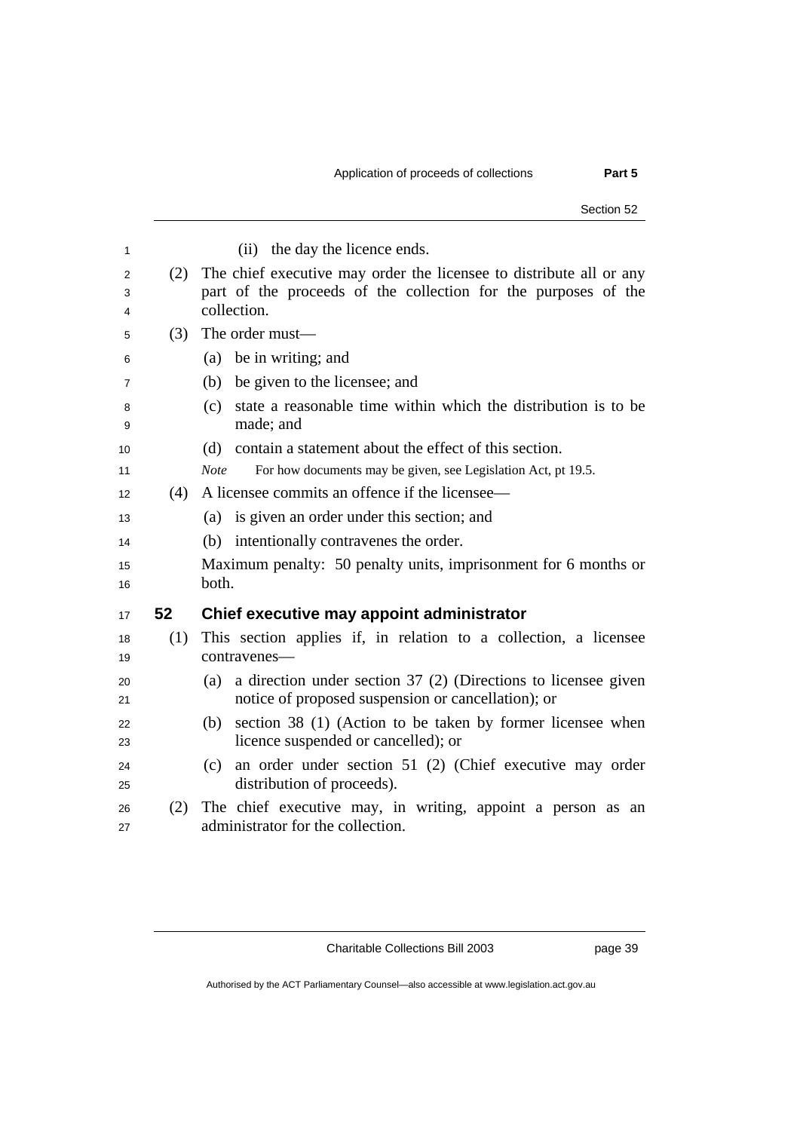|             |     | Section 52                                                                                                                                           |
|-------------|-----|------------------------------------------------------------------------------------------------------------------------------------------------------|
| 1           |     | the day the licence ends.<br>(ii)                                                                                                                    |
| 2<br>3<br>4 | (2) | The chief executive may order the licensee to distribute all or any<br>part of the proceeds of the collection for the purposes of the<br>collection. |
|             | (3) | The order must—                                                                                                                                      |
|             |     | be in writing; and<br>(a)                                                                                                                            |
|             |     | be given to the licensee; and<br>(b)                                                                                                                 |
|             |     | state a reasonable time within which the distribution is to be<br>(c)<br>made; and                                                                   |
|             |     | contain a statement about the effect of this section.<br>(d)                                                                                         |
|             |     | For how documents may be given, see Legislation Act, pt 19.5.<br><b>Note</b>                                                                         |
|             | (4) | A licensee commits an offence if the licensee—                                                                                                       |
|             |     | is given an order under this section; and<br>(a)                                                                                                     |
|             |     | intentionally contravenes the order.<br>(b)                                                                                                          |
|             |     | Maximum penalty: 50 penalty units, imprisonment for 6 months or                                                                                      |
|             |     | both.                                                                                                                                                |
|             | 52  | Chief executive may appoint administrator                                                                                                            |
|             | (1) | This section applies if, in relation to a collection, a licensee                                                                                     |
|             |     | contravenes-                                                                                                                                         |
|             |     | a direction under section 37 (2) (Directions to licensee given<br>(a)<br>notice of proposed suspension or cancellation); or                          |
|             |     | section 38 (1) (Action to be taken by former licensee when<br>(b)<br>licence suspended or cancelled); or                                             |

(c) an order under section 51 (2) (Chief executive may order

(2) The chief executive may, in writing, appoint a person as an

25 distribution of proceeds).

administrator for the collection.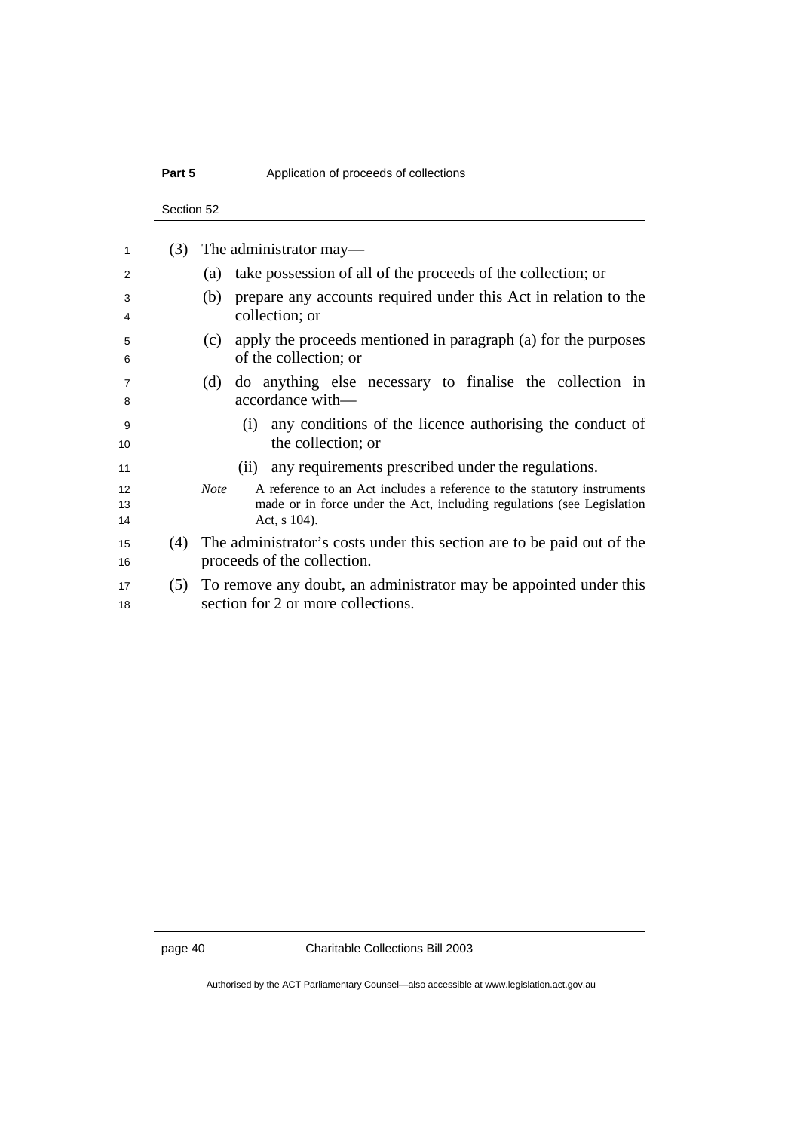## **Part 5** 2012 **Application of proceeds of collections**

Section 52

| 1              | (3) | The administrator may—                                                                                                                                                           |
|----------------|-----|----------------------------------------------------------------------------------------------------------------------------------------------------------------------------------|
| 2              |     | take possession of all of the proceeds of the collection; or<br>(a)                                                                                                              |
| 3<br>4         |     | prepare any accounts required under this Act in relation to the<br>(b)<br>collection; or                                                                                         |
| 5<br>6         |     | apply the proceeds mentioned in paragraph (a) for the purposes<br>(c)<br>of the collection; or                                                                                   |
| 7<br>8         |     | do anything else necessary to finalise the collection in<br>(d)<br>accordance with-                                                                                              |
| 9<br>10        |     | any conditions of the licence authorising the conduct of<br>(1)<br>the collection; or                                                                                            |
| 11             |     | any requirements prescribed under the regulations.<br>(11)                                                                                                                       |
| 12<br>13<br>14 |     | <b>Note</b><br>A reference to an Act includes a reference to the statutory instruments<br>made or in force under the Act, including regulations (see Legislation<br>Act, s 104). |
| 15<br>16       | (4) | The administrator's costs under this section are to be paid out of the<br>proceeds of the collection.                                                                            |
| 17<br>18       | (5) | To remove any doubt, an administrator may be appointed under this<br>section for 2 or more collections.                                                                          |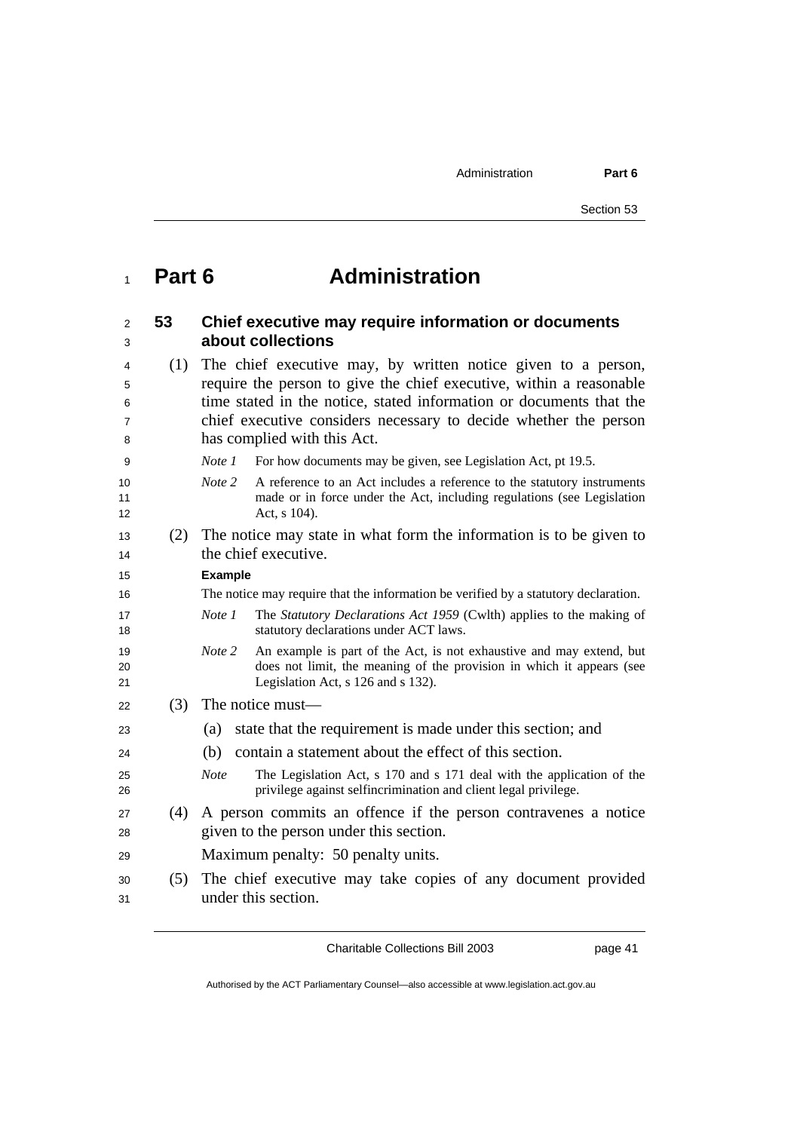Administration **Part 6** 

## **Part 6 Administration**

| 2<br>3         | 53  | Chief executive may require information or documents<br>about collections                                                                                                                     |
|----------------|-----|-----------------------------------------------------------------------------------------------------------------------------------------------------------------------------------------------|
| 4              | (1) | The chief executive may, by written notice given to a person,                                                                                                                                 |
| 5              |     | require the person to give the chief executive, within a reasonable                                                                                                                           |
| 6              |     | time stated in the notice, stated information or documents that the                                                                                                                           |
| 7              |     | chief executive considers necessary to decide whether the person                                                                                                                              |
| 8              |     | has complied with this Act.                                                                                                                                                                   |
| 9              |     | Note 1<br>For how documents may be given, see Legislation Act, pt 19.5.                                                                                                                       |
| 10<br>11<br>12 |     | Note 2<br>A reference to an Act includes a reference to the statutory instruments<br>made or in force under the Act, including regulations (see Legislation<br>Act, s 104).                   |
| 13             | (2) | The notice may state in what form the information is to be given to                                                                                                                           |
| 14             |     | the chief executive.                                                                                                                                                                          |
| 15             |     | <b>Example</b>                                                                                                                                                                                |
| 16             |     | The notice may require that the information be verified by a statutory declaration.                                                                                                           |
| 17<br>18       |     | Note 1<br>The Statutory Declarations Act 1959 (Cwlth) applies to the making of<br>statutory declarations under ACT laws.                                                                      |
| 19<br>20<br>21 |     | Note 2<br>An example is part of the Act, is not exhaustive and may extend, but<br>does not limit, the meaning of the provision in which it appears (see<br>Legislation Act, s 126 and s 132). |
| 22             | (3) | The notice must—                                                                                                                                                                              |
| 23             |     | state that the requirement is made under this section; and<br>(a)                                                                                                                             |
| 24             |     | contain a statement about the effect of this section.<br>(b)                                                                                                                                  |
| 25<br>26       |     | The Legislation Act, s 170 and s 171 deal with the application of the<br><b>Note</b><br>privilege against selfincrimination and client legal privilege.                                       |
| 27             | (4) | A person commits an offence if the person contravenes a notice                                                                                                                                |
| 28             |     | given to the person under this section.                                                                                                                                                       |
| 29             |     | Maximum penalty: 50 penalty units.                                                                                                                                                            |
| 30             | (5) | The chief executive may take copies of any document provided                                                                                                                                  |
| 31             |     | under this section.                                                                                                                                                                           |

Charitable Collections Bill 2003 page 41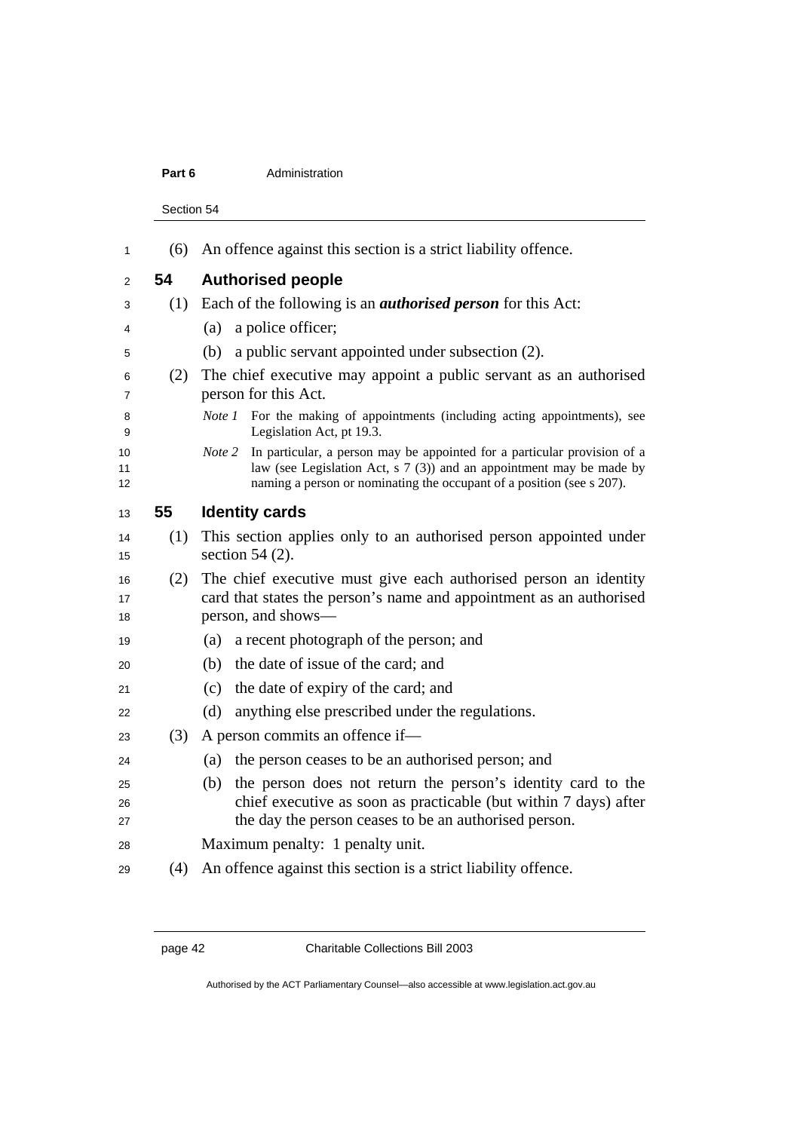#### **Part 6 Administration**

Section 54

| 1              |     | (6) An offence against this section is a strict liability offence.                                                                                                                                                                         |
|----------------|-----|--------------------------------------------------------------------------------------------------------------------------------------------------------------------------------------------------------------------------------------------|
| $\overline{2}$ | 54  | <b>Authorised people</b>                                                                                                                                                                                                                   |
| 3              | (1) | Each of the following is an <i>authorised person</i> for this Act:                                                                                                                                                                         |
| 4              |     | a police officer;<br>(a)                                                                                                                                                                                                                   |
| 5              |     | a public servant appointed under subsection (2).<br>(b)                                                                                                                                                                                    |
| 6<br>7         | (2) | The chief executive may appoint a public servant as an authorised<br>person for this Act.                                                                                                                                                  |
| 8<br>9         |     | <i>Note 1</i> For the making of appointments (including acting appointments), see<br>Legislation Act, pt 19.3.                                                                                                                             |
| 10<br>11<br>12 |     | In particular, a person may be appointed for a particular provision of a<br>Note 2<br>law (see Legislation Act, $s \ 7 \ (3)$ ) and an appointment may be made by<br>naming a person or nominating the occupant of a position (see s 207). |
| 13             | 55  | <b>Identity cards</b>                                                                                                                                                                                                                      |
| 14<br>15       | (1) | This section applies only to an authorised person appointed under<br>section 54 $(2)$ .                                                                                                                                                    |
| 16<br>17<br>18 | (2) | The chief executive must give each authorised person an identity<br>card that states the person's name and appointment as an authorised<br>person, and shows—                                                                              |
| 19             |     | a recent photograph of the person; and<br>(a)                                                                                                                                                                                              |
| 20             |     | the date of issue of the card; and<br>(b)                                                                                                                                                                                                  |
| 21             |     | the date of expiry of the card; and<br>(c)                                                                                                                                                                                                 |
| 22             |     | anything else prescribed under the regulations.<br>(d)                                                                                                                                                                                     |
| 23             | (3) | A person commits an offence if-                                                                                                                                                                                                            |
| 24             |     | the person ceases to be an authorised person; and<br>(a)                                                                                                                                                                                   |
| 25<br>26<br>27 |     | the person does not return the person's identity card to the<br>(b)<br>chief executive as soon as practicable (but within 7 days) after<br>the day the person ceases to be an authorised person.                                           |
| 28             |     | Maximum penalty: 1 penalty unit.                                                                                                                                                                                                           |
| 29             | (4) | An offence against this section is a strict liability offence.                                                                                                                                                                             |

Authorised by the ACT Parliamentary Counsel—also accessible at www.legislation.act.gov.au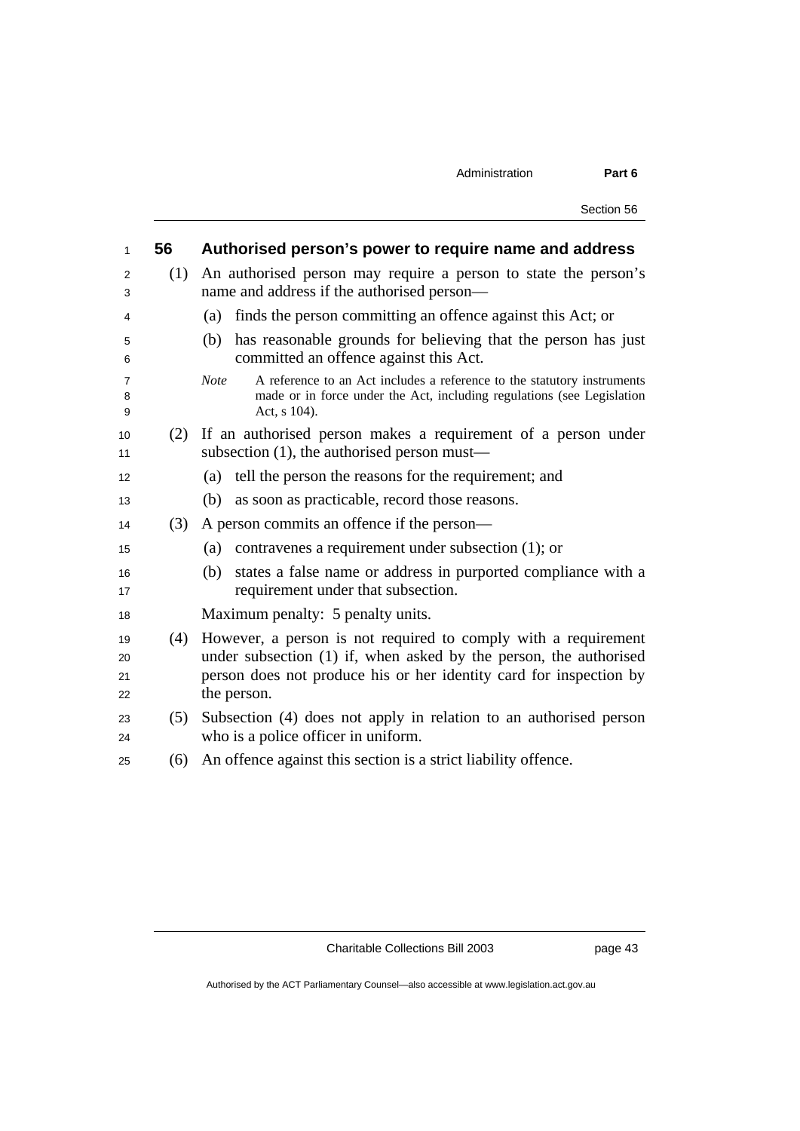| 1                    | 56  | Authorised person's power to require name and address                                                                                                                                                                    |
|----------------------|-----|--------------------------------------------------------------------------------------------------------------------------------------------------------------------------------------------------------------------------|
| 2<br>3               | (1) | An authorised person may require a person to state the person's<br>name and address if the authorised person-                                                                                                            |
| 4                    |     | finds the person committing an offence against this Act; or<br>(a)                                                                                                                                                       |
| 5<br>6               |     | has reasonable grounds for believing that the person has just<br>(b)<br>committed an offence against this Act.                                                                                                           |
| 7<br>8<br>9          |     | A reference to an Act includes a reference to the statutory instruments<br><b>Note</b><br>made or in force under the Act, including regulations (see Legislation<br>Act, s 104).                                         |
| 10<br>11             | (2) | If an authorised person makes a requirement of a person under<br>subsection (1), the authorised person must—                                                                                                             |
| 12                   |     | tell the person the reasons for the requirement; and<br>(a)                                                                                                                                                              |
| 13                   |     | as soon as practicable, record those reasons.<br>(b)                                                                                                                                                                     |
| 14                   | (3) | A person commits an offence if the person—                                                                                                                                                                               |
| 15                   |     | contravenes a requirement under subsection (1); or<br>(a)                                                                                                                                                                |
| 16<br>17             |     | states a false name or address in purported compliance with a<br>(b)<br>requirement under that subsection.                                                                                                               |
| 18                   |     | Maximum penalty: 5 penalty units.                                                                                                                                                                                        |
| 19<br>20<br>21<br>22 | (4) | However, a person is not required to comply with a requirement<br>under subsection (1) if, when asked by the person, the authorised<br>person does not produce his or her identity card for inspection by<br>the person. |
| 23<br>24             | (5) | Subsection (4) does not apply in relation to an authorised person<br>who is a police officer in uniform.                                                                                                                 |
| 25                   | (6) | An offence against this section is a strict liability offence.                                                                                                                                                           |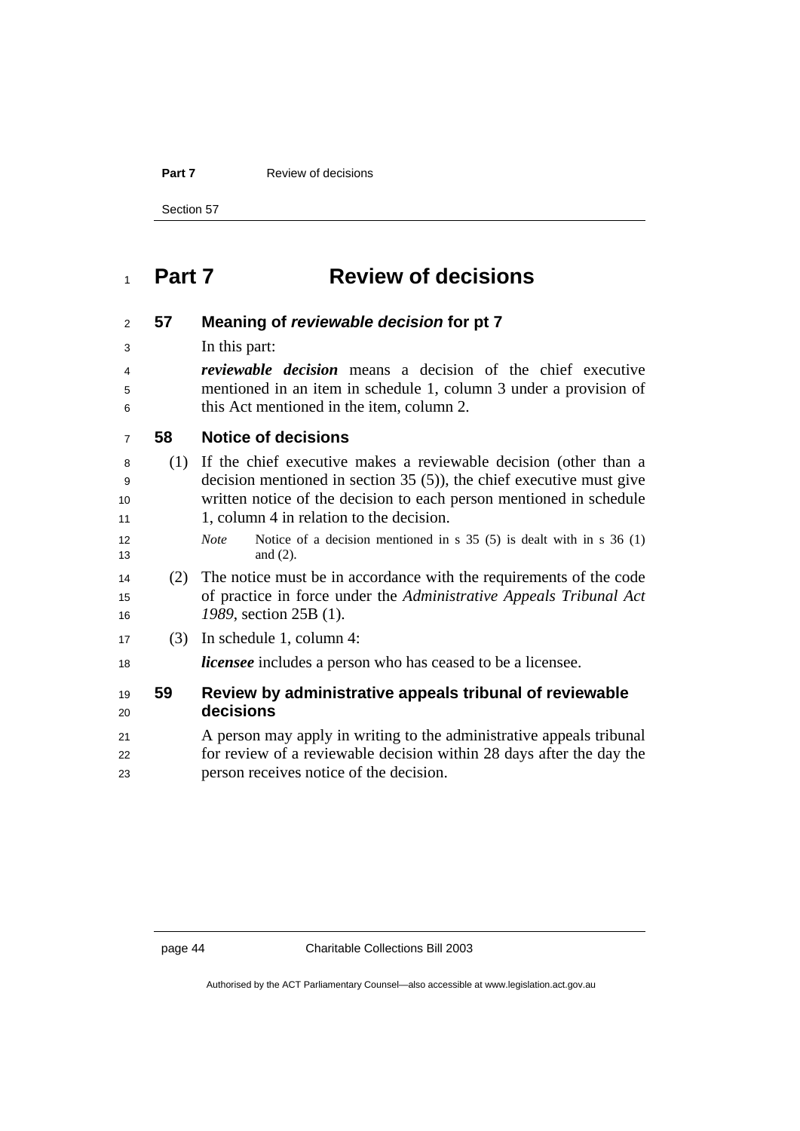**Part 7 Review of decisions** 

Section 57

## **Part 7 Review of decisions**

| 2              | 57  | Meaning of reviewable decision for pt 7                                                                |
|----------------|-----|--------------------------------------------------------------------------------------------------------|
| 3              |     | In this part:                                                                                          |
| 4              |     | <i>reviewable decision</i> means a decision of the chief executive                                     |
| 5              |     | mentioned in an item in schedule 1, column 3 under a provision of                                      |
| 6              |     | this Act mentioned in the item, column 2.                                                              |
| $\overline{7}$ | 58  | <b>Notice of decisions</b>                                                                             |
| 8              |     | (1) If the chief executive makes a reviewable decision (other than a                                   |
| 9              |     | decision mentioned in section $35(5)$ ), the chief executive must give                                 |
| 10             |     | written notice of the decision to each person mentioned in schedule                                    |
| 11             |     | 1, column 4 in relation to the decision.                                                               |
| 12<br>13       |     | Notice of a decision mentioned in $s$ 35 (5) is dealt with in $s$ 36 (1)<br><b>Note</b><br>and $(2)$ . |
| 14             | (2) | The notice must be in accordance with the requirements of the code                                     |
| 15             |     | of practice in force under the Administrative Appeals Tribunal Act                                     |
| 16             |     | 1989, section 25B (1).                                                                                 |
| 17             | (3) | In schedule 1, column 4:                                                                               |
| 18             |     | <i>licensee</i> includes a person who has ceased to be a licensee.                                     |
| 19             | 59  | Review by administrative appeals tribunal of reviewable                                                |
| 20             |     | decisions                                                                                              |
| 21             |     | A person may apply in writing to the administrative appeals tribunal                                   |
| 22             |     | for review of a reviewable decision within 28 days after the day the                                   |
| 23             |     | person receives notice of the decision.                                                                |
|                |     |                                                                                                        |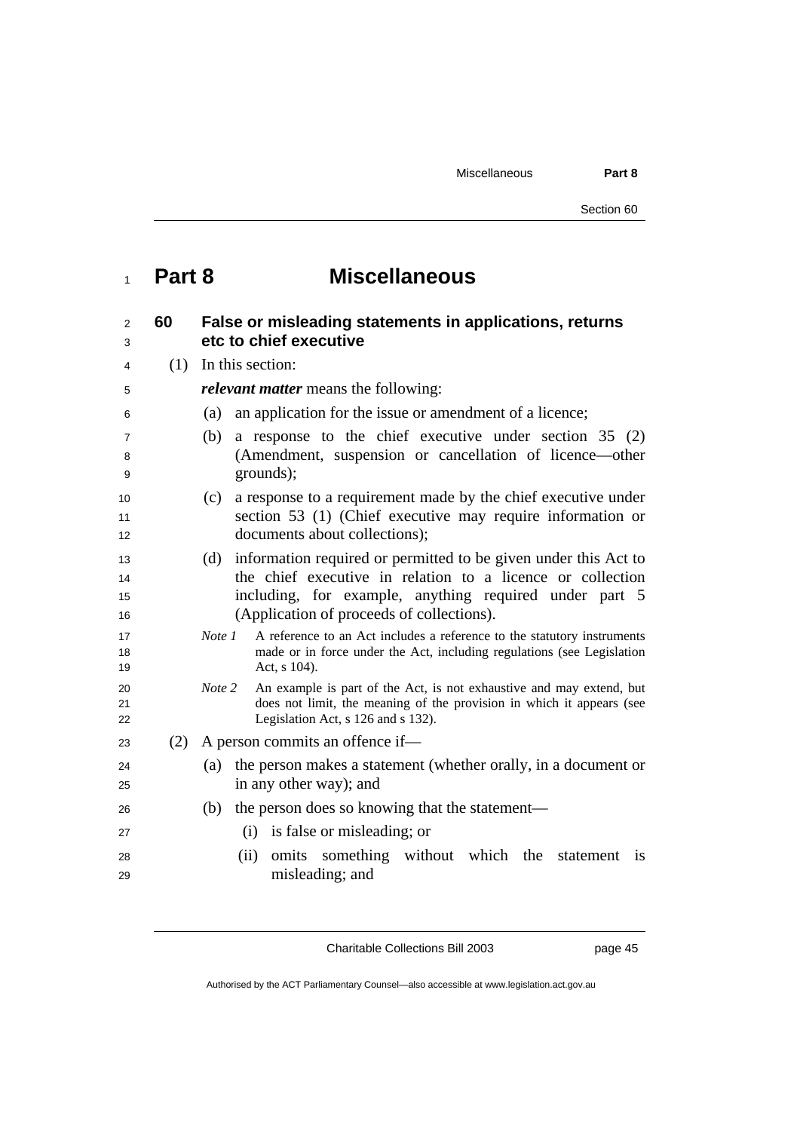Miscellaneous **Part 8** 

Section 60

## **Part 8 Miscellaneous**

| $\overline{2}$<br>3  | 60  | False or misleading statements in applications, returns<br>etc to chief executive                                                                                                                                                           |
|----------------------|-----|---------------------------------------------------------------------------------------------------------------------------------------------------------------------------------------------------------------------------------------------|
| 4                    |     | $(1)$ In this section:                                                                                                                                                                                                                      |
| 5                    |     | <i>relevant matter</i> means the following:                                                                                                                                                                                                 |
| 6                    |     | an application for the issue or amendment of a licence;<br>(a)                                                                                                                                                                              |
| 7<br>8<br>9          |     | a response to the chief executive under section $35(2)$<br>(b)<br>(Amendment, suspension or cancellation of licence—other<br>grounds);                                                                                                      |
| 10<br>11<br>12       |     | a response to a requirement made by the chief executive under<br>(c)<br>section 53 (1) (Chief executive may require information or<br>documents about collections);                                                                         |
| 13<br>14<br>15<br>16 |     | information required or permitted to be given under this Act to<br>(d)<br>the chief executive in relation to a licence or collection<br>including, for example, anything required under part 5<br>(Application of proceeds of collections). |
| 17<br>18<br>19       |     | A reference to an Act includes a reference to the statutory instruments<br>Note 1<br>made or in force under the Act, including regulations (see Legislation<br>Act, s 104).                                                                 |
| 20<br>21<br>22       |     | Note 2<br>An example is part of the Act, is not exhaustive and may extend, but<br>does not limit, the meaning of the provision in which it appears (see<br>Legislation Act, s 126 and s 132).                                               |
| 23                   | (2) | A person commits an offence if—                                                                                                                                                                                                             |
| 24<br>25             |     | the person makes a statement (whether orally, in a document or<br>(a)<br>in any other way); and                                                                                                                                             |
| 26                   |     | the person does so knowing that the statement-<br>(b)                                                                                                                                                                                       |
| 27                   |     | (i) is false or misleading; or                                                                                                                                                                                                              |
| 28<br>29             |     | omits something without which the<br>(ii)<br>statement is<br>misleading; and                                                                                                                                                                |

Charitable Collections Bill 2003 page 45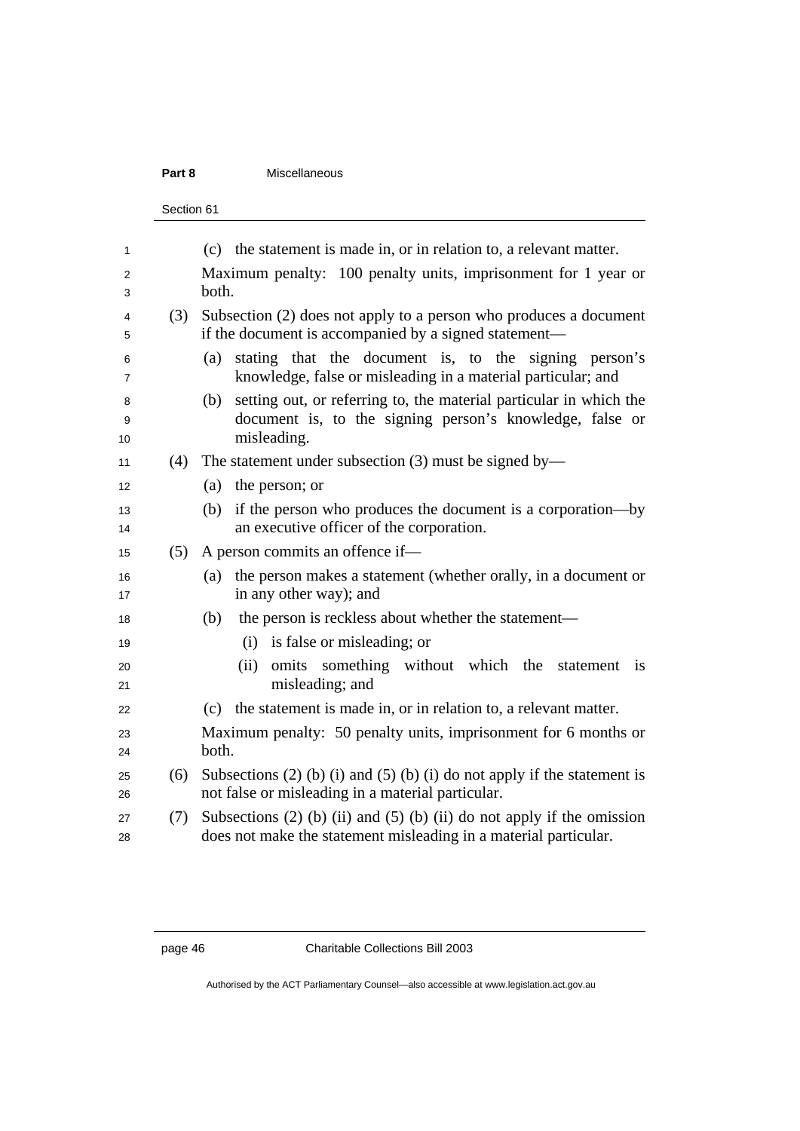#### **Part 8** Miscellaneous

```
Section 61
```

| 1        |     | (c) the statement is made in, or in relation to, a relevant matter.                                                               |
|----------|-----|-----------------------------------------------------------------------------------------------------------------------------------|
| 2        |     | Maximum penalty: 100 penalty units, imprisonment for 1 year or                                                                    |
| 3        |     | both.                                                                                                                             |
| 4        | (3) | Subsection (2) does not apply to a person who produces a document                                                                 |
| 5        |     | if the document is accompanied by a signed statement—                                                                             |
| 6<br>7   |     | stating that the document is, to the signing person's<br>(a)<br>knowledge, false or misleading in a material particular; and      |
| 8        |     | setting out, or referring to, the material particular in which the<br>(b)                                                         |
| 9<br>10  |     | document is, to the signing person's knowledge, false or<br>misleading.                                                           |
| 11       | (4) | The statement under subsection $(3)$ must be signed by—                                                                           |
| 12       |     | (a)<br>the person; or                                                                                                             |
| 13       |     | if the person who produces the document is a corporation—by<br>(b)                                                                |
| 14       |     | an executive officer of the corporation.                                                                                          |
| 15       | (5) | A person commits an offence if-                                                                                                   |
| 16<br>17 |     | the person makes a statement (whether orally, in a document or<br>(a)<br>in any other way); and                                   |
| 18       |     | the person is reckless about whether the statement—<br>(b)                                                                        |
| 19       |     | (i) is false or misleading; or                                                                                                    |
|          |     | something without which the<br>(ii)<br>omits<br>statement<br>$\overline{1}$                                                       |
| 20<br>21 |     | misleading; and                                                                                                                   |
| 22       |     | the statement is made in, or in relation to, a relevant matter.<br>(c)                                                            |
| 23       |     | Maximum penalty: 50 penalty units, imprisonment for 6 months or                                                                   |
| 24       |     | both.                                                                                                                             |
| 25<br>26 | (6) | Subsections $(2)$ (b) (i) and $(5)$ (b) (i) do not apply if the statement is<br>not false or misleading in a material particular. |
| 27       | (7) | Subsections $(2)$ (b) (ii) and $(5)$ (b) (ii) do not apply if the omission                                                        |
| 28       |     | does not make the statement misleading in a material particular.                                                                  |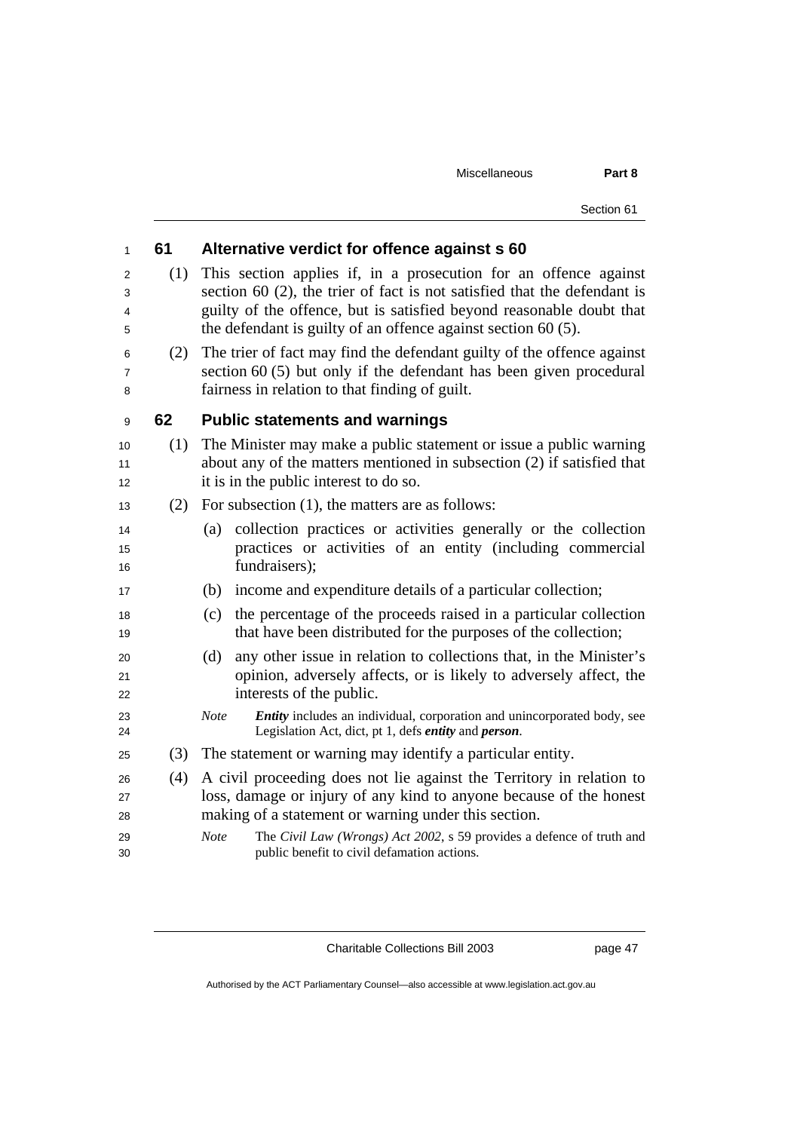Miscellaneous **Part 8** 

Section 61

| 1              | 61  | Alternative verdict for offence against s 60                                                                                                                                                                         |  |  |  |  |
|----------------|-----|----------------------------------------------------------------------------------------------------------------------------------------------------------------------------------------------------------------------|--|--|--|--|
| 2<br>3<br>4    | (1) | This section applies if, in a prosecution for an offence against<br>section 60 (2), the trier of fact is not satisfied that the defendant is<br>guilty of the offence, but is satisfied beyond reasonable doubt that |  |  |  |  |
| 5              |     | the defendant is guilty of an offence against section $60(5)$ .                                                                                                                                                      |  |  |  |  |
| 6<br>7<br>8    | (2) | The trier of fact may find the defendant guilty of the offence against<br>section $60(5)$ but only if the defendant has been given procedural<br>fairness in relation to that finding of guilt.                      |  |  |  |  |
| 9              | 62  | <b>Public statements and warnings</b>                                                                                                                                                                                |  |  |  |  |
| 10<br>11<br>12 | (1) | The Minister may make a public statement or issue a public warning<br>about any of the matters mentioned in subsection (2) if satisfied that<br>it is in the public interest to do so.                               |  |  |  |  |
| 13             | (2) | For subsection $(1)$ , the matters are as follows:                                                                                                                                                                   |  |  |  |  |
| 14<br>15<br>16 |     | collection practices or activities generally or the collection<br>(a)<br>practices or activities of an entity (including commercial<br>fundraisers);                                                                 |  |  |  |  |
| 17             |     | income and expenditure details of a particular collection;<br>(b)                                                                                                                                                    |  |  |  |  |
| 18<br>19       |     | the percentage of the proceeds raised in a particular collection<br>(c)<br>that have been distributed for the purposes of the collection;                                                                            |  |  |  |  |
| 20<br>21<br>22 |     | (d)<br>any other issue in relation to collections that, in the Minister's<br>opinion, adversely affects, or is likely to adversely affect, the<br>interests of the public.                                           |  |  |  |  |
| 23<br>24       |     | Entity includes an individual, corporation and unincorporated body, see<br>Note<br>Legislation Act, dict, pt 1, defs entity and person.                                                                              |  |  |  |  |
| 25             | (3) | The statement or warning may identify a particular entity.                                                                                                                                                           |  |  |  |  |
| 26<br>27<br>28 | (4) | A civil proceeding does not lie against the Territory in relation to<br>loss, damage or injury of any kind to anyone because of the honest<br>making of a statement or warning under this section.                   |  |  |  |  |
| 29<br>30       |     | <b>Note</b><br>The Civil Law (Wrongs) Act 2002, s 59 provides a defence of truth and<br>public benefit to civil defamation actions.                                                                                  |  |  |  |  |

Charitable Collections Bill 2003 page 47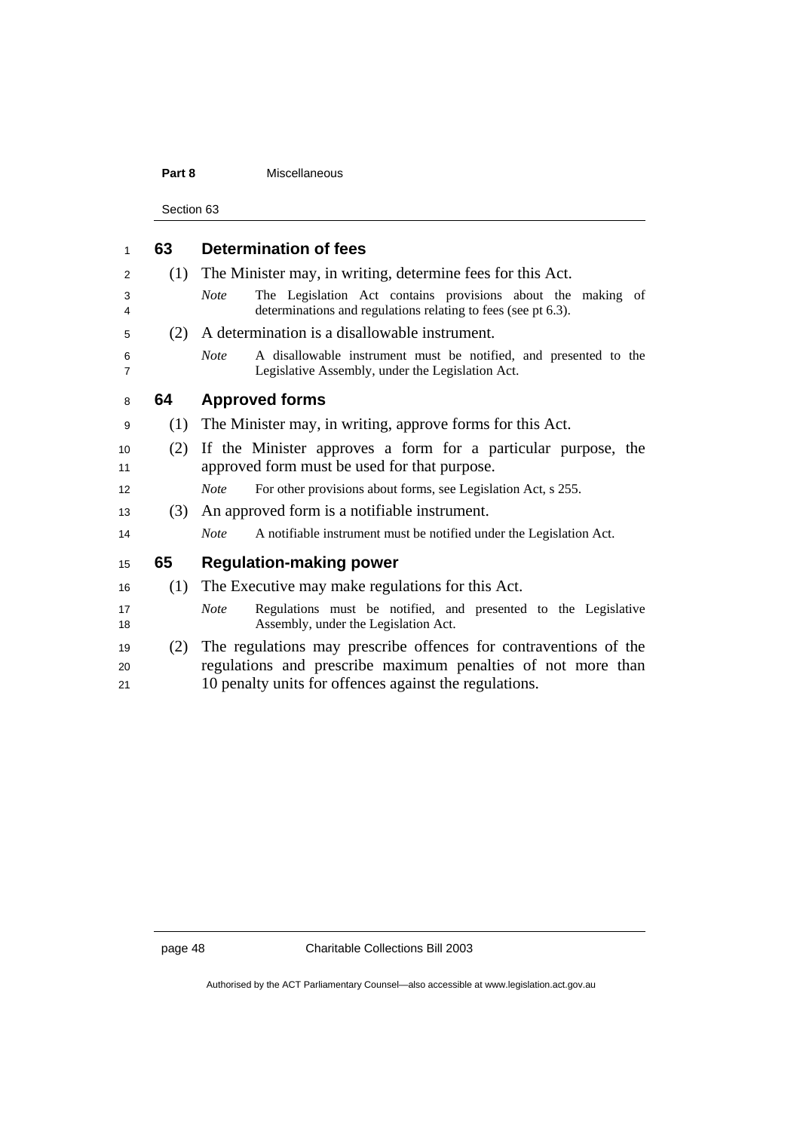### **Part 8** Miscellaneous

Section 63

| 1                   | 63  | <b>Determination of fees</b>                                                                                                                |  |  |  |
|---------------------|-----|---------------------------------------------------------------------------------------------------------------------------------------------|--|--|--|
| 2                   | (1) | The Minister may, in writing, determine fees for this Act.                                                                                  |  |  |  |
| 3<br>4              |     | The Legislation Act contains provisions about the making of<br><b>Note</b><br>determinations and regulations relating to fees (see pt 6.3). |  |  |  |
| 5                   | (2) | A determination is a disallowable instrument.                                                                                               |  |  |  |
| 6<br>$\overline{7}$ |     | A disallowable instrument must be notified, and presented to the<br><b>Note</b><br>Legislative Assembly, under the Legislation Act.         |  |  |  |
| 8                   | 64  | <b>Approved forms</b>                                                                                                                       |  |  |  |
| 9                   | (1) | The Minister may, in writing, approve forms for this Act.                                                                                   |  |  |  |
| 10                  | (2) | If the Minister approves a form for a particular purpose, the                                                                               |  |  |  |
| 11                  |     | approved form must be used for that purpose.                                                                                                |  |  |  |
| 12                  |     | For other provisions about forms, see Legislation Act, s 255.<br><b>Note</b>                                                                |  |  |  |
| 13                  | (3) | An approved form is a notifiable instrument.                                                                                                |  |  |  |
| 14                  |     | A notifiable instrument must be notified under the Legislation Act.<br><b>Note</b>                                                          |  |  |  |
| 15                  | 65  | <b>Regulation-making power</b>                                                                                                              |  |  |  |
| 16                  | (1) | The Executive may make regulations for this Act.                                                                                            |  |  |  |
| 17<br>18            |     | Regulations must be notified, and presented to the Legislative<br><b>Note</b><br>Assembly, under the Legislation Act.                       |  |  |  |
| 19                  | (2) | The regulations may prescribe offences for contraventions of the                                                                            |  |  |  |
| 20                  |     | regulations and prescribe maximum penalties of not more than                                                                                |  |  |  |
| 21                  |     | 10 penalty units for offences against the regulations.                                                                                      |  |  |  |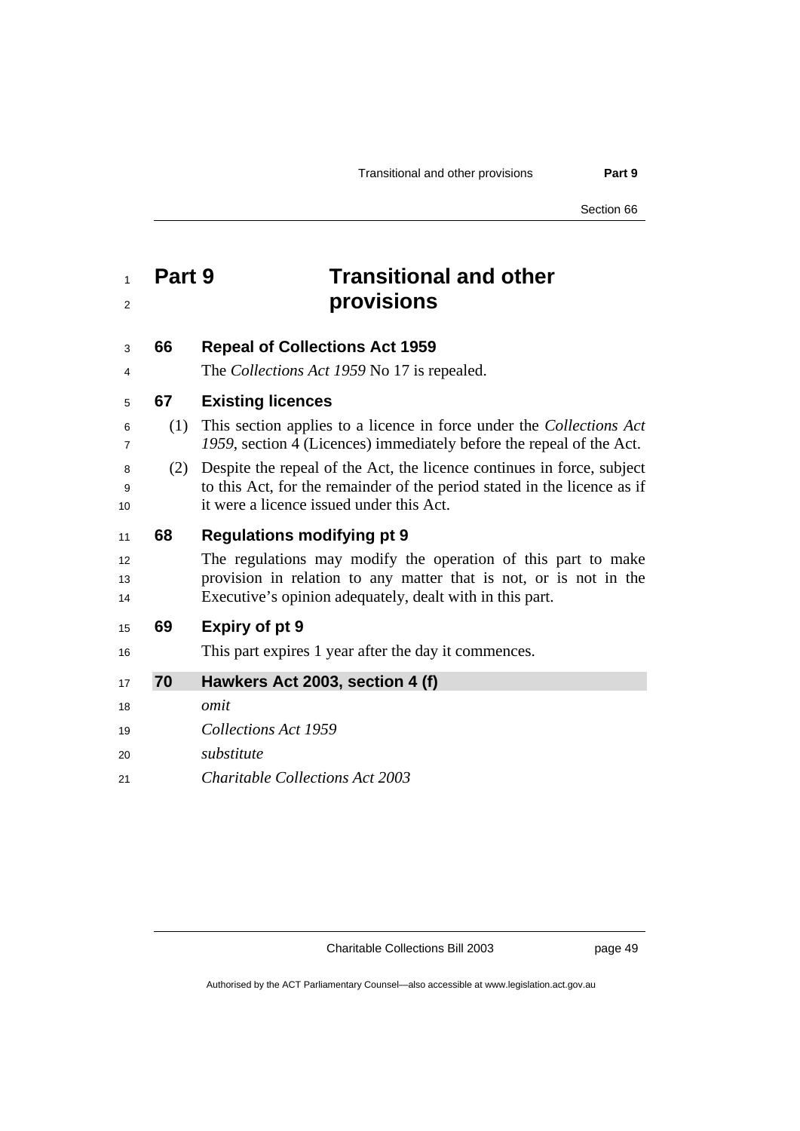Section 66

## **Part 9 Transitional and other provisions**

### **66 Repeal of Collections Act 1959**

The *Collections Act 1959* No 17 is repealed.

### **67 Existing licences**

- (1) This section applies to a licence in force under the *Collections Act 1959*, section 4 (Licences) immediately before the repeal of the Act.
- (2) Despite the repeal of the Act, the licence continues in force, subject to this Act, for the remainder of the period stated in the licence as if 10 it were a licence issued under this Act.

### **68 Regulations modifying pt 9**

12 The regulations may modify the operation of this part to make **provision in relation to any matter that is not, or is not in the** Executive's opinion adequately, dealt with in this part.

### **69 Expiry of pt 9**

16 This part expires 1 year after the day it commences.

### **70 Hawkers Act 2003, section 4 (f)**

*omit* 

- *Collections Act 1959*
- *substitute*
- *Charitable Collections Act 2003*

Charitable Collections Bill 2003 page 49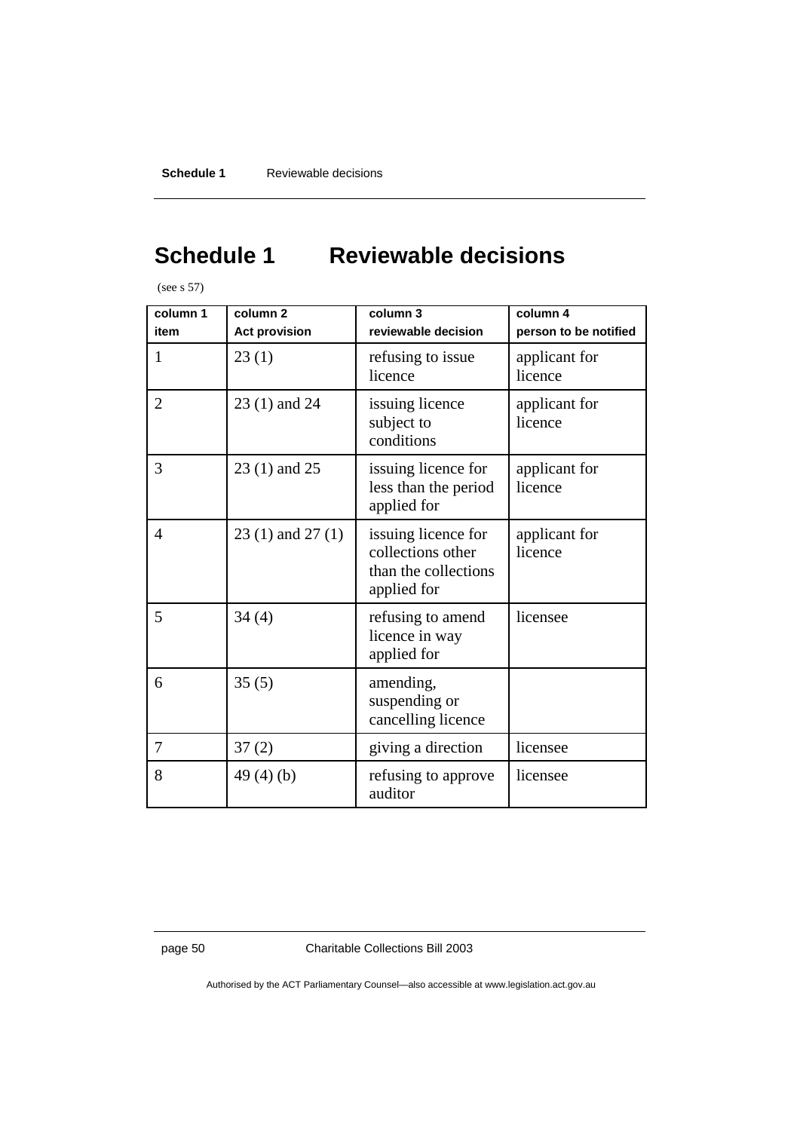# **Schedule 1 Reviewable decisions**

(see s 57)

| column 1<br>item | column <sub>2</sub><br><b>Act provision</b> | column 3<br>reviewable decision                                                 | column 4<br>person to be notified |
|------------------|---------------------------------------------|---------------------------------------------------------------------------------|-----------------------------------|
| $\mathbf{1}$     | 23(1)                                       | refusing to issue<br>licence                                                    | applicant for<br>licence          |
| $\overline{2}$   | 23 (1) and 24                               | issuing licence<br>subject to<br>conditions                                     | applicant for<br>licence          |
| 3                | 23 (1) and 25                               | issuing licence for<br>less than the period<br>applied for                      | applicant for<br>licence          |
| 4                | $23(1)$ and $27(1)$                         | issuing licence for<br>collections other<br>than the collections<br>applied for | applicant for<br>licence          |
| 5                | 34(4)                                       | refusing to amend<br>licence in way<br>applied for                              | licensee                          |
| 6                | 35(5)                                       | amending,<br>suspending or<br>cancelling licence                                |                                   |
| 7                | 37(2)                                       | giving a direction                                                              | licensee                          |
| 8                | 49 $(4)(b)$                                 | refusing to approve<br>auditor                                                  | licensee                          |

page 50 Charitable Collections Bill 2003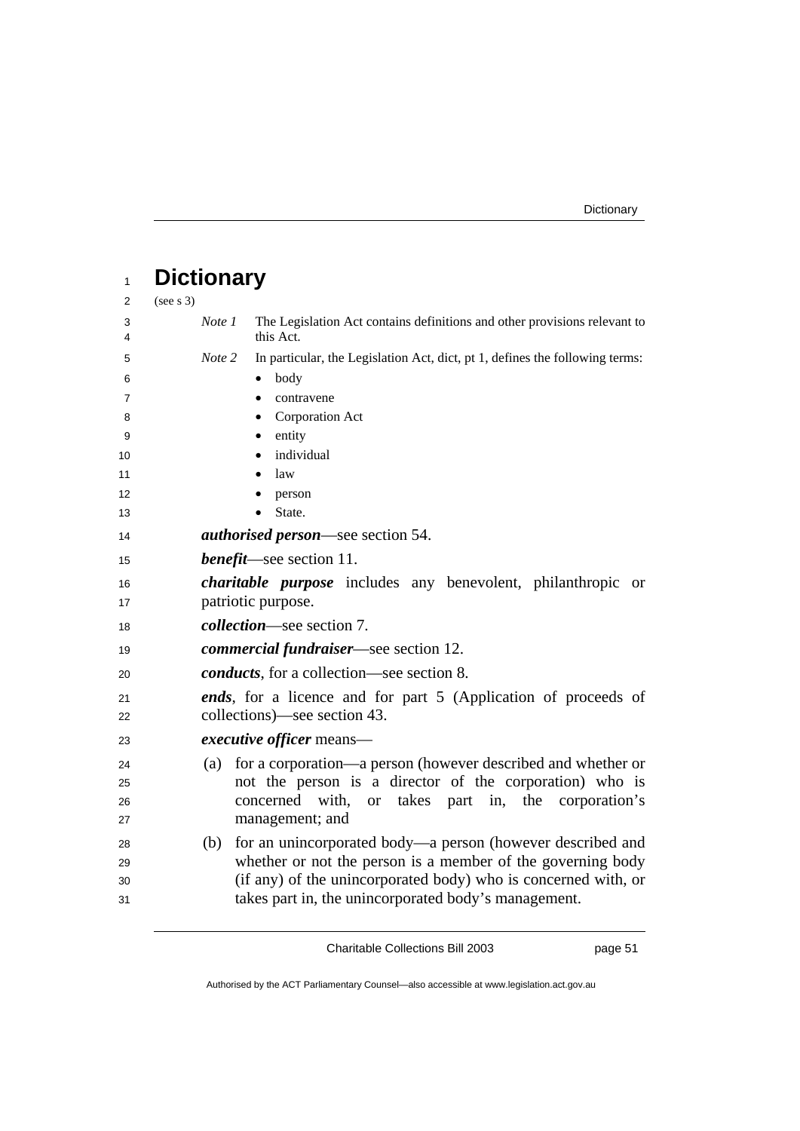| 1      | <b>Dictionary</b>                                              |                                                                                        |  |  |  |
|--------|----------------------------------------------------------------|----------------------------------------------------------------------------------------|--|--|--|
| 2      | (see s 3)                                                      |                                                                                        |  |  |  |
| 3<br>4 | Note 1                                                         | The Legislation Act contains definitions and other provisions relevant to<br>this Act. |  |  |  |
| 5      | Note 2                                                         | In particular, the Legislation Act, dict, pt 1, defines the following terms:           |  |  |  |
| 6      |                                                                | body<br>٠                                                                              |  |  |  |
| 7      |                                                                | contravene<br>$\bullet$                                                                |  |  |  |
| 8      |                                                                | Corporation Act<br>٠                                                                   |  |  |  |
| 9      |                                                                | entity<br>٠                                                                            |  |  |  |
| 10     |                                                                | individual                                                                             |  |  |  |
| 11     |                                                                | law                                                                                    |  |  |  |
| 12     |                                                                | person                                                                                 |  |  |  |
| 13     |                                                                | State.                                                                                 |  |  |  |
| 14     |                                                                | <i>authorised person</i> —see section 54.                                              |  |  |  |
| 15     |                                                                | <i>benefit</i> —see section 11.                                                        |  |  |  |
| 16     |                                                                | <i>charitable purpose</i> includes any benevolent, philanthropic<br><sub>or</sub>      |  |  |  |
| 17     |                                                                | patriotic purpose.                                                                     |  |  |  |
| 18     |                                                                | <i>collection</i> —see section 7.                                                      |  |  |  |
| 19     |                                                                | <i>commercial fundraiser</i> —see section 12.                                          |  |  |  |
| 20     |                                                                | <i>conducts</i> , for a collection—see section 8.                                      |  |  |  |
| 21     | ends, for a licence and for part 5 (Application of proceeds of |                                                                                        |  |  |  |
| 22     | collections)—see section 43.                                   |                                                                                        |  |  |  |
| 23     |                                                                | <i>executive officer</i> means—                                                        |  |  |  |
| 24     | (a)                                                            | for a corporation—a person (however described and whether or                           |  |  |  |
| 25     |                                                                | not the person is a director of the corporation) who is                                |  |  |  |
| 26     |                                                                | with,<br>takes part in, the<br>concerned<br><sub>or</sub><br>corporation's             |  |  |  |
| 27     |                                                                | management; and                                                                        |  |  |  |
| 28     | (b)                                                            | for an unincorporated body—a person (however described and                             |  |  |  |
| 29     |                                                                | whether or not the person is a member of the governing body                            |  |  |  |
| 30     |                                                                | (if any) of the unincorporated body) who is concerned with, or                         |  |  |  |
| 31     |                                                                | takes part in, the unincorporated body's management.                                   |  |  |  |